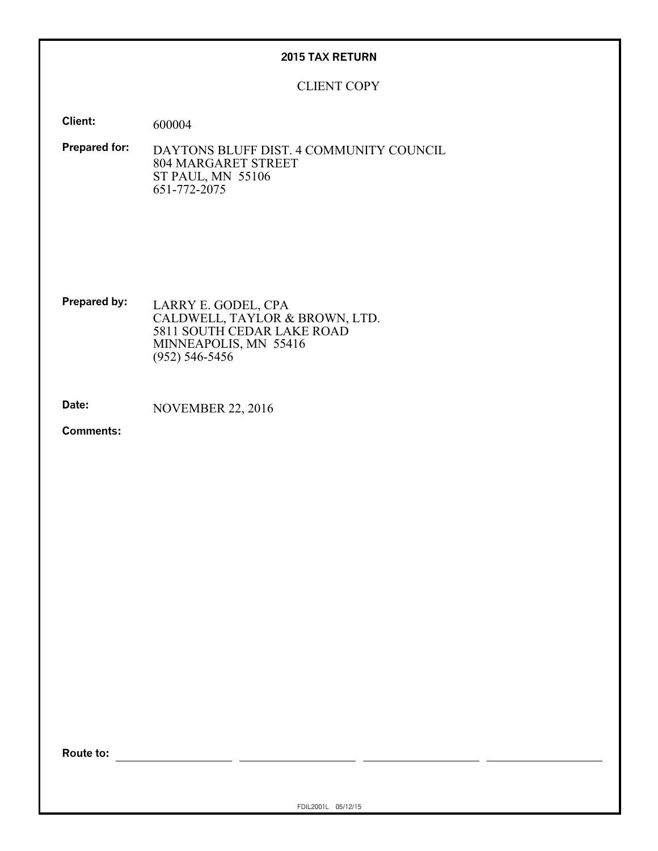### **2015 TAX RETURN**

CLIENT COPY

**Client:** 600004

**Prepared for:** DAYTONS BLUFF DIST. 4 COMMUNITY COUNCIL 804 MARGARET STREET ST PAUL, MN 55106 651-772-2075

**Prepared by:** LARRY E. GODEL, CPA CALDWELL, TAYLOR & BROWN, LTD. 5811 SOUTH CEDAR LAKE ROAD MINNEAPOLIS, MN 55416 (952) 546-5456

**Date:** NOVEMBER 22, 2016

**Comments:**

**Route to:**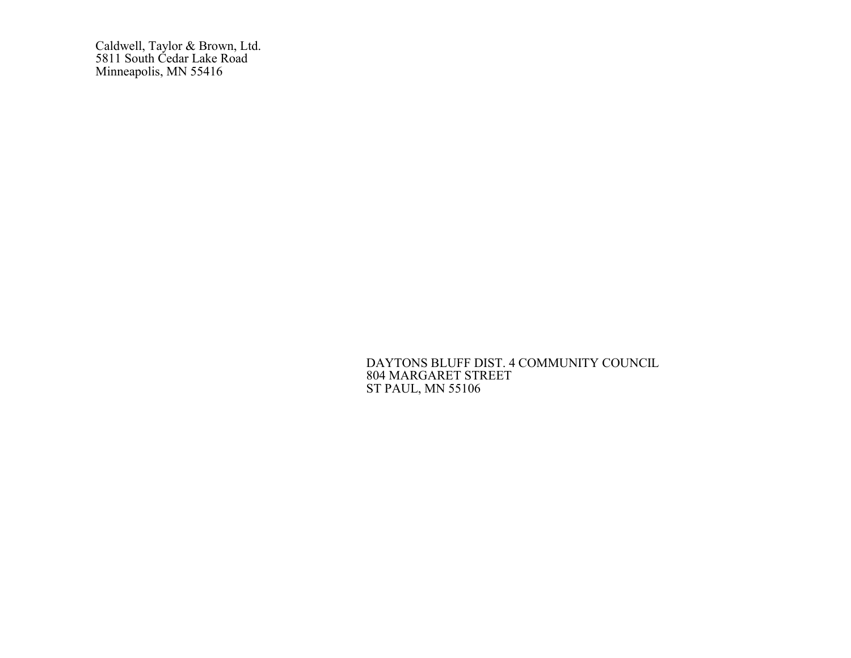Caldwell, Taylor & Brown, Ltd. 5811 South Cedar Lake Road Minneapolis, MN 55416

> DAYTONS BLUFF DIST. 4 COMMUNITY COUNCIL 804 MARGARET STREET ST PAUL, MN 55106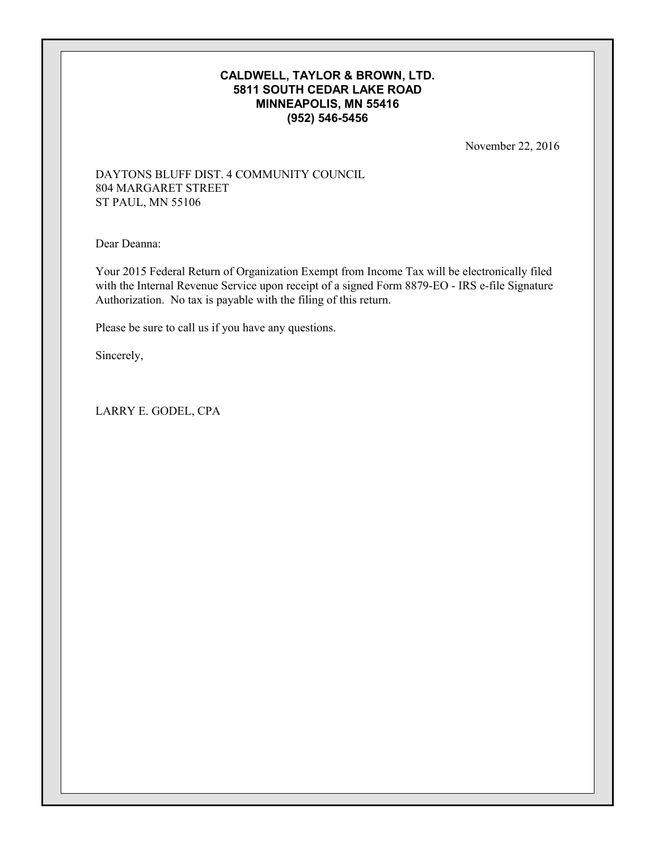### **CALDWELL, TAYLOR & BROWN, LTD. 5811 SOUTH CEDAR LAKE ROAD MINNEAPOLIS, MN 55416 (952) 546-5456**

November 22, 2016

### DAYTONS BLUFF DIST. 4 COMMUNITY COUNCIL 804 MARGARET STREET ST PAUL, MN 55106

Dear Deanna:

Your 2015 Federal Return of Organization Exempt from Income Tax will be electronically filed with the Internal Revenue Service upon receipt of a signed Form 8879-EO - IRS e-file Signature Authorization. No tax is payable with the filing of this return.

Please be sure to call us if you have any questions.

Sincerely,

LARRY E. GODEL, CPA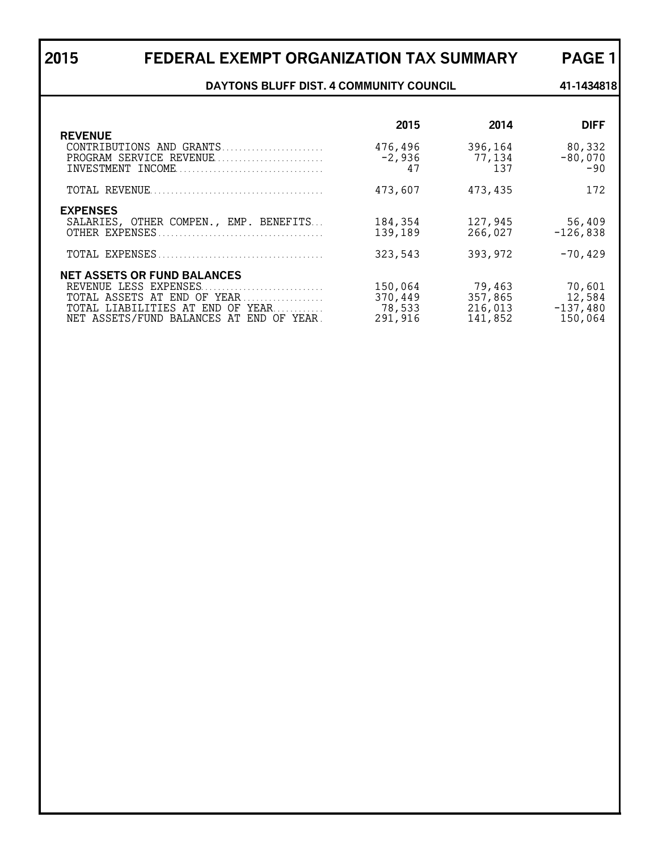## **2015 FEDERAL EXEMPT ORGANIZATION TAX SUMMARY PAGE 1**

**DAYTONS BLUFF DIST. 4 COMMUNITY COUNCIL 41-1434818** 

| <b>REVENUE</b>                                                                                                                                                             | 2015                                    | 2014                                    | <b>DIFF</b>                               |
|----------------------------------------------------------------------------------------------------------------------------------------------------------------------------|-----------------------------------------|-----------------------------------------|-------------------------------------------|
| CONTRIBUTIONS AND GRANTS<br>PROGRAM SERVICE REVENUE                                                                                                                        | 476,496<br>$-2,936$<br>47               | 396,164<br>77,134<br>137                | 80,332<br>$-80,070$<br>$-90$              |
|                                                                                                                                                                            | 473,607                                 | 473,435                                 | 172                                       |
| <b>EXPENSES</b><br>SALARIES, OTHER COMPEN., EMP. BENEFITS                                                                                                                  | 184,354<br>139,189<br>323,543           | 127,945<br>266,027<br>393,972           | 56,409<br>$-126,838$<br>$-70, 429$        |
| <b>NET ASSETS OR FUND BALANCES</b><br>REVENUE LESS EXPENSES<br>TOTAL ASSETS AT END OF YEAR<br>TOTAL LIABILITIES AT END OF YEAR<br>NET ASSETS/FUND BALANCES AT END OF YEAR. | 150,064<br>370,449<br>78,533<br>291,916 | 79,463<br>357,865<br>216,013<br>141,852 | 70,601<br>12,584<br>$-137,480$<br>150,064 |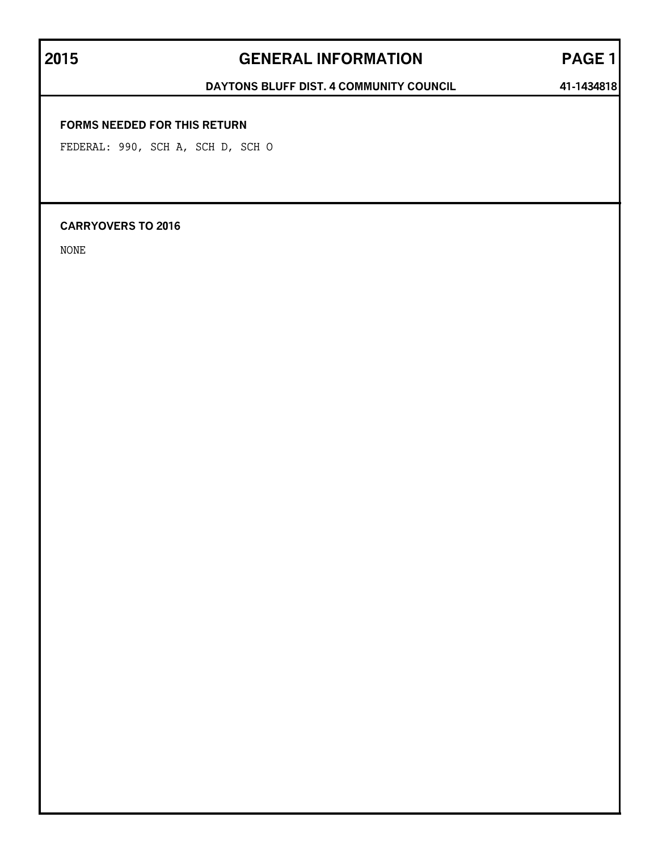## **2015 GENERAL INFORMATION PAGE 1**

### DAYTONS BLUFF DIST. 4 COMMUNITY COUNCIL 41-1434818

### **FORMS NEEDED FOR THIS RETURN**

FEDERAL: 990, SCH A, SCH D, SCH O

### **CARRYOVERS TO 2016**

NONE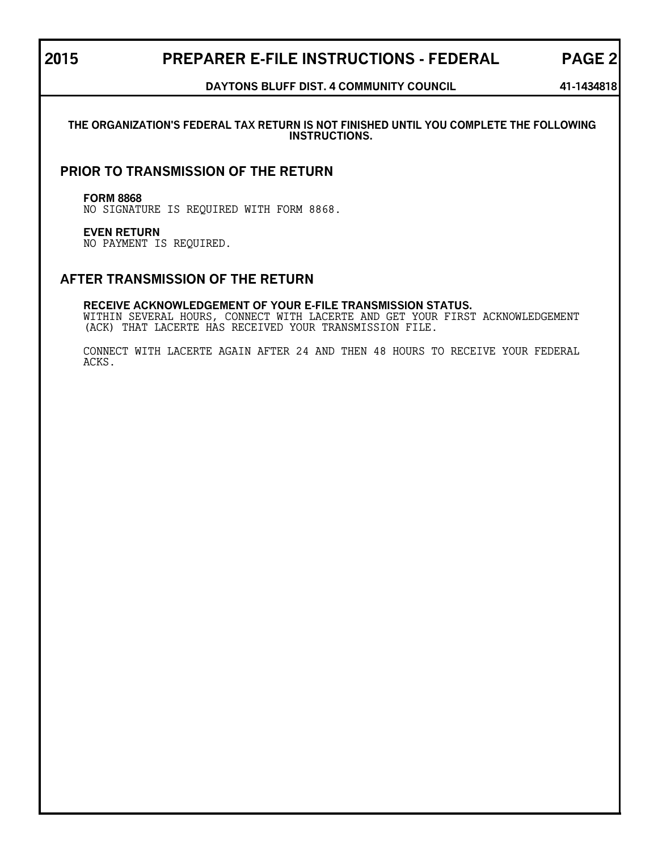### **2015 PREPARER E-FILE INSTRUCTIONS - FEDERAL PAGE 2**

### **DAYTONS BLUFF DIST. 4 COMMUNITY COUNCIL 41-1434818**

### **THE ORGANIZATION'S FEDERAL TAX RETURN IS NOT FINISHED UNTIL YOU COMPLETE THE FOLLOWING INSTRUCTIONS.**

### **PRIOR TO TRANSMISSION OF THE RETURN**

### **FORM 8868**

NO SIGNATURE IS REQUIRED WITH FORM 8868.

### **EVEN RETURN**

NO PAYMENT IS REQUIRED.

### **AFTER TRANSMISSION OF THE RETURN**

### **RECEIVE ACKNOWLEDGEMENT OF YOUR E-FILE TRANSMISSION STATUS.**

WITHIN SEVERAL HOURS, CONNECT WITH LACERTE AND GET YOUR FIRST ACKNOWLEDGEMENT (ACK) THAT LACERTE HAS RECEIVED YOUR TRANSMISSION FILE.

CONNECT WITH LACERTE AGAIN AFTER 24 AND THEN 48 HOURS TO RECEIVE YOUR FEDERAL ACKS.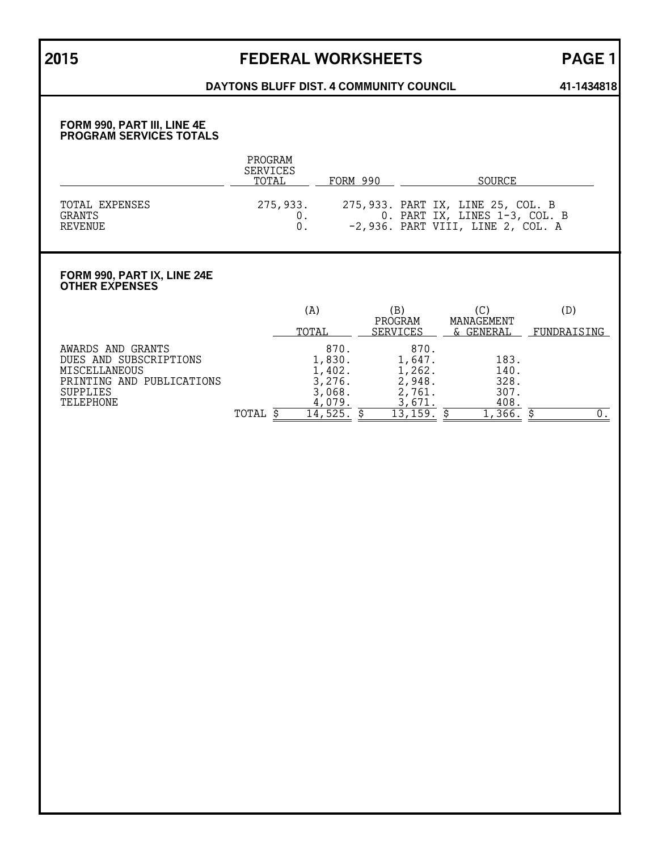## **2015 FEDERAL WORKSHEETS PAGE 1**

### DAYTONS BLUFF DIST. 4 COMMUNITY COUNCIL 41-1434818

### **FORM 990, PART III, LINE 4E PROGRAM SERVICES TOTALS**

|                                            | PROGRAM<br><b>SERVICES</b><br>TOTAL | FORM 990 | SOURCE                                                                                                    |
|--------------------------------------------|-------------------------------------|----------|-----------------------------------------------------------------------------------------------------------|
| TOTAL EXPENSES<br><b>GRANTS</b><br>REVENUE | 275,933.                            |          | 275,933. PART IX, LINE 25, COL. B<br>0. PART IX, LINES 1-3, COL. B<br>$-2,936.$ PART VIII, LINE 2, COL. A |

### **FORM 990, PART IX, LINE 24E OTHER EXPENSES**

|                                                                                                                    |       | (A)                                                    | ΈB)<br>PROGRAM                                         | MANAGEMENT                           | (D)         |
|--------------------------------------------------------------------------------------------------------------------|-------|--------------------------------------------------------|--------------------------------------------------------|--------------------------------------|-------------|
|                                                                                                                    |       | TOTAL                                                  | <b>SERVICES</b>                                        | & GENERAL                            | FUNDRAISING |
| AWARDS AND GRANTS<br>DUES AND SUBSCRIPTIONS<br>MISCELLANEOUS<br>PRINTING AND PUBLICATIONS<br>SUPPLIES<br>TELEPHONE |       | 870.<br>1,830.<br>1,402.<br>3,276.<br>3,068.<br>4,079. | 870.<br>1,647.<br>1,262.<br>2,948.<br>2,761.<br>3,671. | 183.<br>140.<br>328.<br>307.<br>408. |             |
|                                                                                                                    | TOTAL | 14                                                     | $^{\circ}$ , 159.                                      | 366                                  |             |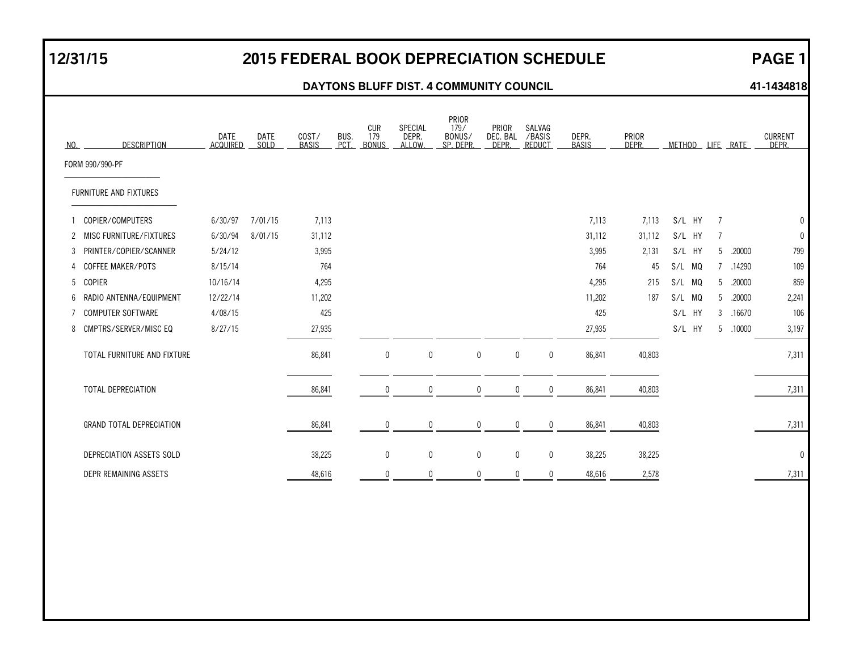## **12/31/15 2015 FEDERAL BOOK DEPRECIATION SCHEDULE PAGE 1**

### **DAYTONS BLUFF DIST. 4 COMMUNITY COUNCIL 11-1434818**

| NO. | <b>DESCRIPTION</b>              | <b>DATE</b><br><b>ACQUIRED</b> | <b>DATE</b><br>SOLD | COST/<br><b>BASIS</b> | BUS.<br>PCT | CUR<br>179<br><b>BONUS</b> | SPECIAL<br>DEPR.<br>ALLOW. | PRIOR<br>179/<br>BONUS/<br>SP. DEPR. | PRIOR<br>DEC. BAL<br>DEPR. | SALVAG<br>/BASIS<br><b>REDUCT</b> | DEPR.<br><b>BASIS</b> | PRIOR<br>DEPR. | <b>METHOD</b> |   | LIFE RATE | <b>CURRENT</b><br>DFPR. |
|-----|---------------------------------|--------------------------------|---------------------|-----------------------|-------------|----------------------------|----------------------------|--------------------------------------|----------------------------|-----------------------------------|-----------------------|----------------|---------------|---|-----------|-------------------------|
|     | FORM 990/990-PF                 |                                |                     |                       |             |                            |                            |                                      |                            |                                   |                       |                |               |   |           |                         |
|     | FURNITURE AND FIXTURES          |                                |                     |                       |             |                            |                            |                                      |                            |                                   |                       |                |               |   |           |                         |
|     | COPIER/COMPUTERS                | 6/30/97                        | 7/01/15             | 7,113                 |             |                            |                            |                                      |                            |                                   | 7,113                 | 7,113          | S/L HY        | 7 |           |                         |
|     | 2 MISC FURNITURE/FIXTURES       | 6/30/94                        | 8/01/15             | 31,112                |             |                            |                            |                                      |                            |                                   | 31,112                | 31,112         | S/L HY        | 7 |           |                         |
| 3   | PRINTER/COPIER/SCANNER          | 5/24/12                        |                     | 3,995                 |             |                            |                            |                                      |                            |                                   | 3,995                 | 2,131          | S/L HY        | 5 | .20000    | 799                     |
| 4   | COFFEE MAKER/POTS               | 8/15/14                        |                     | 764                   |             |                            |                            |                                      |                            |                                   | 764                   | 45             | S/L MQ        | 7 | .14290    | 109                     |
| 5   | <b>COPIER</b>                   | 10/16/14                       |                     | 4,295                 |             |                            |                            |                                      |                            |                                   | 4,295                 | 215            | S/L MQ        | 5 | .20000    | 859                     |
| 6   | RADIO ANTENNA/EQUIPMENT         | 12/22/14                       |                     | 11,202                |             |                            |                            |                                      |                            |                                   | 11,202                | 187            | S/L MQ        | 5 | .20000    | 2,241                   |
|     | <b>COMPUTER SOFTWARE</b>        | 4/08/15                        |                     | 425                   |             |                            |                            |                                      |                            |                                   | 425                   |                | S/L HY        | 3 | .16670    | 106                     |
|     | 8 CMPTRS/SERVER/MISC EQ         | 8/27/15                        |                     | 27,935                |             |                            |                            |                                      |                            |                                   | 27,935                |                | S/L HY        | 5 | .10000    | 3,197                   |
|     | TOTAL FURNITURE AND FIXTURE     |                                |                     | 86,841                |             | $\pmb{0}$                  | 0                          |                                      | $\pmb{0}$                  | $\bm{0}$<br>$\mathbf 0$           | 86,841                | 40,803         |               |   |           | 7,311                   |
|     | TOTAL DEPRECIATION              |                                |                     | 86,841                |             | $\Omega$                   | <sup>0</sup>               |                                      | $\mathbf 0$                | $\mathbf{0}$<br>0                 | 86,841                | 40,803         |               |   |           | 7,311                   |
|     | <b>GRAND TOTAL DEPRECIATION</b> |                                |                     | 86,841                |             | $\mathbf{0}$               | $\Omega$                   |                                      | $\mathbf 0$                | 0<br>$\mathbf 0$                  | 86,841                | 40,803         |               |   |           | 7,311                   |
|     | DEPRECIATION ASSETS SOLD        |                                |                     | 38,225                |             | $\mathbf 0$                | 0                          |                                      | $\mathbf 0$                | $\mathbf 0$<br>$\mathbf 0$        | 38,225                | 38,225         |               |   |           | C                       |
|     | DEPR REMAINING ASSETS           |                                |                     | 48,616                |             | $\Omega$                   | N                          |                                      | $\mathbf 0$                | $\mathbf{0}$<br>0                 | 48,616                | 2,578          |               |   |           | 7,311                   |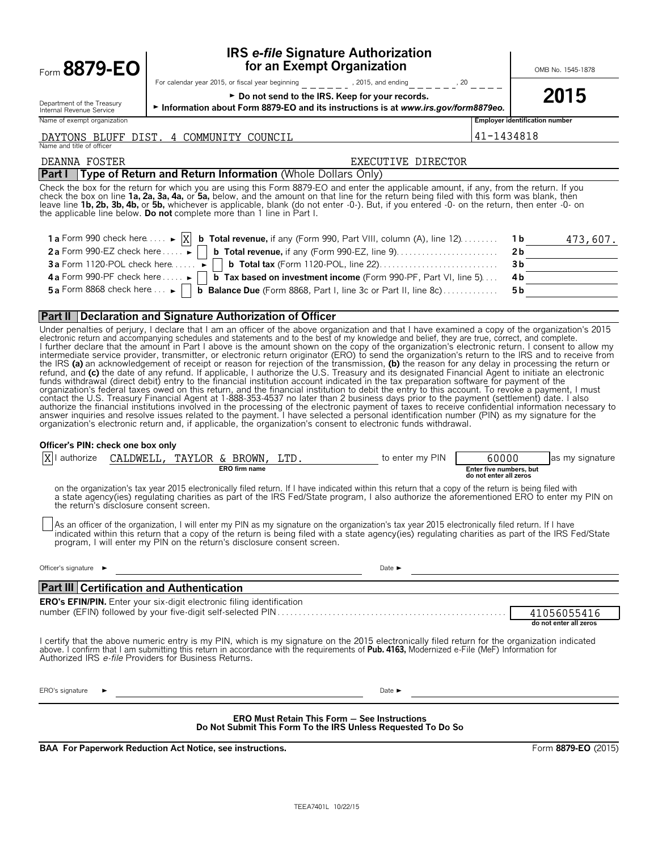| Form 8879-EO                                           | <b>IRS e-file Signature Authorization</b><br>for an Exempt Organization                                                                                                                                                                                                                                                                                                                                                                                                                                                                                                                                                                                                                                                                                                                                                                                                                                                                                                                                                                                                                                                                                                                                                                                                                                                                                                                                                                                                             |                                                            | OMB No. 1545-1878      |
|--------------------------------------------------------|-------------------------------------------------------------------------------------------------------------------------------------------------------------------------------------------------------------------------------------------------------------------------------------------------------------------------------------------------------------------------------------------------------------------------------------------------------------------------------------------------------------------------------------------------------------------------------------------------------------------------------------------------------------------------------------------------------------------------------------------------------------------------------------------------------------------------------------------------------------------------------------------------------------------------------------------------------------------------------------------------------------------------------------------------------------------------------------------------------------------------------------------------------------------------------------------------------------------------------------------------------------------------------------------------------------------------------------------------------------------------------------------------------------------------------------------------------------------------------------|------------------------------------------------------------|------------------------|
| Department of the Treasury<br>Internal Revenue Service | For calendar year 2015, or fiscal year beginning $- - - -$ , 2015, and ending $- - - -$ , 20 $- - -$<br>► Do not send to the IRS. Keep for your records.<br>Information about Form 8879-EO and its instructions is at www.irs.gov/form8879eo.                                                                                                                                                                                                                                                                                                                                                                                                                                                                                                                                                                                                                                                                                                                                                                                                                                                                                                                                                                                                                                                                                                                                                                                                                                       |                                                            | 2015                   |
| Name of exempt organization                            |                                                                                                                                                                                                                                                                                                                                                                                                                                                                                                                                                                                                                                                                                                                                                                                                                                                                                                                                                                                                                                                                                                                                                                                                                                                                                                                                                                                                                                                                                     | Employer identification number                             |                        |
| Name and title of officer                              | DAYTONS BLUFF DIST. 4 COMMUNITY COUNCIL                                                                                                                                                                                                                                                                                                                                                                                                                                                                                                                                                                                                                                                                                                                                                                                                                                                                                                                                                                                                                                                                                                                                                                                                                                                                                                                                                                                                                                             | 41-1434818                                                 |                        |
| DEANNA FOSTER                                          | EXECUTIVE DIRECTOR                                                                                                                                                                                                                                                                                                                                                                                                                                                                                                                                                                                                                                                                                                                                                                                                                                                                                                                                                                                                                                                                                                                                                                                                                                                                                                                                                                                                                                                                  |                                                            |                        |
|                                                        | Part I Type of Return and Return Information (Whole Dollars Only)                                                                                                                                                                                                                                                                                                                                                                                                                                                                                                                                                                                                                                                                                                                                                                                                                                                                                                                                                                                                                                                                                                                                                                                                                                                                                                                                                                                                                   |                                                            |                        |
|                                                        | Check the box for the return for which you are using this Form 8879-EO and enter the applicable amount, if any, from the return. If you<br>check the box on line 1a, 2a, 3a, 4a, or 5a, below, and the amount on that line for the return being filed with this form was blank, then<br>leave line 1b, 2b, 3b, 4b, or 5b, whichever is applicable, blank (do not enter -0-). But, if you entered -0- on the return, then enter -0- on<br>the applicable line below. Do not complete more than 1 line in Part I.                                                                                                                                                                                                                                                                                                                                                                                                                                                                                                                                                                                                                                                                                                                                                                                                                                                                                                                                                                     |                                                            |                        |
|                                                        | 1 a Form 990 check here $\dots \rightarrow [X]$ <b>b Total revenue</b> , if any (Form 990, Part VIII, column (A), line 12.                                                                                                                                                                                                                                                                                                                                                                                                                                                                                                                                                                                                                                                                                                                                                                                                                                                                                                                                                                                                                                                                                                                                                                                                                                                                                                                                                          | 1 b                                                        | 473,607.               |
|                                                        |                                                                                                                                                                                                                                                                                                                                                                                                                                                                                                                                                                                                                                                                                                                                                                                                                                                                                                                                                                                                                                                                                                                                                                                                                                                                                                                                                                                                                                                                                     | 2 <sub>b</sub>                                             |                        |
|                                                        |                                                                                                                                                                                                                                                                                                                                                                                                                                                                                                                                                                                                                                                                                                                                                                                                                                                                                                                                                                                                                                                                                                                                                                                                                                                                                                                                                                                                                                                                                     |                                                            | 3b                     |
|                                                        | 4a Form 990-PF check here $\dots \rightarrow$   b Tax based on investment income (Form 990-PF, Part VI, line 5)<br>5 a Form 8868 check here $\ldots$ $\Box$ <b>b</b> Balance Due (Form 8868, Part I, line 3c or Part II, line 8c)                                                                                                                                                                                                                                                                                                                                                                                                                                                                                                                                                                                                                                                                                                                                                                                                                                                                                                                                                                                                                                                                                                                                                                                                                                                   | 4b<br>5 <sub>b</sub>                                       |                        |
|                                                        |                                                                                                                                                                                                                                                                                                                                                                                                                                                                                                                                                                                                                                                                                                                                                                                                                                                                                                                                                                                                                                                                                                                                                                                                                                                                                                                                                                                                                                                                                     |                                                            |                        |
|                                                        | <b>Part II Declaration and Signature Authorization of Officer</b>                                                                                                                                                                                                                                                                                                                                                                                                                                                                                                                                                                                                                                                                                                                                                                                                                                                                                                                                                                                                                                                                                                                                                                                                                                                                                                                                                                                                                   |                                                            |                        |
|                                                        | electronic return and accompanying schedules and statements and to the best of my knowledge and belief, they are true, correct, and complete.<br>I further declare that the amount in Part I above is the amount shown on the copy of the organization's electronic return. I consent to allow my intermediate service provider, transmitter, or electronic return originator (<br>the IRS (a) an acknowledgement of receipt or reason for rejection of the transmission, (b) the reason for any delay in processing the return or refund, and (c) the date of any refund. If applicable, I authorize the U.S. Tr<br>funds withdrawal (direct debit) entry to the financial institution account indicated in the tax preparation software for payment of the<br>organization's federal taxes owed on this return, and the financial institution to debit the entry to this account. To revoke a payment, I must<br>contact the U.S. Treasury Financial Agent at 1-888-353-4537 no later than 2 business days prior to the payment (settlement) date. I also<br>authorize the financial institutions involved in the processing of the electronic payment of taxes to receive confidential information necessary to<br>answer inquiries and resolve issues related to the payment. I have selected a personal identification number (PIN) as my signature for the<br>organization's electronic return and, if applicable, the organization's consent to electronic funds withdrawal. |                                                            |                        |
| Officer's PIN: check one box only                      | authorize CALDWELL, TAYLOR & BROWN, LTD. to enter my PIN<br>ERO firm name                                                                                                                                                                                                                                                                                                                                                                                                                                                                                                                                                                                                                                                                                                                                                                                                                                                                                                                                                                                                                                                                                                                                                                                                                                                                                                                                                                                                           | 60000<br>Enter five numbers, but<br>do not enter all zeros | as my signature        |
| the return's disclosure consent screen.                | on the organization's tax year 2015 electronically filed return. If I have indicated within this return that a copy of the return is being filed with<br>a state agency(ies) regulating charities as part of the IRS Fed/State program, I also authorize the aforementioned ERO to enter my PIN on                                                                                                                                                                                                                                                                                                                                                                                                                                                                                                                                                                                                                                                                                                                                                                                                                                                                                                                                                                                                                                                                                                                                                                                  |                                                            |                        |
|                                                        | As an officer of the organization, I will enter my PIN as my signature on the organization's tax year 2015 electronically filed return. If I have<br>indicated within this return that a copy of the return is being filed with a state agency(ies) regulating charities as part of the IRS Fed/State<br>program, I will enter my PIN on the return's disclosure consent screen.                                                                                                                                                                                                                                                                                                                                                                                                                                                                                                                                                                                                                                                                                                                                                                                                                                                                                                                                                                                                                                                                                                    |                                                            |                        |
| Officer's signature $\blacktriangleright$              | Date $\blacktriangleright$<br><u> 1989 - Johann Stoff, deutscher Stoffen und der Stoffen und der Stoffen und der Stoffen und der Stoffen und der</u>                                                                                                                                                                                                                                                                                                                                                                                                                                                                                                                                                                                                                                                                                                                                                                                                                                                                                                                                                                                                                                                                                                                                                                                                                                                                                                                                |                                                            |                        |
| <b>Part III Certification and Authentication</b>       | and the control of the control of the control of the control of the control of the control of the control of the                                                                                                                                                                                                                                                                                                                                                                                                                                                                                                                                                                                                                                                                                                                                                                                                                                                                                                                                                                                                                                                                                                                                                                                                                                                                                                                                                                    |                                                            |                        |
|                                                        | <b>ERO's EFIN/PIN.</b> Enter your six-digit electronic filing identification                                                                                                                                                                                                                                                                                                                                                                                                                                                                                                                                                                                                                                                                                                                                                                                                                                                                                                                                                                                                                                                                                                                                                                                                                                                                                                                                                                                                        |                                                            |                        |
|                                                        |                                                                                                                                                                                                                                                                                                                                                                                                                                                                                                                                                                                                                                                                                                                                                                                                                                                                                                                                                                                                                                                                                                                                                                                                                                                                                                                                                                                                                                                                                     |                                                            | 41056055416            |
| Authorized IRS e-file Providers for Business Returns.  | I certify that the above numeric entry is my PIN, which is my signature on the 2015 electronically filed return for the organization indicated<br>above. I confirm that I am submitting this return in accordance with the requirements of Pub. 4163, Modernized e-File (MeF) Information for                                                                                                                                                                                                                                                                                                                                                                                                                                                                                                                                                                                                                                                                                                                                                                                                                                                                                                                                                                                                                                                                                                                                                                                       |                                                            | do not enter all zeros |
| ERO's signature                                        | Date $\blacktriangleright$                                                                                                                                                                                                                                                                                                                                                                                                                                                                                                                                                                                                                                                                                                                                                                                                                                                                                                                                                                                                                                                                                                                                                                                                                                                                                                                                                                                                                                                          |                                                            |                        |
|                                                        | <b>ERO Must Retain This Form - See Instructions</b><br>Do Not Submit This Form To the IRS Unless Requested To Do So                                                                                                                                                                                                                                                                                                                                                                                                                                                                                                                                                                                                                                                                                                                                                                                                                                                                                                                                                                                                                                                                                                                                                                                                                                                                                                                                                                 |                                                            |                        |

**BAA For Paperwork Reduction Act Notice, see instructions.** Form 8879-EO (2015)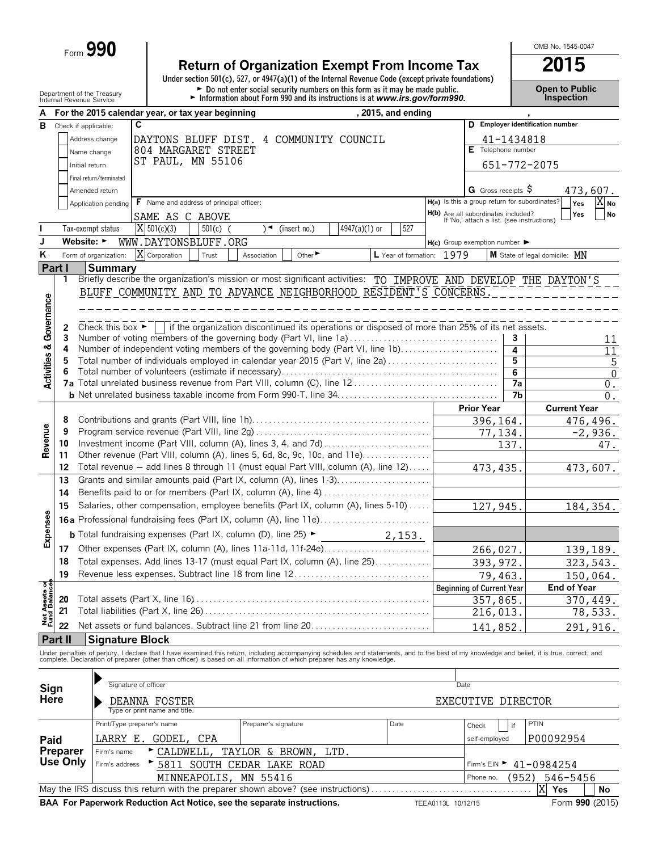Form **990**

# **Return of Organization Exempt From Income Tax**<br>
Under section 501(c), 527, or 4947(a)(1) of the Internal Revenue Code (except private foundations)

Department of the Treasury **Depen to Public**<br>Internal Revenue Service **Connect of the Connect of the Connect of the Connect of the Internal Revenue Service Connection** 

OMB No. 1545-0047

| А                                      |                                                                     |                                      | For the 2015 calendar year, or tax year beginning                                                                                                                                                                                 |                      |                         |               | , 2015, and ending        |                    |                                                                                   |            |                                  |                        |
|----------------------------------------|---------------------------------------------------------------------|--------------------------------------|-----------------------------------------------------------------------------------------------------------------------------------------------------------------------------------------------------------------------------------|----------------------|-------------------------|---------------|---------------------------|--------------------|-----------------------------------------------------------------------------------|------------|----------------------------------|------------------------|
| В                                      |                                                                     | Check if applicable:                 | C                                                                                                                                                                                                                                 |                      |                         |               |                           |                    |                                                                                   |            | D Employer identification number |                        |
|                                        |                                                                     | Address change                       | DAYTONS BLUFF DIST. 4 COMMUNITY COUNCIL                                                                                                                                                                                           |                      |                         |               |                           |                    |                                                                                   | 41-1434818 |                                  |                        |
|                                        |                                                                     | Name change                          | 804 MARGARET STREET                                                                                                                                                                                                               |                      |                         |               |                           |                    | E Telephone number                                                                |            |                                  |                        |
|                                        |                                                                     | Initial return                       | ST PAUL, MN 55106                                                                                                                                                                                                                 |                      |                         |               |                           |                    |                                                                                   |            | 651-772-2075                     |                        |
|                                        |                                                                     | Final return/terminated              |                                                                                                                                                                                                                                   |                      |                         |               |                           |                    |                                                                                   |            |                                  |                        |
|                                        |                                                                     | Amended return                       |                                                                                                                                                                                                                                   |                      |                         |               |                           |                    | G Gross receipts S                                                                |            |                                  | 473,607.               |
|                                        |                                                                     | Application pending                  | F Name and address of principal officer:                                                                                                                                                                                          |                      |                         |               |                           |                    | H(a) Is this a group return for subordinates?                                     |            |                                  | Yes<br><b>No</b>       |
|                                        |                                                                     |                                      | SAME AS C ABOVE                                                                                                                                                                                                                   |                      |                         |               |                           |                    | H(b) Are all subordinates included?<br>If 'No,' attach a list. (see instructions) |            |                                  | Yes<br><b>No</b>       |
|                                        |                                                                     | Tax-exempt status                    | $X$ 501(c)(3)<br>$501(c)$ (                                                                                                                                                                                                       |                      | $\sqrt{ }$ (insert no.) | 4947(a)(1) or | 527                       |                    |                                                                                   |            |                                  |                        |
| J                                      |                                                                     | Website: $\blacktriangleright$       | WWW.DAYTONSBLUFF.ORG                                                                                                                                                                                                              |                      |                         |               |                           |                    | $H(c)$ Group exemption number $\blacktriangleright$                               |            |                                  |                        |
| K                                      |                                                                     | Form of organization:                | X Corporation<br>Trust                                                                                                                                                                                                            | Association          | Other <sup>&gt;</sup>   |               | L Year of formation: 1979 |                    |                                                                                   |            | M State of legal domicile: MN    |                        |
| Part I                                 |                                                                     | <b>Summary</b>                       |                                                                                                                                                                                                                                   |                      |                         |               |                           |                    |                                                                                   |            |                                  |                        |
|                                        | 1.                                                                  |                                      | Briefly describe the organization's mission or most significant activities: TO IMPROVE AND DEVELOP THE DAYTON'S                                                                                                                   |                      |                         |               |                           |                    |                                                                                   |            |                                  |                        |
|                                        |                                                                     |                                      | BLUFF COMMUNITY AND TO ADVANCE NEIGHBORHOOD RESIDENT'S CONCERNS.                                                                                                                                                                  |                      |                         |               |                           |                    |                                                                                   |            |                                  |                        |
| Governance                             |                                                                     |                                      |                                                                                                                                                                                                                                   |                      |                         |               |                           |                    |                                                                                   |            |                                  |                        |
|                                        |                                                                     |                                      |                                                                                                                                                                                                                                   |                      |                         |               |                           |                    |                                                                                   |            |                                  |                        |
|                                        | 2                                                                   | Check this box $\blacktriangleright$ | if the organization discontinued its operations or disposed of more than 25% of its net assets.                                                                                                                                   |                      |                         |               |                           |                    |                                                                                   |            |                                  |                        |
|                                        | 3                                                                   |                                      | Number of voting members of the governing body (Part VI, line 1a)                                                                                                                                                                 |                      |                         |               |                           |                    |                                                                                   | 3          |                                  | 11                     |
|                                        | 4                                                                   |                                      | Number of independent voting members of the governing body (Part VI, line 1b)<br>Total number of individuals employed in calendar year 2015 (Part V, line 2a)                                                                     |                      |                         |               |                           |                    |                                                                                   | 4<br>5     |                                  | 11                     |
|                                        | 5<br>6                                                              |                                      |                                                                                                                                                                                                                                   |                      |                         |               |                           |                    |                                                                                   | 6          |                                  | 5<br>$\overline{0}$    |
| <b>Activities &amp;</b>                |                                                                     |                                      |                                                                                                                                                                                                                                   |                      |                         |               |                           |                    |                                                                                   | 7a         |                                  | $0$ .                  |
|                                        |                                                                     |                                      |                                                                                                                                                                                                                                   |                      |                         |               |                           |                    |                                                                                   | 7b         |                                  | $0$ .                  |
|                                        |                                                                     |                                      |                                                                                                                                                                                                                                   |                      |                         |               |                           |                    | <b>Prior Year</b>                                                                 |            |                                  | <b>Current Year</b>    |
|                                        | 8                                                                   |                                      |                                                                                                                                                                                                                                   |                      |                         |               |                           |                    | 396,164.                                                                          |            |                                  | 476,496.               |
|                                        | 9                                                                   |                                      |                                                                                                                                                                                                                                   |                      |                         |               |                           |                    | 77,134.                                                                           |            |                                  | $\overline{-2}$ , 936. |
| Revenue                                | 10                                                                  |                                      |                                                                                                                                                                                                                                   |                      |                         |               |                           |                    |                                                                                   | 137.       |                                  | 47.                    |
|                                        | 11                                                                  |                                      | Other revenue (Part VIII, column (A), lines 5, 6d, 8c, 9c, 10c, and 11e)                                                                                                                                                          |                      |                         |               |                           |                    |                                                                                   |            |                                  |                        |
|                                        | 12                                                                  |                                      | Total revenue - add lines 8 through 11 (must equal Part VIII, column (A), line 12)                                                                                                                                                |                      |                         |               |                           |                    | 473, 435.                                                                         |            |                                  | 473,607.               |
|                                        | 13                                                                  |                                      | Grants and similar amounts paid (Part IX, column (A), lines 1-3)                                                                                                                                                                  |                      |                         |               |                           |                    |                                                                                   |            |                                  |                        |
|                                        | Benefits paid to or for members (Part IX, column (A), line 4)<br>14 |                                      |                                                                                                                                                                                                                                   |                      |                         |               |                           |                    |                                                                                   |            |                                  |                        |
|                                        | 15                                                                  |                                      | Salaries, other compensation, employee benefits (Part IX, column (A), lines 5-10)                                                                                                                                                 |                      |                         |               |                           |                    | 127,945.                                                                          |            |                                  | 184,354.               |
| Expenses                               |                                                                     |                                      |                                                                                                                                                                                                                                   |                      |                         |               |                           |                    |                                                                                   |            |                                  |                        |
|                                        |                                                                     |                                      | <b>b</b> Total fundraising expenses (Part IX, column (D), line 25) $\blacktriangleright$                                                                                                                                          |                      |                         |               | 2,153.                    |                    |                                                                                   |            |                                  |                        |
|                                        | 17                                                                  |                                      | Other expenses (Part IX, column (A), lines 11a-11d, 11f-24e)                                                                                                                                                                      |                      |                         |               |                           |                    | 266,027.                                                                          |            |                                  | 139,189.               |
|                                        | 18                                                                  |                                      | Total expenses. Add lines 13-17 (must equal Part IX, column (A), line 25)                                                                                                                                                         |                      |                         |               |                           |                    | 393, 972.                                                                         |            |                                  | 323,543.               |
|                                        | 19                                                                  |                                      | Revenue less expenses. Subtract line 18 from line 12                                                                                                                                                                              |                      |                         |               |                           |                    | 79,463.                                                                           |            |                                  | 150,064.               |
| <b>Net Assets of<br/>Fund Balances</b> |                                                                     |                                      |                                                                                                                                                                                                                                   |                      |                         |               |                           |                    | <b>Beginning of Current Year</b>                                                  |            |                                  | <b>End of Year</b>     |
|                                        | 20                                                                  |                                      |                                                                                                                                                                                                                                   |                      |                         |               |                           |                    | 357,865.                                                                          |            |                                  | <u>370,449.</u>        |
|                                        | 21                                                                  |                                      |                                                                                                                                                                                                                                   |                      |                         |               |                           |                    | 216,013.                                                                          |            |                                  | 78,533.                |
|                                        | 22                                                                  |                                      |                                                                                                                                                                                                                                   |                      |                         |               |                           |                    | 141,852                                                                           |            |                                  | 291,916.               |
|                                        | Part II                                                             |                                      | <b>Signature Block</b>                                                                                                                                                                                                            |                      |                         |               |                           |                    |                                                                                   |            |                                  |                        |
|                                        |                                                                     |                                      | Under penalties of perjury, I declare that I have examined this return, including accompanying schedules and statements, and to the best of my knowledge and belief, it is true, correct, and<br>complete. Declaration of prepare |                      |                         |               |                           |                    |                                                                                   |            |                                  |                        |
|                                        |                                                                     |                                      |                                                                                                                                                                                                                                   |                      |                         |               |                           |                    |                                                                                   |            |                                  |                        |
|                                        |                                                                     |                                      | Signature of officer                                                                                                                                                                                                              |                      |                         |               |                           | Date               |                                                                                   |            |                                  |                        |
| Sign<br>Here                           |                                                                     |                                      |                                                                                                                                                                                                                                   |                      |                         |               |                           |                    |                                                                                   |            |                                  |                        |
|                                        |                                                                     |                                      | DEANNA FOSTER<br>Type or print name and title.                                                                                                                                                                                    |                      |                         |               |                           |                    | EXECUTIVE DIRECTOR                                                                |            |                                  |                        |
|                                        |                                                                     |                                      | Print/Type preparer's name                                                                                                                                                                                                        | Preparer's signature |                         |               | Date                      |                    | Check                                                                             | if         | <b>PTIN</b>                      |                        |
|                                        |                                                                     | LARRY E.                             | GODEL,<br>CPA                                                                                                                                                                                                                     |                      |                         |               |                           |                    | self-employed                                                                     |            | P00092954                        |                        |
| Paid                                   | Preparer                                                            | Firm's name                          | ► CALDWELL,                                                                                                                                                                                                                       | TAYLOR & BROWN,      |                         | LTD.          |                           |                    |                                                                                   |            |                                  |                        |
|                                        | Use Only                                                            | Firm's address                       | 5811 SOUTH CEDAR LAKE ROAD                                                                                                                                                                                                        |                      |                         |               |                           |                    | Firm's $EIN$                                                                      |            | 41-0984254                       |                        |
|                                        |                                                                     |                                      | MINNEAPOLIS,                                                                                                                                                                                                                      | MN 55416             |                         |               |                           |                    | Phone no.                                                                         | (952)      |                                  | 546-5456               |
|                                        |                                                                     |                                      | May the IRS discuss this return with the preparer shown above? (see instructions)                                                                                                                                                 |                      |                         |               |                           |                    |                                                                                   |            | X<br>Yes                         | No                     |
|                                        |                                                                     |                                      | BAA For Paperwork Reduction Act Notice, see the separate instructions.                                                                                                                                                            |                      |                         |               |                           | TEEA0113L 10/12/15 |                                                                                   |            |                                  | Form 990 (2015)        |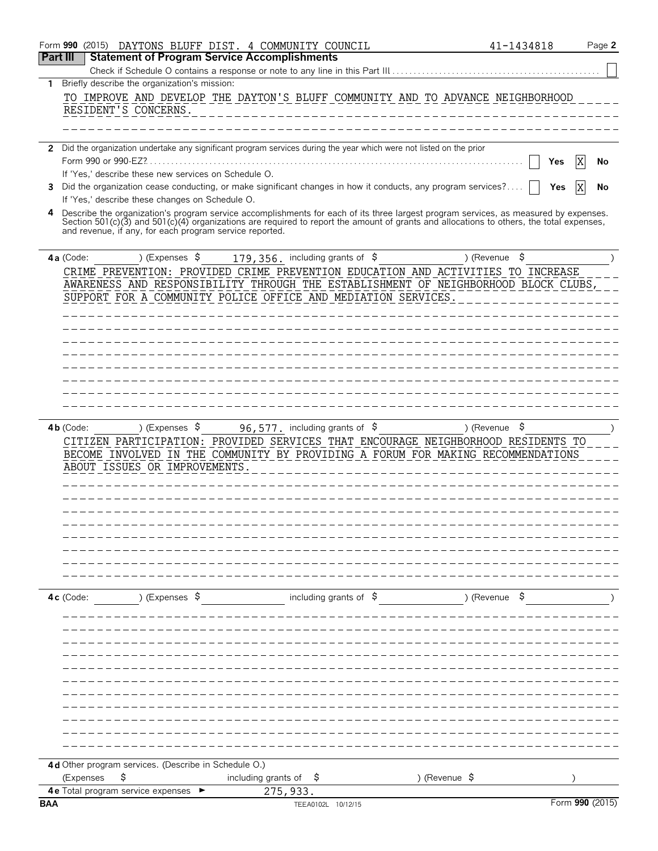|          |             |                                          |    |                        |                                                         |                                                     | Form 990 (2015) DAYTONS BLUFF DIST. 4 COMMUNITY COUNCIL |                                                                                                                                                                                                                                                                                  |               |                       | 41-1434818 |     | Page 2          |
|----------|-------------|------------------------------------------|----|------------------------|---------------------------------------------------------|-----------------------------------------------------|---------------------------------------------------------|----------------------------------------------------------------------------------------------------------------------------------------------------------------------------------------------------------------------------------------------------------------------------------|---------------|-----------------------|------------|-----|-----------------|
| Part III |             |                                          |    |                        |                                                         | <b>Statement of Program Service Accomplishments</b> |                                                         |                                                                                                                                                                                                                                                                                  |               |                       |            |     |                 |
|          |             |                                          |    |                        |                                                         |                                                     |                                                         | Check if Schedule O contains a response or note to any line in this Part III                                                                                                                                                                                                     |               |                       |            |     |                 |
| 1.       |             |                                          |    |                        | Briefly describe the organization's mission:            |                                                     |                                                         |                                                                                                                                                                                                                                                                                  |               |                       |            |     |                 |
|          |             | RESIDENT'S CONCERNS.                     |    |                        |                                                         |                                                     |                                                         | TO IMPROVE AND DEVELOP THE DAYTON'S BLUFF COMMUNITY AND TO ADVANCE NEIGHBORHOOD                                                                                                                                                                                                  |               |                       |            |     |                 |
|          |             |                                          |    |                        |                                                         |                                                     |                                                         |                                                                                                                                                                                                                                                                                  |               |                       |            |     |                 |
|          |             |                                          |    |                        |                                                         |                                                     |                                                         |                                                                                                                                                                                                                                                                                  |               |                       |            |     |                 |
|          |             |                                          |    |                        |                                                         |                                                     |                                                         | 2 Did the organization undertake any significant program services during the year which were not listed on the prior                                                                                                                                                             |               |                       |            |     |                 |
|          |             | Form 990 or 990-EZ?                      |    |                        |                                                         |                                                     |                                                         |                                                                                                                                                                                                                                                                                  |               |                       |            | Yes | No              |
|          |             |                                          |    |                        | If 'Yes,' describe these new services on Schedule O.    |                                                     |                                                         |                                                                                                                                                                                                                                                                                  |               |                       |            |     |                 |
| 3        |             |                                          |    |                        |                                                         |                                                     |                                                         | Did the organization cease conducting, or make significant changes in how it conducts, any program services?                                                                                                                                                                     |               |                       |            | Yes | No              |
|          |             |                                          |    |                        | If 'Yes,' describe these changes on Schedule O.         |                                                     |                                                         |                                                                                                                                                                                                                                                                                  |               |                       |            |     |                 |
| 4        |             |                                          |    |                        |                                                         |                                                     |                                                         | Describe the organization's program service accomplishments for each of its three largest program services, as measured by expenses.<br>Section 501(c)(3) and 501(c)(4) organizations are required to report the amount of grants and allocations to others, the total expenses, |               |                       |            |     |                 |
|          |             |                                          |    |                        | and revenue, if any, for each program service reported. |                                                     |                                                         |                                                                                                                                                                                                                                                                                  |               |                       |            |     |                 |
|          |             |                                          |    |                        |                                                         |                                                     |                                                         |                                                                                                                                                                                                                                                                                  |               |                       |            |     |                 |
|          | 4a (Code:   |                                          |    | ) (Expenses \$         |                                                         |                                                     | 179, 356. including grants of \$                        |                                                                                                                                                                                                                                                                                  |               | ) (Revenue            | \$         |     |                 |
|          |             |                                          |    |                        |                                                         |                                                     |                                                         | CRIME PREVENTION: PROVIDED CRIME PREVENTION EDUCATION AND ACTIVITIES TO INCREASE<br>AWARENESS AND RESPONSIBILITY THROUGH THE ESTABLISHMENT OF NEIGHBORHOOD BLOCK CLUBS,                                                                                                          |               |                       |            |     |                 |
|          |             |                                          |    |                        |                                                         |                                                     |                                                         | SUPPORT FOR A COMMUNITY POLICE OFFICE AND MEDIATION SERVICES.                                                                                                                                                                                                                    |               |                       |            |     |                 |
|          |             |                                          |    |                        |                                                         |                                                     |                                                         |                                                                                                                                                                                                                                                                                  |               |                       |            |     |                 |
|          |             |                                          |    |                        |                                                         |                                                     |                                                         |                                                                                                                                                                                                                                                                                  |               |                       |            |     |                 |
|          |             |                                          |    |                        |                                                         |                                                     |                                                         |                                                                                                                                                                                                                                                                                  |               |                       |            |     |                 |
|          |             |                                          |    |                        |                                                         |                                                     |                                                         |                                                                                                                                                                                                                                                                                  |               |                       |            |     |                 |
|          |             |                                          |    |                        |                                                         |                                                     |                                                         |                                                                                                                                                                                                                                                                                  |               |                       |            |     |                 |
|          |             |                                          |    |                        |                                                         |                                                     |                                                         |                                                                                                                                                                                                                                                                                  |               |                       |            |     |                 |
|          |             |                                          |    |                        |                                                         |                                                     |                                                         |                                                                                                                                                                                                                                                                                  |               |                       |            |     |                 |
|          |             |                                          |    |                        |                                                         |                                                     |                                                         |                                                                                                                                                                                                                                                                                  |               |                       |            |     |                 |
|          | $4b$ (Code: |                                          |    | ) (Expenses $\sqrt{5}$ |                                                         |                                                     | 96, 577. including grants of $$$                        |                                                                                                                                                                                                                                                                                  |               | ) (Revenue $\sqrt{5}$ |            |     |                 |
|          |             |                                          |    |                        |                                                         |                                                     |                                                         | CITIZEN PARTICIPATION: PROVIDED SERVICES THAT ENCOURAGE NEIGHBORHOOD RESIDENTS TO                                                                                                                                                                                                |               |                       |            |     |                 |
|          |             |                                          |    |                        |                                                         |                                                     |                                                         | BECOME INVOLVED IN THE COMMUNITY BY PROVIDING A FORUM FOR MAKING RECOMMENDATIONS                                                                                                                                                                                                 |               |                       |            |     |                 |
|          |             |                                          |    |                        | ABOUT ISSUES OR IMPROVEMENTS.                           |                                                     |                                                         |                                                                                                                                                                                                                                                                                  |               |                       |            |     |                 |
|          |             |                                          |    |                        |                                                         |                                                     |                                                         |                                                                                                                                                                                                                                                                                  |               |                       |            |     |                 |
|          |             |                                          |    |                        |                                                         |                                                     |                                                         |                                                                                                                                                                                                                                                                                  |               |                       |            |     |                 |
|          |             |                                          |    |                        |                                                         |                                                     |                                                         |                                                                                                                                                                                                                                                                                  |               |                       |            |     |                 |
|          |             |                                          |    |                        |                                                         |                                                     |                                                         |                                                                                                                                                                                                                                                                                  |               |                       |            |     |                 |
|          |             |                                          |    |                        |                                                         |                                                     |                                                         |                                                                                                                                                                                                                                                                                  |               |                       |            |     |                 |
|          |             |                                          |    |                        |                                                         |                                                     |                                                         |                                                                                                                                                                                                                                                                                  |               |                       |            |     |                 |
|          |             |                                          |    |                        |                                                         |                                                     |                                                         |                                                                                                                                                                                                                                                                                  |               |                       |            |     |                 |
|          |             |                                          |    |                        |                                                         |                                                     |                                                         |                                                                                                                                                                                                                                                                                  |               |                       |            |     |                 |
|          | $4c$ (Code: |                                          |    | ) (Expenses \$         |                                                         |                                                     | including grants of $\$$                                |                                                                                                                                                                                                                                                                                  |               | ) (Revenue \$         |            |     |                 |
|          |             |                                          |    |                        |                                                         |                                                     |                                                         |                                                                                                                                                                                                                                                                                  |               |                       |            |     |                 |
|          |             |                                          |    |                        |                                                         |                                                     |                                                         |                                                                                                                                                                                                                                                                                  |               |                       |            |     |                 |
|          |             |                                          |    |                        |                                                         |                                                     |                                                         |                                                                                                                                                                                                                                                                                  |               |                       |            |     |                 |
|          |             |                                          |    |                        |                                                         |                                                     |                                                         |                                                                                                                                                                                                                                                                                  |               |                       |            |     |                 |
|          |             |                                          |    |                        |                                                         |                                                     |                                                         |                                                                                                                                                                                                                                                                                  |               |                       |            |     |                 |
|          |             |                                          |    |                        |                                                         |                                                     |                                                         |                                                                                                                                                                                                                                                                                  |               |                       |            |     |                 |
|          |             |                                          |    |                        |                                                         |                                                     |                                                         |                                                                                                                                                                                                                                                                                  |               |                       |            |     |                 |
|          |             |                                          |    |                        |                                                         |                                                     |                                                         |                                                                                                                                                                                                                                                                                  |               |                       |            |     |                 |
|          |             |                                          |    |                        |                                                         |                                                     |                                                         |                                                                                                                                                                                                                                                                                  |               |                       |            |     |                 |
|          |             |                                          |    |                        |                                                         |                                                     |                                                         |                                                                                                                                                                                                                                                                                  |               |                       |            |     |                 |
|          |             |                                          |    |                        |                                                         |                                                     |                                                         |                                                                                                                                                                                                                                                                                  |               |                       |            |     |                 |
|          |             |                                          |    |                        | 4d Other program services. (Describe in Schedule O.)    |                                                     |                                                         |                                                                                                                                                                                                                                                                                  |               |                       |            |     |                 |
|          |             | (Expenses                                | \$ |                        |                                                         | including grants of $\frac{1}{2}$                   |                                                         |                                                                                                                                                                                                                                                                                  | ) (Revenue \$ |                       |            |     |                 |
|          |             | <b>4e</b> Total program service expenses |    |                        |                                                         | 275,933.                                            |                                                         |                                                                                                                                                                                                                                                                                  |               |                       |            |     |                 |
| BAA      |             |                                          |    |                        |                                                         |                                                     | TEEA0102L 10/12/15                                      |                                                                                                                                                                                                                                                                                  |               |                       |            |     | Form 990 (2015) |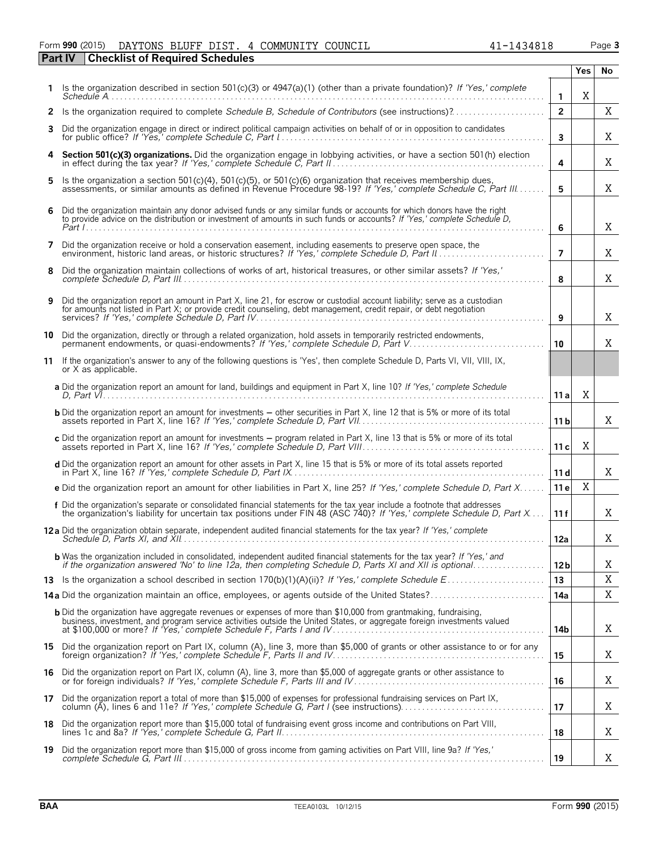### Form **990** (2015) Page **3** DAYTONS BLUFF DIST. 4 COMMUNITY COUNCIL 41-1434818

|    | <b>Checklist of Required Schedules</b><br><b>Part IV</b>                                                                                                                                                                                          |                         |            |     |
|----|---------------------------------------------------------------------------------------------------------------------------------------------------------------------------------------------------------------------------------------------------|-------------------------|------------|-----|
|    |                                                                                                                                                                                                                                                   |                         | <b>Yes</b> | No. |
|    | Is the organization described in section $501(c)(3)$ or $4947(a)(1)$ (other than a private foundation)? If 'Yes,' complete                                                                                                                        | $\mathbf{1}$            | X          |     |
| 2  | Is the organization required to complete Schedule B, Schedule of Contributors (see instructions)?                                                                                                                                                 | $\overline{2}$          |            | X   |
| 3  | Did the organization engage in direct or indirect political campaign activities on behalf of or in opposition to candidates                                                                                                                       | $\overline{\mathbf{3}}$ |            | Χ   |
| 4  | Section 501(c)(3) organizations. Did the organization engage in lobbying activities, or have a section 501(h) election                                                                                                                            | 4                       |            | Χ   |
| 5  | Is the organization a section 501(c)(4), 501(c)(5), or 501(c)(6) organization that receives membership dues,<br>assessments, or similar amounts as defined in Revenue Procedure 98-19? If 'Yes,' complete Schedule C, Part III                    | 5                       |            | X   |
| 6  | Did the organization maintain any donor advised funds or any similar funds or accounts for which donors have the right to provide advice on the distribution or investment of amounts in such funds or accounts? If 'Yes,' com                    | 6                       |            | Χ   |
| 7  | Did the organization receive or hold a conservation easement, including easements to preserve open space, the                                                                                                                                     | $\overline{7}$          |            | Χ   |
| 8  | Did the organization maintain collections of works of art, historical treasures, or other similar assets? If 'Yes,'                                                                                                                               | 8                       |            | Χ   |
| 9  | Did the organization report an amount in Part X, line 21, for escrow or custodial account liability; serve as a custodian<br>for amounts not listed in Part X; or provide credit counseling, debt management, credit repair, or debt negotiation  | 9                       |            | Χ   |
| 10 | Did the organization, directly or through a related organization, hold assets in temporarily restricted endowments,<br>permanent endowments, or quasi-endowments? If 'Yes,' complete Schedule D, Part V                                           | 10                      |            | X   |
| 11 | If the organization's answer to any of the following questions is 'Yes', then complete Schedule D, Parts VI, VII, VIII, IX,<br>or X as applicable.                                                                                                |                         |            |     |
|    | a Did the organization report an amount for land, buildings and equipment in Part X, line 10? If 'Yes,' complete Schedule                                                                                                                         | 11 a                    | Χ          |     |
|    | <b>b</b> Did the organization report an amount for investments - other securities in Part X, line 12 that is 5% or more of its total                                                                                                              | 11 <sub>b</sub>         |            | X   |
|    | c Did the organization report an amount for investments - program related in Part X, line 13 that is 5% or more of its total                                                                                                                      | 11c                     | Χ          |     |
|    | d Did the organization report an amount for other assets in Part X, line 15 that is 5% or more of its total assets reported                                                                                                                       | 11d                     |            | X   |
|    | e Did the organization report an amount for other liabilities in Part X, line 25? If 'Yes,' complete Schedule D, Part X                                                                                                                           | 11 e                    | Χ          |     |
|    | f Did the organization's separate or consolidated financial statements for the tax year include a footnote that addresses<br>the organization's liability for uncertain tax positions under FIN 48 (ASC 740)? If 'Yes,' complete                  | 11f                     |            | X   |
|    | <b>12a</b> Did the organization obtain separate, independent audited financial statements for the tax year? If 'Yes,' complete                                                                                                                    | 12a                     |            | Χ   |
|    | <b>b</b> Was the organization included in consolidated, independent audited financial statements for the tax year? If 'Yes,' and<br>if the organization answered 'No' to line 12a, then completing Schedule D, Parts XI and XII is optional       | 12 <sub>b</sub>         |            | Χ   |
|    |                                                                                                                                                                                                                                                   | 13                      |            | X   |
|    |                                                                                                                                                                                                                                                   | 14a                     |            | Χ   |
|    | <b>b</b> Did the organization have aggregate revenues or expenses of more than \$10,000 from grantmaking, fundraising,<br>business, investment, and program service activities outside the United States, or aggregate foreign investments valued | 14b                     |            | Χ   |
|    | 15 Did the organization report on Part IX, column (A), line 3, more than \$5,000 of grants or other assistance to or for any                                                                                                                      | 15                      |            | Χ   |
| 16 | Did the organization report on Part IX, column (A), line 3, more than \$5,000 of aggregate grants or other assistance to<br>or for foreign individuals? If 'Yes,' complete Schedule F, Parts III and IV                                           | 16                      |            | Χ   |
|    | 17 Did the organization report a total of more than \$15,000 of expenses for professional fundraising services on Part IX,                                                                                                                        | 17                      |            | Χ   |
| 18 | Did the organization report more than \$15,000 total of fundraising event gross income and contributions on Part VIII,                                                                                                                            | 18                      |            | Χ   |
| 19 | Did the organization report more than \$15,000 of gross income from gaming activities on Part VIII, line 9a? If 'Yes,'                                                                                                                            | 19                      |            | Χ   |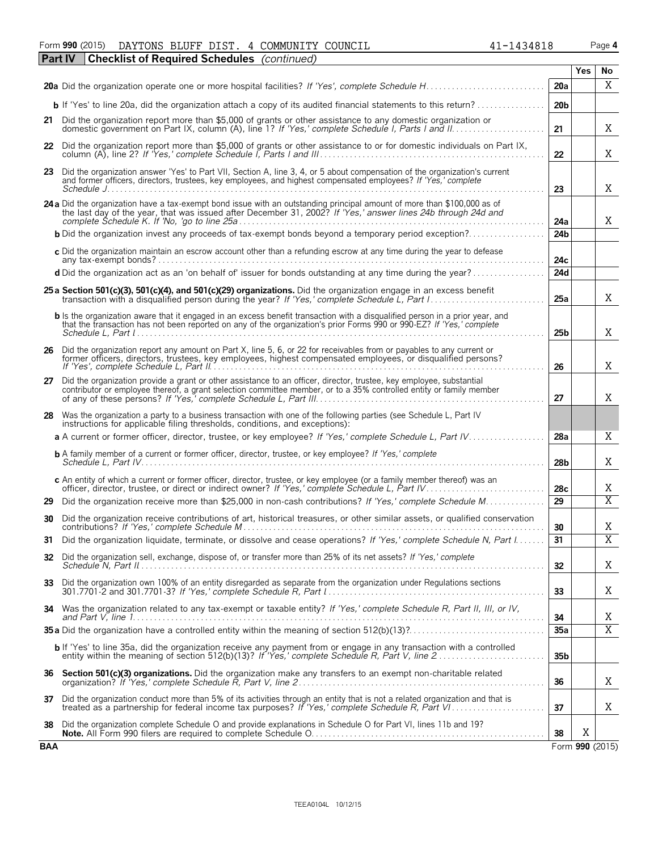| Form 990 (2015) | DAYTONS BLUFF DIST. |  | 4 COMMUNITY COUNCIL                                               |  | 1434818<br>$\overline{\phantom{0}}$ | Page 4 |
|-----------------|---------------------|--|-------------------------------------------------------------------|--|-------------------------------------|--------|
| $P_{2}$ rt IV   |                     |  | $ {\sf Chacklict\ of\ }$ ${\sf Ranuiral\ }$ Schedules (continued) |  |                                     |        |

|            | Part IV<br>Checklist of Required Schedules ( <i>continued</i> )                                                                                                                                                                                              |                 | <b>Yes</b> | No.                           |
|------------|--------------------------------------------------------------------------------------------------------------------------------------------------------------------------------------------------------------------------------------------------------------|-----------------|------------|-------------------------------|
|            |                                                                                                                                                                                                                                                              | 20a             |            | X                             |
|            |                                                                                                                                                                                                                                                              | 20 <sub>b</sub> |            |                               |
|            | 21 Did the organization report more than \$5,000 of grants or other assistance to any domestic organization or                                                                                                                                               | 21              |            | X                             |
|            | 22 Did the organization report more than \$5,000 of grants or other assistance to or for domestic individuals on Part IX,                                                                                                                                    | 22              |            | X                             |
| 23         | Did the organization answer 'Yes' to Part VII, Section A, line 3, 4, or 5 about compensation of the organization's current<br>and former officers, directors, trustees, key employees, and highest compensated employees? If 'Yes,' complete                 | 23              |            | X                             |
|            | 24 a Did the organization have a tax-exempt bond issue with an outstanding principal amount of more than \$100,000 as of<br>the last day of the year, that was issued after December 31, 2002? If 'Yes,' answer lines 24b through 24d and                    | 24a             |            | X                             |
|            | <b>b</b> Did the organization invest any proceeds of tax-exempt bonds beyond a temporary period exception?                                                                                                                                                   | 24 <sub>b</sub> |            |                               |
|            | c Did the organization maintain an escrow account other than a refunding escrow at any time during the year to defease                                                                                                                                       | 24c             |            |                               |
|            | d Did the organization act as an 'on behalf of' issuer for bonds outstanding at any time during the year?                                                                                                                                                    | 24d             |            |                               |
|            | 25 a Section 501(c)(3), 501(c)(4), and 501(c)(29) organizations. Did the organization engage in an excess benefit                                                                                                                                            | 25a             |            | X                             |
|            | <b>b</b> Is the organization aware that it engaged in an excess benefit transaction with a disqualified person in a prior year, and<br>that the transaction has not been reported on any of the organization's prior Forms 990 or 990-EZ? If 'Yes,' complete | 25 <sub>b</sub> |            | X                             |
|            | 26 Did the organization report any amount on Part X, line 5, 6, or 22 for receivables from or payables to any current or<br>former officers, directors, trustees, key employees, highest compensated employees, or disqualified persons?                     | 26              |            | X                             |
|            | 27 Did the organization provide a grant or other assistance to an officer, director, trustee, key employee, substantial<br>contributor or employee thereof, a grant selection committee member, or to a 35% controlled entity or family member               | 27              |            | X                             |
| 28         | Was the organization a party to a business transaction with one of the following parties (see Schedule L, Part IV<br>instructions for applicable filing thresholds, conditions, and exceptions):                                                             |                 |            |                               |
|            | a A current or former officer, director, trustee, or key employee? If 'Yes,' complete Schedule L, Part IV                                                                                                                                                    | 28a             |            | X                             |
|            | <b>b</b> A family member of a current or former officer, director, trustee, or key employee? If 'Yes,' complete                                                                                                                                              | 28 <sub>b</sub> |            | X                             |
|            | c An entity of which a current or former officer, director, trustee, or key employee (or a family member thereof) was an                                                                                                                                     | 28c             |            | X                             |
| 29         | Did the organization receive more than \$25,000 in non-cash contributions? If 'Yes,' complete Schedule M                                                                                                                                                     | 29              |            | $\overline{X}$                |
| 30         | Did the organization receive contributions of art, historical treasures, or other similar assets, or qualified conservation                                                                                                                                  | 30              |            | X                             |
| 31.        | Did the organization liquidate, terminate, or dissolve and cease operations? If 'Yes,' complete Schedule N, Part I                                                                                                                                           | 31              |            | $\overline{\mathbf{v}}$<br>77 |
|            | 32 Did the organization sell, exchange, dispose of, or transfer more than 25% of its net assets? If 'Yes,' complete                                                                                                                                          | 32              |            | X                             |
| 33         | Did the organization own 100% of an entity disregarded as separate from the organization under Regulations sections                                                                                                                                          | 33              |            | X                             |
|            | 34 Was the organization related to any tax-exempt or taxable entity? If 'Yes,' complete Schedule R, Part II, III, or IV,                                                                                                                                     | 34              |            | Χ                             |
|            |                                                                                                                                                                                                                                                              | 35a             |            | X                             |
|            | b If 'Yes' to line 35a, did the organization receive any payment from or engage in any transaction with a controlled<br>entity within the meaning of section 512(b)(13)? If 'Yes,' complete Schedule R, Part V, line 2                                       | 35 <sub>b</sub> |            |                               |
|            | 36 Section 501(c)(3) organizations. Did the organization make any transfers to an exempt non-charitable related                                                                                                                                              | 36              |            | X                             |
|            | 37 Did the organization conduct more than 5% of its activities through an entity that is not a related organization and that is                                                                                                                              | 37              |            | X                             |
| 38         | Did the organization complete Schedule O and provide explanations in Schedule O for Part VI, lines 11b and 19?                                                                                                                                               | 38              | X          |                               |
| <b>BAA</b> |                                                                                                                                                                                                                                                              |                 |            | Form 990 (2015)               |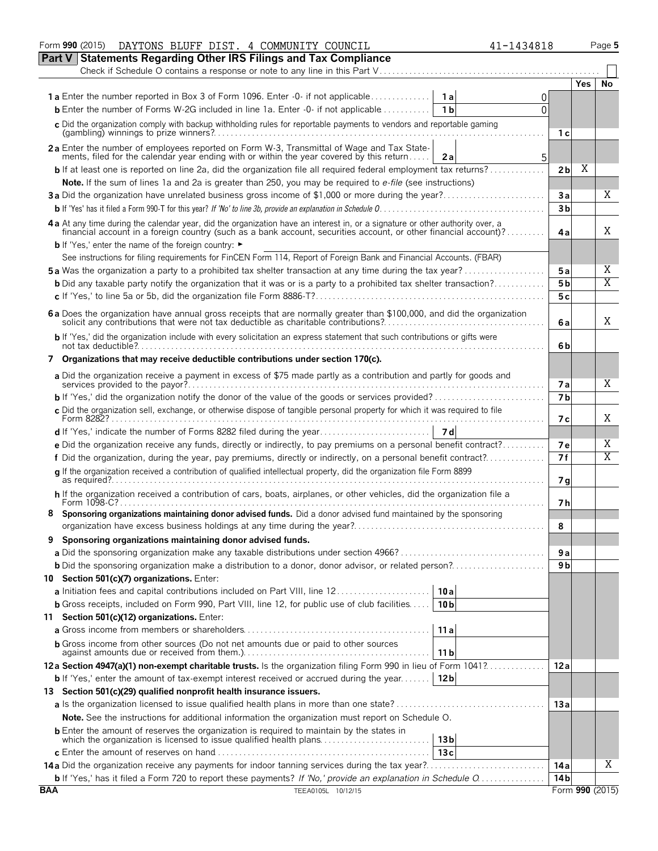| DAYTONS BLUFF DIST. 4 COMMUNITY COUNCIL<br>Form 990 (2015)<br>41-1434818                                                                                                                                                       |                 |                 | Page 5 |
|--------------------------------------------------------------------------------------------------------------------------------------------------------------------------------------------------------------------------------|-----------------|-----------------|--------|
| Part V Statements Regarding Other IRS Filings and Tax Compliance                                                                                                                                                               |                 |                 |        |
| Check if Schedule O contains a response or note to any line in this Part V                                                                                                                                                     |                 |                 |        |
|                                                                                                                                                                                                                                |                 | Yes.            | No     |
| <b>1a</b> Enter the number reported in Box 3 of Form 1096. Enter -0- if not applicable<br>1a                                                                                                                                   | 0               |                 |        |
| <b>b</b> Enter the number of Forms W-2G included in line 1a. Enter -0- if not applicable<br>1 <sub>b</sub>                                                                                                                     | 0               |                 |        |
|                                                                                                                                                                                                                                |                 |                 |        |
| c Did the organization comply with backup withholding rules for reportable payments to vendors and reportable gaming                                                                                                           | 1 с             |                 |        |
| 2a Enter the number of employees reported on Form W-3, Transmittal of Wage and Tax State-                                                                                                                                      |                 |                 |        |
| ments, filed for the calendar year ending with or within the year covered by this return<br>2a                                                                                                                                 | 5               |                 |        |
| <b>b</b> If at least one is reported on line 2a, did the organization file all required federal employment tax returns?                                                                                                        | 2 <sub>b</sub>  | Χ               |        |
|                                                                                                                                                                                                                                |                 |                 |        |
| Note. If the sum of lines 1a and 2a is greater than 250, you may be required to e-file (see instructions)                                                                                                                      |                 |                 |        |
|                                                                                                                                                                                                                                | Зa              |                 | Χ      |
|                                                                                                                                                                                                                                | 3 <sub>b</sub>  |                 |        |
| 4 a At any time during the calendar year, did the organization have an interest in, or a signature or other authority over, a financial account in a foreign country (such as a bank account, securities account, or other fin |                 |                 |        |
|                                                                                                                                                                                                                                | 4a              |                 | X      |
| <b>b</b> If 'Yes,' enter the name of the foreign country: ►                                                                                                                                                                    |                 |                 |        |
| See instructions for filing requirements for FinCEN Form 114, Report of Foreign Bank and Financial Accounts. (FBAR)                                                                                                            |                 |                 |        |
| <b>5a</b> Was the organization a party to a prohibited tax shelter transaction at any time during the tax year?                                                                                                                | 5 a             |                 | Χ      |
| <b>b</b> Did any taxable party notify the organization that it was or is a party to a prohibited tax shelter transaction?                                                                                                      | 5 <sub>b</sub>  |                 | Χ      |
|                                                                                                                                                                                                                                | 5с              |                 |        |
|                                                                                                                                                                                                                                |                 |                 |        |
| 6 a Does the organization have annual gross receipts that are normally greater than \$100,000, and did the organization solicit any contributions that were not tax deductible as charitable contributions?                    | 6 a             |                 | Χ      |
|                                                                                                                                                                                                                                |                 |                 |        |
| b If 'Yes,' did the organization include with every solicitation an express statement that such contributions or gifts were                                                                                                    | 6b              |                 |        |
|                                                                                                                                                                                                                                |                 |                 |        |
| 7 Organizations that may receive deductible contributions under section 170(c).                                                                                                                                                |                 |                 |        |
| a Did the organization receive a payment in excess of \$75 made partly as a contribution and partly for goods and                                                                                                              |                 |                 |        |
|                                                                                                                                                                                                                                | 7а              |                 | Χ      |
|                                                                                                                                                                                                                                | 7 <sub>b</sub>  |                 |        |
| c Did the organization sell, exchange, or otherwise dispose of tangible personal property for which it was required to file                                                                                                    |                 |                 | Χ      |
|                                                                                                                                                                                                                                | 7 с             |                 |        |
|                                                                                                                                                                                                                                |                 |                 |        |
| e Did the organization receive any funds, directly or indirectly, to pay premiums on a personal benefit contract?                                                                                                              | 7е              |                 | Χ      |
| f Did the organization, during the year, pay premiums, directly or indirectly, on a personal benefit contract?                                                                                                                 | 7f              |                 | Χ      |
| g If the organization received a contribution of qualified intellectual property, did the organization file Form 8899                                                                                                          |                 |                 |        |
|                                                                                                                                                                                                                                | 7g              |                 |        |
| h If the organization received a contribution of cars, boats, airplanes, or other vehicles, did the organization file a                                                                                                        |                 |                 |        |
| Form 1098-C?<br>Sponsoring organizations maintaining donor advised funds. Did a donor advised fund maintained by the sponsoring                                                                                                | 7 h             |                 |        |
|                                                                                                                                                                                                                                |                 |                 |        |
|                                                                                                                                                                                                                                | 8               |                 |        |
| Sponsoring organizations maintaining donor advised funds.                                                                                                                                                                      |                 |                 |        |
|                                                                                                                                                                                                                                | 9 a             |                 |        |
| <b>b</b> Did the sponsoring organization make a distribution to a donor, donor advisor, or related person?                                                                                                                     | 9 <sub>b</sub>  |                 |        |
| 10 Section 501(c)(7) organizations. Enter:                                                                                                                                                                                     |                 |                 |        |
| a Initiation fees and capital contributions included on Part VIII, line 12<br>10a                                                                                                                                              |                 |                 |        |
| <b>b</b> Gross receipts, included on Form 990, Part VIII, line 12, for public use of club facilities<br>10 <sub>b</sub>                                                                                                        |                 |                 |        |
| 11 Section 501(c)(12) organizations. Enter:                                                                                                                                                                                    |                 |                 |        |
| 11a                                                                                                                                                                                                                            |                 |                 |        |
|                                                                                                                                                                                                                                |                 |                 |        |
| <b>b</b> Gross income from other sources (Do not net amounts due or paid to other sources<br>11 <sub>b</sub>                                                                                                                   |                 |                 |        |
| 12a Section 4947(a)(1) non-exempt charitable trusts. Is the organization filing Form 990 in lieu of Form 1041?                                                                                                                 | 12a             |                 |        |
|                                                                                                                                                                                                                                |                 |                 |        |
| <b>b</b> If 'Yes,' enter the amount of tax-exempt interest received or accrued during the year<br>12 <sub>b</sub>                                                                                                              |                 |                 |        |
| 13 Section 501(c)(29) qualified nonprofit health insurance issuers.                                                                                                                                                            |                 |                 |        |
|                                                                                                                                                                                                                                | 13a             |                 |        |
| Note. See the instructions for additional information the organization must report on Schedule O.                                                                                                                              |                 |                 |        |
| <b>b</b> Enter the amount of reserves the organization is required to maintain by the states in                                                                                                                                |                 |                 |        |
| which the organization is licensed to issue qualified health plans<br>13 <sub>b</sub>                                                                                                                                          |                 |                 |        |
| 13c                                                                                                                                                                                                                            |                 |                 |        |
| 14a Did the organization receive any payments for indoor tanning services during the tax year?                                                                                                                                 | 14 a            |                 | X      |
| <b>b</b> If 'Yes,' has it filed a Form 720 to report these payments? If 'No,' provide an explanation in Schedule O                                                                                                             | 14 <sub>b</sub> |                 |        |
| <b>BAA</b><br>TEEA0105L 10/12/15                                                                                                                                                                                               |                 | Form 990 (2015) |        |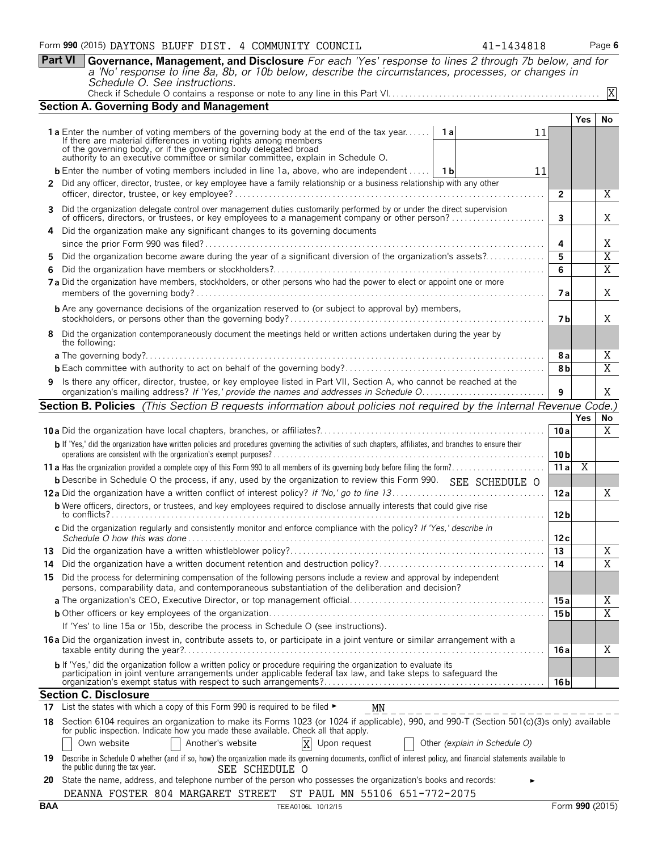**Part VI Governance, Management, and Disclosure** *For each 'Yes' response to lines 2 through 7b below, and for a 'No' response to line 8a, 8b, or 10b below, describe the circumstances, processes, or changes in Schedule O. See instructions.* Check if Schedule O contains a response or note to any line in this Part VI. . . . . . . . . . . . . . . . . . . . . . . . . . . . . . . . . . . . . . . . . . . . . . . . . . X

|    | <b>Section A. Governing Body and Management</b>                                                                                                                                                                                 |                 |            |                     |
|----|---------------------------------------------------------------------------------------------------------------------------------------------------------------------------------------------------------------------------------|-----------------|------------|---------------------|
|    |                                                                                                                                                                                                                                 |                 | <b>Yes</b> | No.                 |
|    | <b>1a</b> Enter the number of voting members of the governing body at the end of the tax year<br>11                                                                                                                             |                 |            |                     |
|    | If there are material differences in voting rights among members<br>of the governing body, or if the governing body delegated broad<br>authority to an executive committee or similar committee, explain in Schedule O.         |                 |            |                     |
|    | <b>b</b> Enter the number of voting members included in line 1a, above, who are independent    1b<br>11                                                                                                                         |                 |            |                     |
|    | 2 Did any officer, director, trustee, or key employee have a family relationship or a business relationship with any other                                                                                                      |                 |            |                     |
|    |                                                                                                                                                                                                                                 | $\overline{2}$  |            | Χ                   |
|    | 3 Did the organization delegate control over management duties customarily performed by or under the direct supervision<br>of officers, directors, or trustees, or key employees to a management company or other person?       | $\mathbf{3}$    |            | X                   |
|    | 4 Did the organization make any significant changes to its governing documents                                                                                                                                                  |                 |            |                     |
|    | Did the organization become aware during the year of a significant diversion of the organization's assets?                                                                                                                      | 4<br>5          |            | Χ<br>$\overline{X}$ |
| 6. |                                                                                                                                                                                                                                 | 6               |            | $\overline{X}$      |
|    | 7a Did the organization have members, stockholders, or other persons who had the power to elect or appoint one or more                                                                                                          | <b>7a</b>       |            | X                   |
|    | <b>b</b> Are any governance decisions of the organization reserved to (or subject to approval by) members,                                                                                                                      | 7 b             |            | X                   |
|    | 8 Did the organization contemporaneously document the meetings held or written actions undertaken during the year by<br>the following:                                                                                          |                 |            |                     |
|    |                                                                                                                                                                                                                                 | 8a              |            | Χ                   |
|    |                                                                                                                                                                                                                                 | 8b              |            | $\overline{X}$      |
|    | 9 Is there any officer, director, trustee, or key employee listed in Part VII, Section A, who cannot be reached at the                                                                                                          | 9               |            | X                   |
|    | Section B. Policies (This Section B requests information about policies not required by the Internal Revenue Code.)                                                                                                             |                 |            |                     |
|    |                                                                                                                                                                                                                                 |                 | Yes        | No                  |
|    |                                                                                                                                                                                                                                 | 10a             |            | X                   |
|    | b If 'Yes,' did the organization have written policies and procedures governing the activities of such chapters, affiliates, and branches to ensure their                                                                       | 10 <sub>b</sub> |            |                     |
|    |                                                                                                                                                                                                                                 | 11 a            | X          |                     |
|    | <b>b</b> Describe in Schedule O the process, if any, used by the organization to review this Form 990. SEE SCHEDULE O                                                                                                           |                 |            |                     |
|    |                                                                                                                                                                                                                                 | 12a             |            | X                   |
|    | <b>b</b> Were officers, directors, or trustees, and key employees required to disclose annually interests that could give rise<br>.                                                                                             | 12 <sub>b</sub> |            |                     |
|    | c Did the organization regularly and consistently monitor and enforce compliance with the policy? If 'Yes,' describe in                                                                                                         | 12c             |            |                     |
|    |                                                                                                                                                                                                                                 | 13              |            | X                   |
|    |                                                                                                                                                                                                                                 | 14              |            | $\overline{X}$      |
|    | 15 Did the process for determining compensation of the following persons include a review and approval by independent<br>persons, comparability data, and contemporaneous substantiation of the deliberation and decision?      |                 |            |                     |
|    |                                                                                                                                                                                                                                 | 15 a            |            | Χ                   |
|    |                                                                                                                                                                                                                                 | 15 <sub>b</sub> |            | $\overline{X}$      |
|    | If 'Yes' to line 15a or 15b, describe the process in Schedule O (see instructions).                                                                                                                                             |                 |            |                     |
|    | 16 a Did the organization invest in, contribute assets to, or participate in a joint venture or similar arrangement with a                                                                                                      | 16 a            |            | Χ                   |
|    | b If 'Yes,' did the organization follow a written policy or procedure requiring the organization to evaluate its participation in joint venture arrangements under applicable federal tax law, and take steps to safeguard the  |                 |            |                     |
|    |                                                                                                                                                                                                                                 | 16 b            |            |                     |
|    | <b>Section C. Disclosure</b><br>17 List the states with which a copy of this Form 990 is required to be filed $\blacktriangleright$                                                                                             |                 |            |                     |
|    | MN                                                                                                                                                                                                                              |                 |            |                     |
| 18 | Section 6104 requires an organization to make its Forms 1023 (or 1024 if applicable), 990, and 990-T (Section 501(c)(3)s only) available<br>for public inspection. Indicate how you made these available. Check all that apply. |                 |            |                     |
|    | Other (explain in Schedule O)<br>Own website<br>Another's website<br>X Upon request                                                                                                                                             |                 |            |                     |
| 19 | Describe in Schedule O whether (and if so, how) the organization made its governing documents, conflict of interest policy, and financial statements available to<br>the public during the tax year.<br>SEE SCHEDULE O          |                 |            |                     |
| 20 | State the name, address, and telephone number of the person who possesses the organization's books and records:                                                                                                                 |                 |            |                     |
|    | DEANNA FOSTER 804 MARGARET STREET ST PAUL MN 55106 651-772-2075                                                                                                                                                                 |                 |            |                     |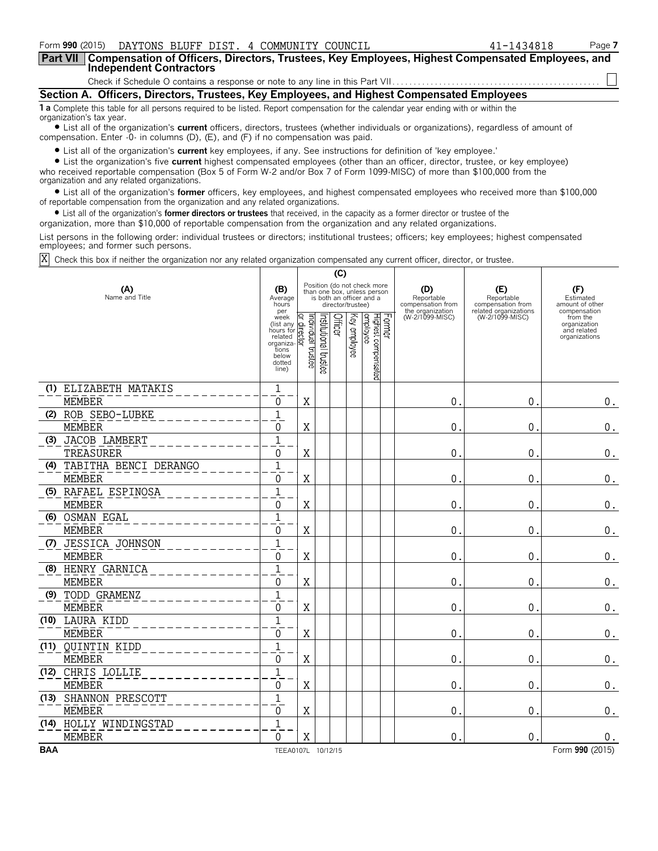| Form 990 (2015)<br>DAYTONS BLUFF DIST. 4 COMMUNITY COUNCIL                                                                                                                                                                                                                                                                                                                                                                              | 41-1434818 | Page 7 |
|-----------------------------------------------------------------------------------------------------------------------------------------------------------------------------------------------------------------------------------------------------------------------------------------------------------------------------------------------------------------------------------------------------------------------------------------|------------|--------|
| <b>Part VII</b><br>Compensation of Officers, Directors, Trustees, Key Employees, Highest Compensated Employees, and<br><b>Independent Contractors</b>                                                                                                                                                                                                                                                                                   |            |        |
|                                                                                                                                                                                                                                                                                                                                                                                                                                         |            |        |
| Section A. Officers, Directors, Trustees, Key Employees, and Highest Compensated Employees                                                                                                                                                                                                                                                                                                                                              |            |        |
| <b>1 a</b> Complete this table for all persons required to be listed. Report compensation for the calendar year ending with or within the<br>organization's tax year.<br>• List all of the organization's <b>current</b> officers, directors, trustees (whether individuals or organizations), regardless of amount of<br>compensation. Enter -0- in columns (D), (E), and (F) if no compensation was paid.                             |            |        |
| • List all of the organization's <b>current</b> key employees, if any. See instructions for definition of 'key employee.'<br>• List the organization's five current highest compensated employees (other than an officer, director, trustee, or key employee)<br>who received reportable compensation (Box 5 of Form W-2 and/or Box 7 of Form 1099-MISC) of more than \$100,000 from the<br>organization and any related organizations. |            |        |

? List all of the organization's **former** officers, key employees, and highest compensated employees who received more than \$100,000 of reportable compensation from the organization and any related organizations.

? List all of the organization's **former directors or trustees** that received, in the capacity as a former director or trustee of the

organization, more than \$10,000 of reportable compensation from the organization and any related organizations.

List persons in the following order: individual trustees or directors; institutional trustees; officers; key employees; highest compensated employees; and former such persons.

Check this box if neither the organization nor any related organization compensated any current officer, director, or trustee. X

|            | (C)                       |                                                                                            |                                  |                       |         |                   |                                                                                        |        |                                                            |                                          |                                                          |
|------------|---------------------------|--------------------------------------------------------------------------------------------|----------------------------------|-----------------------|---------|-------------------|----------------------------------------------------------------------------------------|--------|------------------------------------------------------------|------------------------------------------|----------------------------------------------------------|
|            | (A)<br>Name and Title     | (B)<br>Average<br>hours<br>per                                                             |                                  |                       |         | director/trustee) | Position (do not check more<br>than one box, unless person<br>is both an officer and a |        | (D)<br>Reportable<br>compensation from<br>the organization | (E)<br>Reportable<br>compensation from   | (F)<br>Estimated<br>amount of other<br>compensation      |
|            |                           | week<br>(list any<br>hours for<br>related<br>organiza<br>tions<br>below<br>dotted<br>line) | əətsut laubivibni<br>direct<br>হ | Institutional trustee | Officer | Key employee      | Highest compensated<br>employee                                                        | Former | (W-2/1099-MISC)                                            | related organizations<br>(W-2/1099-MISC) | from the<br>organization<br>and related<br>organizations |
|            | (1) ELIZABETH MATAKIS     | $1\,$                                                                                      |                                  |                       |         |                   |                                                                                        |        |                                                            |                                          |                                                          |
|            | <b>MEMBER</b>             | $\Omega$                                                                                   | $\rm X$                          |                       |         |                   |                                                                                        |        | 0                                                          | 0                                        | 0.                                                       |
|            | (2) ROB SEBO-LUBKE        | $\mathbf 1$                                                                                |                                  |                       |         |                   |                                                                                        |        |                                                            |                                          |                                                          |
|            | <b>MEMBER</b>             | $\Omega$                                                                                   | X                                |                       |         |                   |                                                                                        |        | 0                                                          | 0                                        | 0.                                                       |
| (3)        | <b>JACOB LAMBERT</b>      | $\mathbf{1}$                                                                               |                                  |                       |         |                   |                                                                                        |        |                                                            |                                          |                                                          |
|            | TREASURER                 | $\Omega$                                                                                   | $\rm X$                          |                       |         |                   |                                                                                        |        | 0                                                          | 0                                        | 0.                                                       |
|            | (4) TABITHA BENCI DERANGO | $\mathbf{1}$                                                                               |                                  |                       |         |                   |                                                                                        |        |                                                            |                                          |                                                          |
|            | <b>MEMBER</b>             | 0                                                                                          | $\mathbf X$                      |                       |         |                   |                                                                                        |        | 0                                                          | $\mathbf{0}$                             | $\boldsymbol{0}$ .                                       |
|            | (5) RAFAEL ESPINOSA       | $\mathbf{1}$                                                                               |                                  |                       |         |                   |                                                                                        |        |                                                            |                                          |                                                          |
|            | <b>MEMBER</b>             | $\Omega$                                                                                   | X                                |                       |         |                   |                                                                                        |        | 0                                                          | $\mathbf{0}$                             | 0.                                                       |
|            | (6) OSMAN EGAL            | $\overline{1}$                                                                             |                                  |                       |         |                   |                                                                                        |        |                                                            |                                          |                                                          |
|            | <b>MEMBER</b>             | $\mathbf{0}$                                                                               | X                                |                       |         |                   |                                                                                        |        | 0                                                          | $\mathbf{0}$                             | $0$ .                                                    |
|            | (7) JESSICA JOHNSON       | $\overline{1}$                                                                             |                                  |                       |         |                   |                                                                                        |        |                                                            |                                          |                                                          |
|            | <b>MEMBER</b>             | 0                                                                                          | Χ                                |                       |         |                   |                                                                                        |        | 0                                                          | $\mathbf 0$                              | $\boldsymbol{0}$ .                                       |
|            | (8) HENRY GARNICA         | $\overline{1}$                                                                             |                                  |                       |         |                   |                                                                                        |        |                                                            |                                          |                                                          |
|            | <b>MEMBER</b>             | $\Omega$                                                                                   | X                                |                       |         |                   |                                                                                        |        | 0                                                          | 0                                        | $\boldsymbol{0}$ .                                       |
|            | (9) TODD GRAMENZ          | $\overline{1}$                                                                             |                                  |                       |         |                   |                                                                                        |        |                                                            |                                          |                                                          |
|            | <b>MEMBER</b>             | $\overline{0}$                                                                             | $\rm X$                          |                       |         |                   |                                                                                        |        | 0                                                          | $\mathbf 0$                              | $\boldsymbol{0}$ .                                       |
|            | (10) LAURA KIDD           | $\overline{1}$                                                                             |                                  |                       |         |                   |                                                                                        |        |                                                            |                                          |                                                          |
|            | <b>MEMBER</b>             | 0                                                                                          | X                                |                       |         |                   |                                                                                        |        | 0                                                          | 0                                        | $\boldsymbol{0}$ .                                       |
|            | (11) QUINTIN KIDD         | $\overline{1}$                                                                             |                                  |                       |         |                   |                                                                                        |        |                                                            |                                          |                                                          |
|            | <b>MEMBER</b>             | $\Omega$                                                                                   | X                                |                       |         |                   |                                                                                        |        | 0                                                          | 0.                                       | $0$ .                                                    |
|            | (12) CHRIS LOLLIE         | $\mathbf{1}$                                                                               |                                  |                       |         |                   |                                                                                        |        |                                                            |                                          |                                                          |
|            | <b>MEMBER</b>             | 0                                                                                          | X                                |                       |         |                   |                                                                                        |        | 0                                                          | $\mathbf 0$                              | $\boldsymbol{0}$ .                                       |
|            | (13) SHANNON PRESCOTT     | $\mathbf{1}$                                                                               |                                  |                       |         |                   |                                                                                        |        |                                                            |                                          |                                                          |
|            | <b>MEMBER</b>             | $\Omega$                                                                                   | X                                |                       |         |                   |                                                                                        |        | 0                                                          | 0                                        | 0.                                                       |
|            | (14) HOLLY WINDINGSTAD    | $\mathbf{1}$                                                                               |                                  |                       |         |                   |                                                                                        |        |                                                            |                                          |                                                          |
|            | <b>MEMBER</b>             | $\Omega$                                                                                   | X                                |                       |         |                   |                                                                                        |        | 0                                                          | $\overline{0}$                           | $0$ .                                                    |
| <b>BAA</b> |                           | TEEA0107L 10/12/15                                                                         |                                  |                       |         |                   |                                                                                        |        |                                                            |                                          | Form 990 (2015)                                          |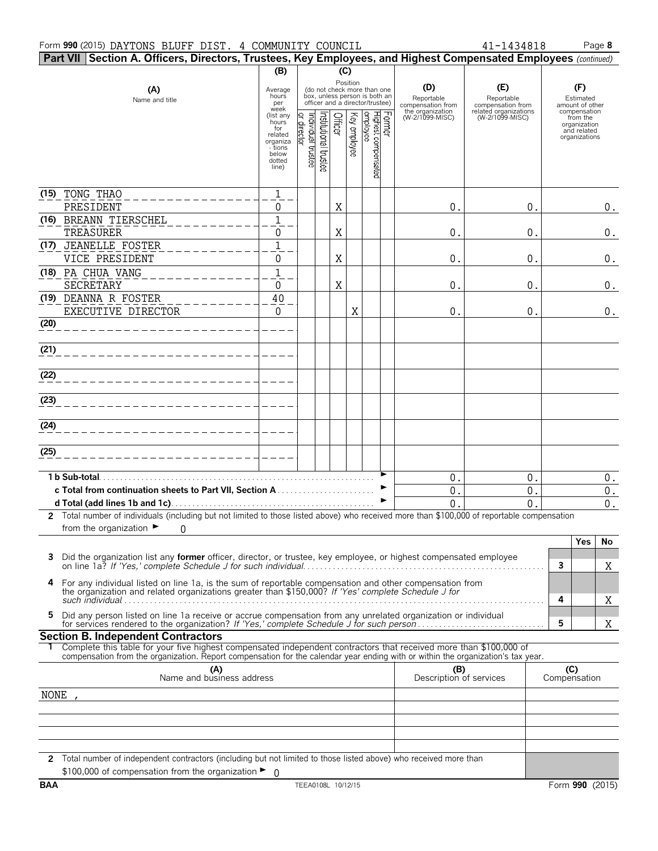| Part VII Section A. Officers, Directors, Trustees, Key Employees, and Highest Compensated Employees (continued)                                                                                                                                        |                                                                                                                            |                               |                                                                                                                         |         |                          |                                 |        |                                                                               |                                                                                    |                     |                                                                                                                 |                    |
|--------------------------------------------------------------------------------------------------------------------------------------------------------------------------------------------------------------------------------------------------------|----------------------------------------------------------------------------------------------------------------------------|-------------------------------|-------------------------------------------------------------------------------------------------------------------------|---------|--------------------------|---------------------------------|--------|-------------------------------------------------------------------------------|------------------------------------------------------------------------------------|---------------------|-----------------------------------------------------------------------------------------------------------------|--------------------|
|                                                                                                                                                                                                                                                        | (B)                                                                                                                        |                               |                                                                                                                         | (C)     |                          |                                 |        |                                                                               |                                                                                    |                     |                                                                                                                 |                    |
| (A)<br>Name and title                                                                                                                                                                                                                                  | Average<br>hours<br>per<br>week<br>(list any<br>hours<br>for<br>related<br>organiza<br>- tions<br>below<br>dotted<br>line) | ndividual trustee<br>director | (do not check more than one<br>box, unless person is both an<br>officer and a director/trustee)<br>nstitutional trustee | Officer | Position<br>Key employee | Highest compensated<br>employee | Former | (D)<br>Reportable<br>compensation from<br>the organization<br>(W-2/1099-MISC) | (E)<br>Reportable<br>compensation from<br>related organizations<br>(W-2/1099-MISC) |                     | (F)<br>Estimated<br>amount of other<br>compensation<br>from the<br>organization<br>and related<br>organizations |                    |
|                                                                                                                                                                                                                                                        |                                                                                                                            |                               |                                                                                                                         |         |                          |                                 |        |                                                                               |                                                                                    |                     |                                                                                                                 |                    |
| (15) TONG THAO                                                                                                                                                                                                                                         | $1\,$                                                                                                                      |                               |                                                                                                                         |         |                          |                                 |        |                                                                               |                                                                                    |                     |                                                                                                                 |                    |
| PRESIDENT<br>(16) BREANN TIERSCHEL                                                                                                                                                                                                                     | 0<br>$\mathbf{1}$                                                                                                          |                               |                                                                                                                         | X       |                          |                                 |        | $0$ .                                                                         | 0.                                                                                 |                     |                                                                                                                 | 0.                 |
| TREASURER                                                                                                                                                                                                                                              | 0                                                                                                                          |                               |                                                                                                                         | X       |                          |                                 |        | $0$ .                                                                         | 0.                                                                                 |                     |                                                                                                                 | 0.                 |
| (17) JEANELLE FOSTER                                                                                                                                                                                                                                   | $\mathbf 1$                                                                                                                |                               |                                                                                                                         |         |                          |                                 |        |                                                                               |                                                                                    |                     |                                                                                                                 |                    |
| VICE PRESIDENT                                                                                                                                                                                                                                         | 0                                                                                                                          |                               |                                                                                                                         | X       |                          |                                 |        | 0.                                                                            | 0.                                                                                 |                     |                                                                                                                 | 0.                 |
| (18) PA CHUA VANG                                                                                                                                                                                                                                      | $\mathbf{1}$                                                                                                               |                               |                                                                                                                         |         |                          |                                 |        |                                                                               |                                                                                    |                     |                                                                                                                 |                    |
| SECRETARY                                                                                                                                                                                                                                              | 0                                                                                                                          |                               |                                                                                                                         | X       |                          |                                 |        | 0.                                                                            | 0.                                                                                 |                     |                                                                                                                 | 0.                 |
| (19) DEANNA R FOSTER                                                                                                                                                                                                                                   | 40                                                                                                                         |                               |                                                                                                                         |         |                          |                                 |        |                                                                               |                                                                                    |                     |                                                                                                                 |                    |
| EXECUTIVE DIRECTOR                                                                                                                                                                                                                                     | $\mathbf 0$                                                                                                                |                               |                                                                                                                         |         | Χ                        |                                 |        | $\mathsf{O}$ .                                                                | $\mathbf 0$ .                                                                      |                     |                                                                                                                 | $\boldsymbol{0}$ . |
| (20)                                                                                                                                                                                                                                                   |                                                                                                                            |                               |                                                                                                                         |         |                          |                                 |        |                                                                               |                                                                                    |                     |                                                                                                                 |                    |
|                                                                                                                                                                                                                                                        |                                                                                                                            |                               |                                                                                                                         |         |                          |                                 |        |                                                                               |                                                                                    |                     |                                                                                                                 |                    |
| (21)                                                                                                                                                                                                                                                   |                                                                                                                            |                               |                                                                                                                         |         |                          |                                 |        |                                                                               |                                                                                    |                     |                                                                                                                 |                    |
| (22)                                                                                                                                                                                                                                                   |                                                                                                                            |                               |                                                                                                                         |         |                          |                                 |        |                                                                               |                                                                                    |                     |                                                                                                                 |                    |
|                                                                                                                                                                                                                                                        |                                                                                                                            |                               |                                                                                                                         |         |                          |                                 |        |                                                                               |                                                                                    |                     |                                                                                                                 |                    |
| (23)                                                                                                                                                                                                                                                   |                                                                                                                            |                               |                                                                                                                         |         |                          |                                 |        |                                                                               |                                                                                    |                     |                                                                                                                 |                    |
|                                                                                                                                                                                                                                                        |                                                                                                                            |                               |                                                                                                                         |         |                          |                                 |        |                                                                               |                                                                                    |                     |                                                                                                                 |                    |
| (24)                                                                                                                                                                                                                                                   |                                                                                                                            |                               |                                                                                                                         |         |                          |                                 |        |                                                                               |                                                                                    |                     |                                                                                                                 |                    |
|                                                                                                                                                                                                                                                        |                                                                                                                            |                               |                                                                                                                         |         |                          |                                 |        |                                                                               |                                                                                    |                     |                                                                                                                 |                    |
| (25)                                                                                                                                                                                                                                                   |                                                                                                                            |                               |                                                                                                                         |         |                          |                                 |        |                                                                               |                                                                                    |                     |                                                                                                                 |                    |
| 1 b Sub-total.                                                                                                                                                                                                                                         |                                                                                                                            |                               |                                                                                                                         |         |                          |                                 |        | 0.                                                                            | $\mathbf 0$ .                                                                      |                     |                                                                                                                 | $0$ .              |
|                                                                                                                                                                                                                                                        |                                                                                                                            |                               |                                                                                                                         |         |                          |                                 | ►      | $0$ .                                                                         | 0.                                                                                 |                     |                                                                                                                 | $\boldsymbol{0}$ . |
|                                                                                                                                                                                                                                                        |                                                                                                                            |                               |                                                                                                                         |         |                          |                                 | ►      | 0                                                                             | 0                                                                                  |                     |                                                                                                                 | 0.                 |
| 2 Total number of individuals (including but not limited to those listed above) who received more than \$100,000 of reportable compensation                                                                                                            |                                                                                                                            |                               |                                                                                                                         |         |                          |                                 |        |                                                                               |                                                                                    |                     |                                                                                                                 |                    |
| from the organization $\blacktriangleright$<br>0                                                                                                                                                                                                       |                                                                                                                            |                               |                                                                                                                         |         |                          |                                 |        |                                                                               |                                                                                    |                     |                                                                                                                 |                    |
|                                                                                                                                                                                                                                                        |                                                                                                                            |                               |                                                                                                                         |         |                          |                                 |        |                                                                               |                                                                                    |                     | Yes                                                                                                             | No                 |
| Did the organization list any <b>former</b> officer, director, or trustee, key employee, or highest compensated employee                                                                                                                               |                                                                                                                            |                               |                                                                                                                         |         |                          |                                 |        |                                                                               |                                                                                    |                     |                                                                                                                 |                    |
|                                                                                                                                                                                                                                                        |                                                                                                                            |                               |                                                                                                                         |         |                          |                                 |        |                                                                               |                                                                                    | 3                   |                                                                                                                 | Χ                  |
| 4<br>For any individual listed on line 1a, is the sum of reportable compensation and other compensation from<br>the organization and related organizations greater than \$150,000? If 'Yes' complete Schedule J for                                    |                                                                                                                            |                               |                                                                                                                         |         |                          |                                 |        |                                                                               |                                                                                    | 4                   |                                                                                                                 | Χ                  |
| Did any person listed on line 1a receive or accrue compensation from any unrelated organization or individual<br>5                                                                                                                                     |                                                                                                                            |                               |                                                                                                                         |         |                          |                                 |        |                                                                               |                                                                                    | 5                   |                                                                                                                 | Χ                  |
| <b>Section B. Independent Contractors</b>                                                                                                                                                                                                              |                                                                                                                            |                               |                                                                                                                         |         |                          |                                 |        |                                                                               |                                                                                    |                     |                                                                                                                 |                    |
| Complete this table for your five highest compensated independent contractors that received more than \$100,000 of<br>compensation from the organization. Report compensation for the calendar year ending with or within the organization's tax year. |                                                                                                                            |                               |                                                                                                                         |         |                          |                                 |        |                                                                               |                                                                                    |                     |                                                                                                                 |                    |
| (A)<br>Name and business address                                                                                                                                                                                                                       |                                                                                                                            |                               |                                                                                                                         |         |                          |                                 |        | (B)<br>Description of services                                                |                                                                                    | (C)<br>Compensation |                                                                                                                 |                    |
|                                                                                                                                                                                                                                                        |                                                                                                                            |                               |                                                                                                                         |         |                          |                                 |        |                                                                               |                                                                                    |                     |                                                                                                                 |                    |
| NONE                                                                                                                                                                                                                                                   |                                                                                                                            |                               |                                                                                                                         |         |                          |                                 |        |                                                                               |                                                                                    |                     |                                                                                                                 |                    |
|                                                                                                                                                                                                                                                        |                                                                                                                            |                               |                                                                                                                         |         |                          |                                 |        |                                                                               |                                                                                    |                     |                                                                                                                 |                    |
|                                                                                                                                                                                                                                                        |                                                                                                                            |                               |                                                                                                                         |         |                          |                                 |        |                                                                               |                                                                                    |                     |                                                                                                                 |                    |
|                                                                                                                                                                                                                                                        |                                                                                                                            |                               |                                                                                                                         |         |                          |                                 |        |                                                                               |                                                                                    |                     |                                                                                                                 |                    |
| 2 Total number of independent contractors (including but not limited to those listed above) who received more than                                                                                                                                     |                                                                                                                            |                               |                                                                                                                         |         |                          |                                 |        |                                                                               |                                                                                    |                     |                                                                                                                 |                    |
| \$100,000 of compensation from the organization $\blacktriangleright$ 0                                                                                                                                                                                |                                                                                                                            |                               |                                                                                                                         |         |                          |                                 |        |                                                                               |                                                                                    |                     |                                                                                                                 |                    |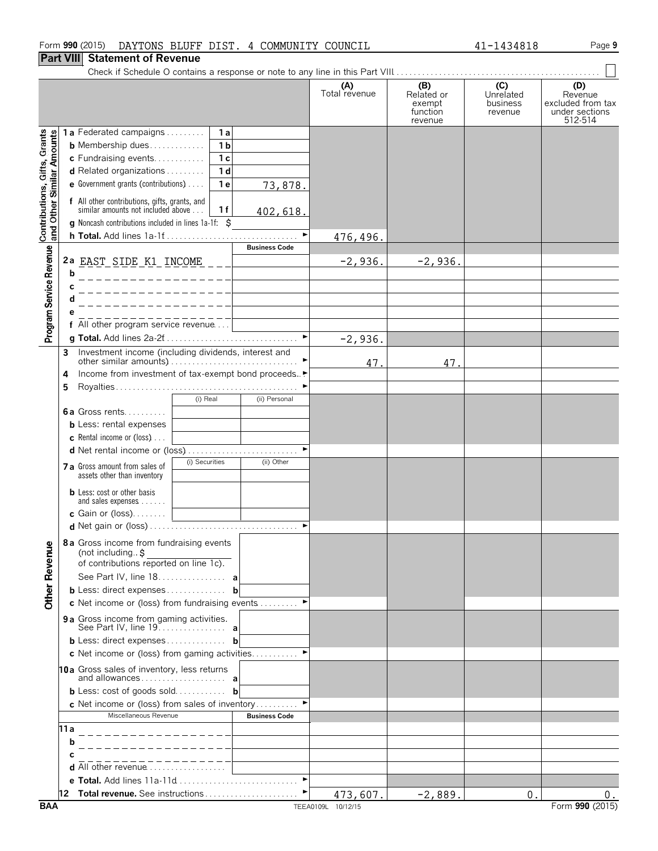**c** Net income or (loss) from sales of inventory . . . . . . . . . ▶ Miscellaneous Revenue **Business Code** 

**e Total.** Add lines 11a-11d. . . . . . . . . . . . . . . . . . . . . . . . . . . . . G **12 Total revenue.** See instructions . . . . . . . . . . . . . . . . . . . . . . G

### **Part VIII Statement of Revenue**

Program Service Revenue Contributions, Gifts, Grants<br>Program Service Revenue and Other Similar Amounts

Check if Schedule O contains a response or note to any line in this Part VIII. . . . . . . . . . . . . . . . . . . . . . . . . . . . . . . . . . . . . . . . . . . . . . . . .

|   |                                                                                                                |                |                      | (A)<br>Total revenue | (B)<br>Related or<br>exempt<br>function<br>revenue | (C)<br>Unrelated<br>business<br>revenue | (D)<br>Revenue<br>excluded from tax<br>under sections<br>512-514 |
|---|----------------------------------------------------------------------------------------------------------------|----------------|----------------------|----------------------|----------------------------------------------------|-----------------------------------------|------------------------------------------------------------------|
|   | <b>1a</b> Federated campaigns                                                                                  | 1a             |                      |                      |                                                    |                                         |                                                                  |
|   | <b>b</b> Membership dues                                                                                       | 1 <sub>b</sub> |                      |                      |                                                    |                                         |                                                                  |
|   | c Fundraising events                                                                                           | 1 <sub>c</sub> |                      |                      |                                                    |                                         |                                                                  |
|   | <b>d</b> Related organizations $\ldots \ldots$                                                                 | 1 <sub>d</sub> |                      |                      |                                                    |                                         |                                                                  |
|   | <b>e</b> Government grants (contributions) $\ldots$                                                            | 1 <sub>e</sub> | 73,878.              |                      |                                                    |                                         |                                                                  |
|   | f All other contributions, gifts, grants, and<br>similar amounts not included above                            | 1f             | 402,618.             |                      |                                                    |                                         |                                                                  |
|   | g Noncash contributions included in lines 1a-1f: \$                                                            |                |                      |                      |                                                    |                                         |                                                                  |
|   | <b>h Total.</b> Add lines 1a-1f                                                                                |                |                      | 476,496.             |                                                    |                                         |                                                                  |
|   |                                                                                                                |                | <b>Business Code</b> |                      |                                                    |                                         |                                                                  |
|   | 2a <u>EAST SIDE K1 INCOME</u>                                                                                  |                |                      | $-2,936.$            | $-2,936.$                                          |                                         |                                                                  |
| b |                                                                                                                |                |                      |                      |                                                    |                                         |                                                                  |
| С |                                                                                                                |                |                      |                      |                                                    |                                         |                                                                  |
| d |                                                                                                                |                |                      |                      |                                                    |                                         |                                                                  |
|   |                                                                                                                |                |                      |                      |                                                    |                                         |                                                                  |
|   | f All other program service revenue                                                                            |                |                      |                      |                                                    |                                         |                                                                  |
|   |                                                                                                                |                |                      |                      |                                                    |                                         |                                                                  |
|   |                                                                                                                |                |                      | $-2,936.$            |                                                    |                                         |                                                                  |
| 3 | Investment income (including dividends, interest and                                                           |                |                      | 47.                  | 47.                                                |                                         |                                                                  |
| 4 | Income from investment of tax-exempt bond proceeds.                                                            |                |                      |                      |                                                    |                                         |                                                                  |
| 5 |                                                                                                                |                |                      |                      |                                                    |                                         |                                                                  |
|   |                                                                                                                | (i) Real       | (ii) Personal        |                      |                                                    |                                         |                                                                  |
|   | <b>6a</b> Gross rents                                                                                          |                |                      |                      |                                                    |                                         |                                                                  |
|   | <b>b</b> Less: rental expenses                                                                                 |                |                      |                      |                                                    |                                         |                                                                  |
|   | <b>c</b> Rental income or (loss) $\ldots$                                                                      |                |                      |                      |                                                    |                                         |                                                                  |
|   |                                                                                                                |                |                      |                      |                                                    |                                         |                                                                  |
|   | <b>7 a</b> Gross amount from sales of<br>assets other than inventory                                           | (i) Securities | (ii) Other           |                      |                                                    |                                         |                                                                  |
|   | <b>b</b> Less: cost or other basis                                                                             |                |                      |                      |                                                    |                                         |                                                                  |
|   | and sales expenses<br>c Gain or $(\text{loss})$                                                                |                |                      |                      |                                                    |                                         |                                                                  |
|   |                                                                                                                |                |                      |                      |                                                    |                                         |                                                                  |
|   |                                                                                                                |                |                      |                      |                                                    |                                         |                                                                  |
|   | 8a Gross income from fundraising events<br>(not including $\uparrow$<br>of contributions reported on line 1c). |                |                      |                      |                                                    |                                         |                                                                  |
|   | See Part IV, line 18. <b>a</b>                                                                                 |                |                      |                      |                                                    |                                         |                                                                  |
|   | <b>b</b> Less: direct expenses <b>b</b>                                                                        |                |                      |                      |                                                    |                                         |                                                                  |
|   | c Net income or (loss) from fundraising events ▶                                                               |                |                      |                      |                                                    |                                         |                                                                  |
|   |                                                                                                                |                |                      |                      |                                                    |                                         |                                                                  |
|   | <b>b</b> Less: direct expenses <b>b</b>                                                                        |                |                      |                      |                                                    |                                         |                                                                  |
|   | c Net income or (loss) from gaming activities ►                                                                |                |                      |                      |                                                    |                                         |                                                                  |
|   | 10a Gross sales of inventory, less returns                                                                     |                |                      |                      |                                                    |                                         |                                                                  |
|   |                                                                                                                |                |                      |                      |                                                    |                                         |                                                                  |
|   | <b>b</b> Less: cost of goods sold <b>b</b>                                                                     |                |                      |                      |                                                    |                                         |                                                                  |

**Other Revenue** 

**11a b c**

**d** All other revenue..........

 $\blacksquare$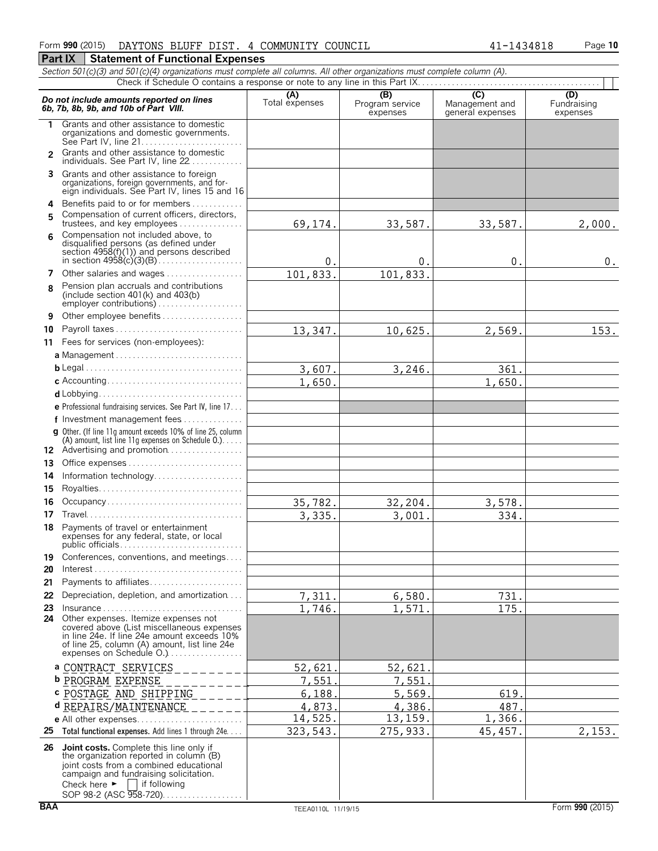*Section 501(c)(3) and 501(c)(4) organizations must complete all columns. All other organizations must complete column (A).*

|                | 3echon 501 (c)(3) and 501 (c)(4) organizations must complete all columns. All other organizations must complete column (A).                                                                                                           |                       |                                    |                                           |                                |
|----------------|---------------------------------------------------------------------------------------------------------------------------------------------------------------------------------------------------------------------------------------|-----------------------|------------------------------------|-------------------------------------------|--------------------------------|
|                | Do not include amounts reported on lines<br>6b, 7b, 8b, 9b, and 10b of Part VIII.                                                                                                                                                     | (A)<br>Total expenses | (B)<br>Program service<br>expenses | (C)<br>Management and<br>general expenses | (D)<br>Fundraising<br>expenses |
| 1.             | Grants and other assistance to domestic<br>organizations and domestic governments.<br>See Part IV, line 21                                                                                                                            |                       |                                    |                                           |                                |
| $\overline{2}$ | Grants and other assistance to domestic<br>individuals. See Part IV, line 22                                                                                                                                                          |                       |                                    |                                           |                                |
|                | 3 Grants and other assistance to foreign<br>organizations, foreign governments, and for-<br>eign individuals. See Part IV, lines 15 and 16                                                                                            |                       |                                    |                                           |                                |
|                | 4 Benefits paid to or for members                                                                                                                                                                                                     |                       |                                    |                                           |                                |
| 5              | Compensation of current officers, directors,<br>trustees, and key employees                                                                                                                                                           | 69,174.               | 33,587.                            | 33,587.                                   | 2,000.                         |
| 6              | Compensation not included above, to<br>disqualified persons (as defined under<br>section $4958(f)(1)$ and persons described<br>in section $4958(c)(3)(B)$                                                                             | 0.                    | 0.                                 | 0.                                        | $0$ .                          |
| 7              | Other salaries and wages                                                                                                                                                                                                              | 101,833.              | 101,833.                           |                                           |                                |
| 8              | Pension plan accruals and contributions<br>(include section $401(k)$ and $403(b)$                                                                                                                                                     |                       |                                    |                                           |                                |
| 9              | Other employee benefits                                                                                                                                                                                                               |                       |                                    |                                           |                                |
| 10             | Payroll taxes                                                                                                                                                                                                                         | 13,347.               | 10,625.                            | 2,569.                                    | 153.                           |
|                | 11 Fees for services (non-employees):                                                                                                                                                                                                 |                       |                                    |                                           |                                |
|                |                                                                                                                                                                                                                                       |                       |                                    |                                           |                                |
|                |                                                                                                                                                                                                                                       | 3,607.                | 3,246.                             | 361.                                      |                                |
|                |                                                                                                                                                                                                                                       | 1,650                 |                                    | 1,650.                                    |                                |
|                |                                                                                                                                                                                                                                       |                       |                                    |                                           |                                |
|                | e Professional fundraising services. See Part IV, line 17                                                                                                                                                                             |                       |                                    |                                           |                                |
|                | f Investment management fees                                                                                                                                                                                                          |                       |                                    |                                           |                                |
|                | g Other. (If line 11q amount exceeds 10% of line 25, column<br>(A) amount, list line 11g expenses on Schedule 0.)<br>12 Advertising and promotion                                                                                     |                       |                                    |                                           |                                |
|                |                                                                                                                                                                                                                                       |                       |                                    |                                           |                                |
| 13             |                                                                                                                                                                                                                                       |                       |                                    |                                           |                                |
| 14             | Information technology                                                                                                                                                                                                                |                       |                                    |                                           |                                |
| 15             |                                                                                                                                                                                                                                       |                       |                                    |                                           |                                |
| 16             | Occupancy                                                                                                                                                                                                                             | 35,782.               | 32,204.                            | 3,578.                                    |                                |
| 17             |                                                                                                                                                                                                                                       | 3,335.                | 3,001.                             | 334.                                      |                                |
| 18             | Payments of travel or entertainment<br>expenses for any federal, state, or local                                                                                                                                                      |                       |                                    |                                           |                                |
| 19             | Conferences, conventions, and meetings                                                                                                                                                                                                |                       |                                    |                                           |                                |
| 20             |                                                                                                                                                                                                                                       |                       |                                    |                                           |                                |
| 21             | Payments to affiliates                                                                                                                                                                                                                |                       |                                    |                                           |                                |
| 22             | Depreciation, depletion, and amortization                                                                                                                                                                                             | 7,311.                | 6,580.                             | 731.                                      |                                |
| 23             | $insurance \ldots \ldots \ldots \ldots \ldots \ldots \ldots \ldots \ldots \ldots$                                                                                                                                                     | 1,746.                | 1,571.                             | 175.                                      |                                |
| 24             | Other expenses. Itemize expenses not<br>covered above (List miscellaneous expenses<br>in line 24e. If line 24e amount exceeds 10%<br>of line 25, column (A) amount, list line 24e<br>expenses on Schedule O.                          |                       |                                    |                                           |                                |
|                | a CONTRACT_SERVICES                                                                                                                                                                                                                   | 52,621                | 52,621.                            |                                           |                                |
|                |                                                                                                                                                                                                                                       |                       |                                    |                                           |                                |
|                | <b>b</b> PROGRAM EXPENSE                                                                                                                                                                                                              | 7,551                 | 7,551                              |                                           |                                |
|                | c POSTAGE AND SHIPPING                                                                                                                                                                                                                | 6,188                 | 5,569.                             | 619.                                      |                                |
|                | d REPAIRS/MAINTENANCE                                                                                                                                                                                                                 | 4,873                 | 4,386.                             | 487                                       |                                |
|                |                                                                                                                                                                                                                                       | 14,525.               | 13,159.                            | 1,366.                                    |                                |
| 25             | Total functional expenses. Add lines 1 through 24e.                                                                                                                                                                                   | 323, 543.             | 275,933.                           | 45, 457.                                  | 2,153.                         |
| 26             | Joint costs. Complete this line only if<br>the organization reported in column (B)<br>joint costs from a combined educational<br>campaign and fundraising solicitation.<br>Check here $\blacktriangleright$<br>if following<br>$\sim$ |                       |                                    |                                           |                                |

SOP 98-2 (ASC 958-720). . . . . . . . . . . . . . . . .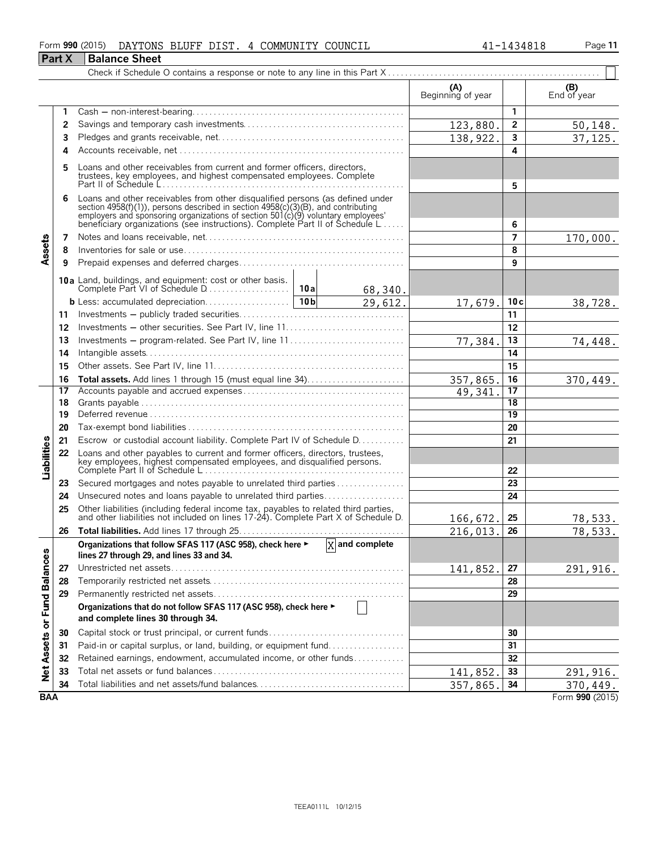### Form **990** (2015) Page **11** DAYTONS BLUFF DIST. 4 COMMUNITY COUNCIL 41-1434818

|                             | <b>Part X</b> | Balance Sheet                                                                                                                                                                                                                                                                                                        |                          |                |                    |
|-----------------------------|---------------|----------------------------------------------------------------------------------------------------------------------------------------------------------------------------------------------------------------------------------------------------------------------------------------------------------------------|--------------------------|----------------|--------------------|
|                             |               |                                                                                                                                                                                                                                                                                                                      |                          |                |                    |
|                             |               |                                                                                                                                                                                                                                                                                                                      | (A)<br>Beginning of year |                | (B)<br>End of year |
|                             | 1             |                                                                                                                                                                                                                                                                                                                      |                          | $\mathbf{1}$   |                    |
|                             | 2             |                                                                                                                                                                                                                                                                                                                      | 123,880.                 | $\overline{2}$ | 50,148.            |
|                             | 3             |                                                                                                                                                                                                                                                                                                                      | 138,922.                 | $\mathbf{3}$   | 37, 125.           |
|                             | 4             |                                                                                                                                                                                                                                                                                                                      |                          | 4              |                    |
|                             | 5             | Loans and other receivables from current and former officers, directors,<br>trustees, key employees, and highest compensated employees. Complete                                                                                                                                                                     |                          | 5              |                    |
|                             | 6             | Loans and other receivables from other disqualified persons (as defined under<br>section 4958(f)(1)), persons described in section 4958(c)(3)(B), and contributing<br>employers and sponsoring organizations of section 501(c)(9) voluntary employees<br>beneficiary organizations (see instructions). Complete Part |                          | 6              |                    |
|                             | 7             |                                                                                                                                                                                                                                                                                                                      |                          | $\overline{ }$ | 170,000.           |
| Assets                      | 8             |                                                                                                                                                                                                                                                                                                                      |                          | 8              |                    |
|                             | 9             |                                                                                                                                                                                                                                                                                                                      |                          | 9              |                    |
|                             |               |                                                                                                                                                                                                                                                                                                                      |                          |                |                    |
|                             |               | 68,340.                                                                                                                                                                                                                                                                                                              |                          |                |                    |
|                             |               | $\frac{29}{612}$ .                                                                                                                                                                                                                                                                                                   | 17,679.                  | 10c            | 38,728.            |
|                             | 11            |                                                                                                                                                                                                                                                                                                                      |                          | 11             |                    |
|                             | 12            |                                                                                                                                                                                                                                                                                                                      |                          | 12             |                    |
|                             | 13            | Investments – program-related. See Part IV, line 11                                                                                                                                                                                                                                                                  | 77,384.                  | 13             | 74,448.            |
|                             | 14            |                                                                                                                                                                                                                                                                                                                      |                          | 14             |                    |
|                             | 15            |                                                                                                                                                                                                                                                                                                                      |                          | 15             |                    |
|                             | 16            |                                                                                                                                                                                                                                                                                                                      | 357,865.                 | 16             | 370,449.           |
|                             | 17            |                                                                                                                                                                                                                                                                                                                      | $\overline{49}$ , 341.   | 17             |                    |
|                             | 18            |                                                                                                                                                                                                                                                                                                                      |                          | 18             |                    |
|                             | 19            |                                                                                                                                                                                                                                                                                                                      |                          | 19             |                    |
|                             | 20            |                                                                                                                                                                                                                                                                                                                      |                          | 20             |                    |
|                             | 21            | Escrow or custodial account liability. Complete Part IV of Schedule D.                                                                                                                                                                                                                                               |                          | 21             |                    |
| <b>Liabilities</b>          | 22            | Loans and other payables to current and former officers, directors, trustees,<br>key employees, highest compensated employees, and disqualified persons.<br>Complete Part II of Schedule L                                                                                                                           |                          | 22             |                    |
|                             | 23            | Secured mortgages and notes payable to unrelated third parties                                                                                                                                                                                                                                                       |                          | 23             |                    |
|                             | 24            | Unsecured notes and loans payable to unrelated third parties                                                                                                                                                                                                                                                         |                          | 24             |                    |
|                             | 25            | Other liabilities (including federal income tax, payables to related third parties, and other liabilities not included on lines 17-24). Complete Part X of Schedule D.                                                                                                                                               | 166,672.                 | 25             | 78,533.            |
|                             | 26            |                                                                                                                                                                                                                                                                                                                      | 216,013.                 | 26             | 78,533.            |
|                             |               | $X$ and complete<br>Organizations that follow SFAS 117 (ASC 958), check here ►                                                                                                                                                                                                                                       |                          |                |                    |
|                             |               | lines 27 through 29, and lines 33 and 34.                                                                                                                                                                                                                                                                            |                          |                |                    |
|                             | 27            |                                                                                                                                                                                                                                                                                                                      | 141,852.                 | 27             | 291,916.           |
|                             | 28            |                                                                                                                                                                                                                                                                                                                      |                          | 28             |                    |
|                             | 29            |                                                                                                                                                                                                                                                                                                                      |                          | 29             |                    |
| Net Assets or Fund Balances |               | Organizations that do not follow SFAS 117 (ASC 958), check here ►<br>and complete lines 30 through 34.                                                                                                                                                                                                               |                          |                |                    |
|                             | 30            |                                                                                                                                                                                                                                                                                                                      |                          | 30             |                    |
|                             | 31            | Paid-in or capital surplus, or land, building, or equipment fund                                                                                                                                                                                                                                                     |                          | 31             |                    |
|                             | 32            | Retained earnings, endowment, accumulated income, or other funds                                                                                                                                                                                                                                                     |                          | 32             |                    |
|                             | 33            |                                                                                                                                                                                                                                                                                                                      | 141,852                  | 33             | 291,916.           |
|                             | 34            |                                                                                                                                                                                                                                                                                                                      | 357,865.                 | 34             | 370,449.           |
| <b>BAA</b>                  |               |                                                                                                                                                                                                                                                                                                                      |                          |                | Form 990 (2015)    |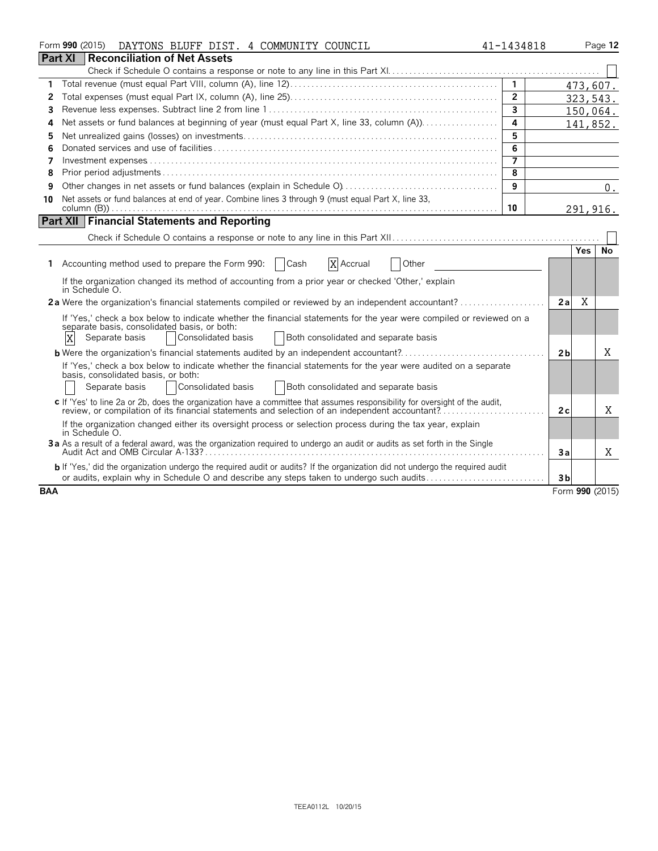|                | Form 990 (2015)<br>DAYTONS BLUFF DIST. 4 COMMUNITY COUNCIL                                                                                                                                                                    | 41-1434818     |                |        | Page 12         |
|----------------|-------------------------------------------------------------------------------------------------------------------------------------------------------------------------------------------------------------------------------|----------------|----------------|--------|-----------------|
| <b>Part XI</b> | <b>Reconciliation of Net Assets</b>                                                                                                                                                                                           |                |                |        |                 |
|                |                                                                                                                                                                                                                               |                |                |        |                 |
| 1              |                                                                                                                                                                                                                               | $\mathbf{1}$   |                |        | 473,607.        |
| 2              |                                                                                                                                                                                                                               | $\overline{2}$ |                |        | 323, 543.       |
| 3              |                                                                                                                                                                                                                               | $\overline{3}$ |                |        | 150,064.        |
| 4              |                                                                                                                                                                                                                               | 4              |                |        | 141,852.        |
| 5              |                                                                                                                                                                                                                               | 5              |                |        |                 |
| 6              |                                                                                                                                                                                                                               | 6              |                |        |                 |
| 7              |                                                                                                                                                                                                                               | $\overline{7}$ |                |        |                 |
| 8              |                                                                                                                                                                                                                               | 8              |                |        |                 |
| 9              |                                                                                                                                                                                                                               | 9              |                |        | 0.              |
| 10             | Net assets or fund balances at end of year. Combine lines 3 through 9 (must equal Part X, line 33,                                                                                                                            |                |                |        |                 |
|                |                                                                                                                                                                                                                               | 10             |                |        | 291, 916.       |
|                | <b>Part XII Financial Statements and Reporting</b>                                                                                                                                                                            |                |                |        |                 |
|                |                                                                                                                                                                                                                               |                |                |        |                 |
|                |                                                                                                                                                                                                                               |                |                | Yes No |                 |
|                | X Accrual<br>1 Accounting method used to prepare the Form 990:   Cash<br>Other                                                                                                                                                |                |                |        |                 |
|                | If the organization changed its method of accounting from a prior year or checked 'Other,' explain<br>in Schedule O.                                                                                                          |                |                |        |                 |
|                | 2a Were the organization's financial statements compiled or reviewed by an independent accountant?                                                                                                                            |                | 2a             | X      |                 |
|                | If 'Yes,' check a box below to indicate whether the financial statements for the year were compiled or reviewed on a<br>separate basis, consolidated basis, or both:                                                          |                |                |        |                 |
|                | Consolidated basis<br>Both consolidated and separate basis<br>X<br>Separate basis                                                                                                                                             |                |                |        |                 |
|                |                                                                                                                                                                                                                               |                | 2 <sub>b</sub> |        | X               |
|                | If 'Yes,' check a box below to indicate whether the financial statements for the year were audited on a separate                                                                                                              |                |                |        |                 |
|                | basis, consolidated basis, or both:                                                                                                                                                                                           |                |                |        |                 |
|                | Consolidated basis<br>Both consolidated and separate basis<br>Separate basis                                                                                                                                                  |                |                |        |                 |
|                | c If 'Yes' to line 2a or 2b, does the organization have a committee that assumes responsibility for oversight of the audit,<br>review, or compilation of its financial statements and selection of an independent accountant? |                | 2c             |        | X               |
|                | If the organization changed either its oversight process or selection process during the tax year, explain<br>in Schedule O.                                                                                                  |                |                |        |                 |
|                | 3a As a result of a federal award, was the organization required to undergo an audit or audits as set forth in the Single                                                                                                     |                | 3a             |        | Χ               |
|                | b If 'Yes,' did the organization undergo the required audit or audits? If the organization did not undergo the required audit                                                                                                 |                |                |        |                 |
|                | or audits, explain why in Schedule O and describe any steps taken to undergo such audits                                                                                                                                      |                | 3 <sub>b</sub> |        |                 |
| <b>BAA</b>     |                                                                                                                                                                                                                               |                |                |        | Form 990 (2015) |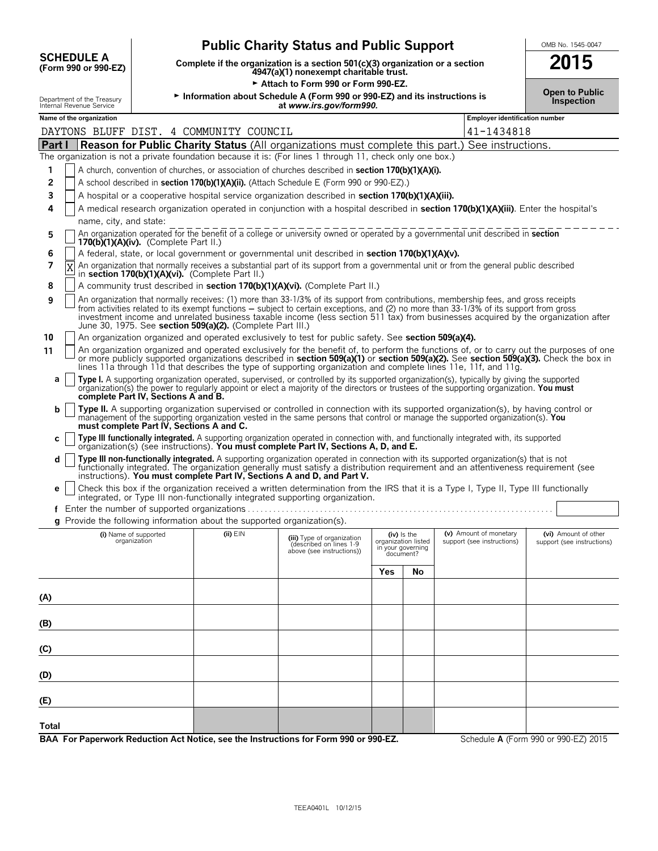| <b>Public Charity Status and Public Support</b><br>OMB No. 1545-0047 |                                                                                                           |                                          |                                                                          |                                                                                                                                                                                                                                                                                                                                                                                                                      |                                                                      |    |                                                      |                                                    |  |  |
|----------------------------------------------------------------------|-----------------------------------------------------------------------------------------------------------|------------------------------------------|--------------------------------------------------------------------------|----------------------------------------------------------------------------------------------------------------------------------------------------------------------------------------------------------------------------------------------------------------------------------------------------------------------------------------------------------------------------------------------------------------------|----------------------------------------------------------------------|----|------------------------------------------------------|----------------------------------------------------|--|--|
|                                                                      | <b>SCHEDULE A</b><br>(Form 990 or 990-EZ)                                                                 |                                          |                                                                          | Complete if the organization is a section 501(c)(3) organization or a section<br>4947(a)(1) nonexempt charitable trust.                                                                                                                                                                                                                                                                                              |                                                                      |    |                                                      |                                                    |  |  |
|                                                                      |                                                                                                           |                                          |                                                                          | Attach to Form 990 or Form 990-EZ.                                                                                                                                                                                                                                                                                                                                                                                   |                                                                      |    |                                                      |                                                    |  |  |
|                                                                      | Department of the Treasury<br>Internal Revenue Service                                                    |                                          |                                                                          | Information about Schedule A (Form 990 or 990-EZ) and its instructions is<br>at www.irs.gov/form990.                                                                                                                                                                                                                                                                                                                 |                                                                      |    |                                                      | <b>Open to Public</b><br>Inspection                |  |  |
|                                                                      | Name of the organization                                                                                  |                                          |                                                                          |                                                                                                                                                                                                                                                                                                                                                                                                                      |                                                                      |    | Employer identification number                       |                                                    |  |  |
|                                                                      |                                                                                                           |                                          | DAYTONS BLUFF DIST. 4 COMMUNITY COUNCIL                                  |                                                                                                                                                                                                                                                                                                                                                                                                                      |                                                                      |    | 41-1434818                                           |                                                    |  |  |
| Part I                                                               |                                                                                                           |                                          |                                                                          | <b>Reason for Public Charity Status</b> (All organizations must complete this part.) See instructions.                                                                                                                                                                                                                                                                                                               |                                                                      |    |                                                      |                                                    |  |  |
|                                                                      | The organization is not a private foundation because it is: (For lines 1 through 11, check only one box.) |                                          |                                                                          |                                                                                                                                                                                                                                                                                                                                                                                                                      |                                                                      |    |                                                      |                                                    |  |  |
| 1                                                                    |                                                                                                           |                                          |                                                                          | A church, convention of churches, or association of churches described in <b>section 170(b)(1)(A)(i).</b>                                                                                                                                                                                                                                                                                                            |                                                                      |    |                                                      |                                                    |  |  |
| $\overline{2}$                                                       |                                                                                                           |                                          |                                                                          | A school described in section 170(b)(1)(A)(ii). (Attach Schedule E (Form 990 or 990-EZ).)                                                                                                                                                                                                                                                                                                                            |                                                                      |    |                                                      |                                                    |  |  |
| 3                                                                    |                                                                                                           |                                          |                                                                          | A hospital or a cooperative hospital service organization described in section 170(b)(1)(A)(iii).                                                                                                                                                                                                                                                                                                                    |                                                                      |    |                                                      |                                                    |  |  |
| 4                                                                    |                                                                                                           |                                          |                                                                          | A medical research organization operated in conjunction with a hospital described in <b>section 170(b)(1)(A)(iii)</b> . Enter the hospital's                                                                                                                                                                                                                                                                         |                                                                      |    |                                                      |                                                    |  |  |
|                                                                      | name, city, and state:                                                                                    |                                          |                                                                          |                                                                                                                                                                                                                                                                                                                                                                                                                      |                                                                      |    |                                                      |                                                    |  |  |
| 5                                                                    |                                                                                                           | 170(b)(1)(A)(iv). (Complete Part II.)    |                                                                          | An organization operated for the benefit of a college or university owned or operated by a governmental unit described in section                                                                                                                                                                                                                                                                                    |                                                                      |    |                                                      |                                                    |  |  |
| 6                                                                    |                                                                                                           |                                          |                                                                          | A federal, state, or local government or governmental unit described in <b>section 170(b)(1)(A)(v).</b>                                                                                                                                                                                                                                                                                                              |                                                                      |    |                                                      |                                                    |  |  |
| $\overline{7}$                                                       | X                                                                                                         |                                          | in section 170(b)(1)(A)(vi). (Complete Part II.)                         | An organization that normally receives a substantial part of its support from a governmental unit or from the general public described                                                                                                                                                                                                                                                                               |                                                                      |    |                                                      |                                                    |  |  |
| 8                                                                    |                                                                                                           |                                          |                                                                          | A community trust described in section 170(b)(1)(A)(vi). (Complete Part II.)                                                                                                                                                                                                                                                                                                                                         |                                                                      |    |                                                      |                                                    |  |  |
| 9                                                                    |                                                                                                           |                                          | June 30, 1975. See section 509(a)(2). (Complete Part III.)               | An organization that normally receives: (1) more than 33-1/3% of its support from contributions, membership fees, and gross receipts<br>from activities related to its exempt functions – subject to certain exceptions, and (2) no more than 33-1/3% of its support from gross<br>investment income and unrelated business taxable income (less section 511 tax) from businesses acquired by the organization after |                                                                      |    |                                                      |                                                    |  |  |
| 10                                                                   |                                                                                                           |                                          |                                                                          | An organization organized and operated exclusively to test for public safety. See section 509(a)(4).                                                                                                                                                                                                                                                                                                                 |                                                                      |    |                                                      |                                                    |  |  |
| 11                                                                   |                                                                                                           |                                          |                                                                          | An organization organized and operated exclusively for the benefit of, to perform the functions of, or to carry out the purposes of one<br>or more publicly supported organizations described in section 509(a)(1) or section 509(a)(2). See section 509(a)(3). Check the box in<br>lines 11a through 11d that describes the type of supporting organization and complete lines 11e, 11f, and 11g.                   |                                                                      |    |                                                      |                                                    |  |  |
| a                                                                    |                                                                                                           | complete Part IV, Sections A and B.      |                                                                          | Type I. A supporting organization operated, supervised, or controlled by its supported organization(s), typically by giving the supported<br>organization(s) the power to regularly appoint or elect a majority of the directors or trustees of the supporting organization. You must                                                                                                                                |                                                                      |    |                                                      |                                                    |  |  |
| b                                                                    |                                                                                                           | must complete Part IV. Sections A and C. |                                                                          | <b>Type II.</b> A supporting organization supervised or controlled in connection with its supported organization(s), by having control or<br>management of the supporting organization vested in the same persons that control or manage the supported organization(s). You                                                                                                                                          |                                                                      |    |                                                      |                                                    |  |  |
| C                                                                    |                                                                                                           |                                          |                                                                          | Type III functionally integrated. A supporting organization operated in connection with, and functionally integrated with, its supported<br>organization(s) (see instructions). You must complete Part IV, Sections A, D, and E.                                                                                                                                                                                     |                                                                      |    |                                                      |                                                    |  |  |
| d                                                                    |                                                                                                           |                                          |                                                                          | Type III non-functionally integrated. A supporting organization operated in connection with its supported organization(s) that is not<br>functionally integrated. The organization generally must satisfy a distribution requirement and an attentiveness requirement (see<br>instructions). You must complete Part IV, Sections A and D, and Part V.                                                                |                                                                      |    |                                                      |                                                    |  |  |
|                                                                      |                                                                                                           |                                          |                                                                          | Check this box if the organization received a written determination from the IRS that it is a Type I, Type II, Type III functionally<br>integrated, or Type III non-functionally integrated supporting organization.                                                                                                                                                                                                 |                                                                      |    |                                                      |                                                    |  |  |
|                                                                      |                                                                                                           |                                          |                                                                          |                                                                                                                                                                                                                                                                                                                                                                                                                      |                                                                      |    |                                                      |                                                    |  |  |
|                                                                      |                                                                                                           |                                          | g Provide the following information about the supported organization(s). |                                                                                                                                                                                                                                                                                                                                                                                                                      |                                                                      |    |                                                      |                                                    |  |  |
|                                                                      |                                                                                                           | (i) Name of supported<br>organization    | $(ii)$ $EIN$                                                             | (iii) Type of organization<br>(described on lines 1-9<br>above (see instructions))                                                                                                                                                                                                                                                                                                                                   | (iv) Is the<br>organization listed<br>in your governing<br>document? |    | (v) Amount of monetary<br>support (see instructions) | (vi) Amount of other<br>support (see instructions) |  |  |
|                                                                      |                                                                                                           |                                          |                                                                          |                                                                                                                                                                                                                                                                                                                                                                                                                      | Yes                                                                  | No |                                                      |                                                    |  |  |
|                                                                      |                                                                                                           |                                          |                                                                          |                                                                                                                                                                                                                                                                                                                                                                                                                      |                                                                      |    |                                                      |                                                    |  |  |

**BAA For Paperwork Reduction Act Notice, see the Instructions for Form 990 or 990-EZ.** Schedule A (Form 990 or 990-EZ) 2015

**(A)**

**(B)**

**(C)**

**(D)**

**(E)**

**Total**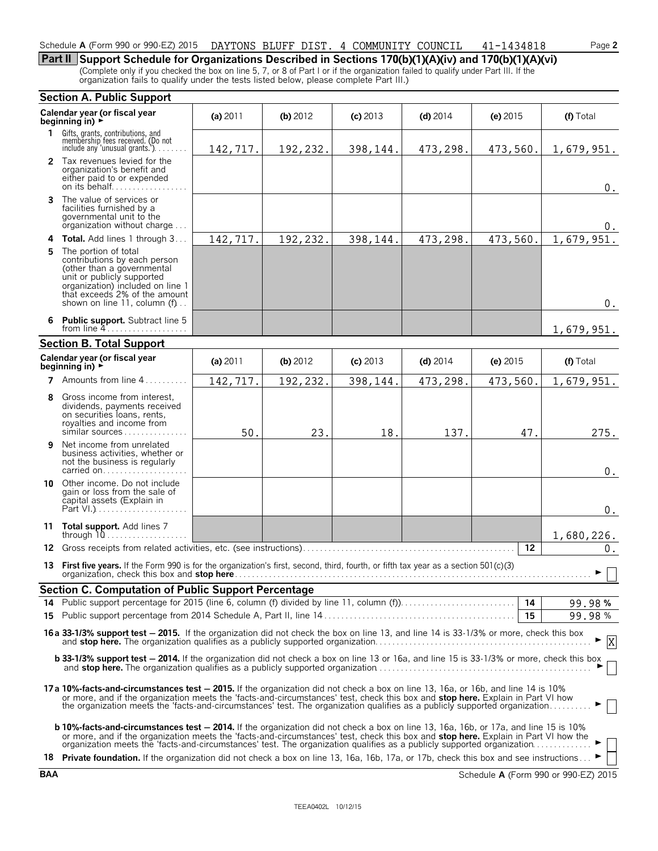### Schedule **A** (Form 990 or 990-EZ) 2015 Page **2** DAYTONS BLUFF DIST. 4 COMMUNITY COUNCIL 41-1434818

**Part II Support Schedule for Organizations Described in Sections 170(b)(1)(A)(iv) and 170(b)(1)(A)(vi)** (Complete only if you checked the box on line 5, 7, or 8 of Part I or if the organization failed to qualify under Part III. If the organization fails to qualify under the tests listed below, please complete Part III.)

|     | <b>Section A. Public Support</b>                                                                                                                                                                                                                                                                                                                                                                  |          |          |            |            |                         |                           |  |  |  |  |  |  |
|-----|---------------------------------------------------------------------------------------------------------------------------------------------------------------------------------------------------------------------------------------------------------------------------------------------------------------------------------------------------------------------------------------------------|----------|----------|------------|------------|-------------------------|---------------------------|--|--|--|--|--|--|
|     | Calendar year (or fiscal year<br>beginning in) ►                                                                                                                                                                                                                                                                                                                                                  | (a) 2011 | (b) 2012 | $(c)$ 2013 | $(d)$ 2014 | $(e)$ 2015              | (f) Total                 |  |  |  |  |  |  |
| 1.  | Gifts, grants, contributions, and<br>membership fees received. (Do not<br>include any 'unusual grants.')                                                                                                                                                                                                                                                                                          | 142,717. | 192,232. | 398,144.   | 473,298.   | 473,560.                | 1,679,951.                |  |  |  |  |  |  |
|     | 2 Tax revenues levied for the<br>organization's benefit and<br>either paid to or expended<br>on its behalf                                                                                                                                                                                                                                                                                        |          |          |            |            |                         | 0.                        |  |  |  |  |  |  |
|     | <b>3</b> The value of services or<br>facilities furnished by a<br>governmental unit to the<br>organization without charge                                                                                                                                                                                                                                                                         |          |          |            |            |                         | 0.                        |  |  |  |  |  |  |
|     | 4 Total. Add lines 1 through 3                                                                                                                                                                                                                                                                                                                                                                    | 142,717. | 192,232. | 398,144.   | 473,298.   | 473,560.                | 1,679,951.                |  |  |  |  |  |  |
| 5   | The portion of total<br>contributions by each person<br>(other than a governmental<br>unit or publicly supported<br>organization) included on line 1<br>that exceeds 2% of the amount<br>shown on line 11, column (f)                                                                                                                                                                             |          |          |            |            |                         | $0$ .                     |  |  |  |  |  |  |
|     | <b>Public support.</b> Subtract line 5<br>from line $4$<br>1,679,951.                                                                                                                                                                                                                                                                                                                             |          |          |            |            |                         |                           |  |  |  |  |  |  |
|     | <b>Section B. Total Support</b>                                                                                                                                                                                                                                                                                                                                                                   |          |          |            |            |                         |                           |  |  |  |  |  |  |
|     | Calendar year (or fiscal year<br>beginning in) $\rightarrow$                                                                                                                                                                                                                                                                                                                                      | (a) 2011 | (b) 2012 | $(c)$ 2013 | $(d)$ 2014 | (e) $2015$<br>(f) Total |                           |  |  |  |  |  |  |
| 7   | Amounts from line 4                                                                                                                                                                                                                                                                                                                                                                               | 142,717. | 192,232. | 398,144.   | 473,298.   | 473,560.                | 1,679,951.                |  |  |  |  |  |  |
| 8   | Gross income from interest,<br>dividends, payments received<br>on securities loans, rents,<br>royalties and income from<br>similar sources                                                                                                                                                                                                                                                        | 50.      | 23.      | 18.        | 137.       | 47.                     | 275.                      |  |  |  |  |  |  |
| 9   | Net income from unrelated<br>business activities, whether or<br>not the business is regularly<br>carried on                                                                                                                                                                                                                                                                                       |          |          |            |            |                         | 0.                        |  |  |  |  |  |  |
|     | 10 Other income. Do not include<br>gain or loss from the sale of<br>capital assets (Explain in                                                                                                                                                                                                                                                                                                    |          |          |            |            |                         | $0$ .                     |  |  |  |  |  |  |
|     | 11 Total support. Add lines 7<br>through $10$                                                                                                                                                                                                                                                                                                                                                     |          |          |            |            |                         | 1,680,226.                |  |  |  |  |  |  |
| 12. |                                                                                                                                                                                                                                                                                                                                                                                                   |          |          |            |            | 12                      | $0$ .                     |  |  |  |  |  |  |
|     | 13 First five years. If the Form 990 is for the organization's first, second, third, fourth, or fifth tax year as a section 501(c)(3)<br>organization, check this box and stop here                                                                                                                                                                                                               |          |          |            |            |                         | ►                         |  |  |  |  |  |  |
|     | Section C. Computation of Public Support Percentage                                                                                                                                                                                                                                                                                                                                               |          |          |            |            |                         |                           |  |  |  |  |  |  |
|     |                                                                                                                                                                                                                                                                                                                                                                                                   |          |          |            |            |                         | 99.98%                    |  |  |  |  |  |  |
|     |                                                                                                                                                                                                                                                                                                                                                                                                   |          |          |            |            | 15                      | 99.98%                    |  |  |  |  |  |  |
|     | 16a 33-1/3% support test - 2015. If the organization did not check the box on line 13, and line 14 is 33-1/3% or more, check this box                                                                                                                                                                                                                                                             |          |          |            |            |                         | $\boldsymbol{\mathrm{X}}$ |  |  |  |  |  |  |
|     | <b>b 33-1/3% support test - 2014.</b> If the organization did not check a box on line 13 or 16a, and line 15 is 33-1/3% or more, check this box                                                                                                                                                                                                                                                   |          |          |            |            |                         |                           |  |  |  |  |  |  |
|     | 17a 10%-facts-and-circumstances test - 2015. If the organization did not check a box on line 13, 16a, or 16b, and line 14 is 10%<br>or more, and if the organization meets the 'facts-and-circumstances' test, check this box and stop here. Explain in Part VI how<br>the organization meets the 'facts-and-circumstances' test. The organization qualifies as a publicly supported organization |          |          |            |            |                         |                           |  |  |  |  |  |  |
|     | <b>b 10%-facts-and-circumstances test - 2014.</b> If the organization did not check a box on line 13, 16a, 16b, or 17a, and line 15 is 10%<br>or more, and if the organization meets the 'facts-and-circumstances' test, check this box and stop here. Explain in Part VI how the organization meets the 'facts-and-circumstances' test. The organization qualifies as a pub                      |          |          |            |            |                         |                           |  |  |  |  |  |  |
|     | 18 Private foundation. If the organization did not check a box on line 13, 16a, 16b, 17a, or 17b, check this box and see instructions                                                                                                                                                                                                                                                             |          |          |            |            |                         |                           |  |  |  |  |  |  |

**BAA** Schedule **A** (Form 990 or 990-EZ) 2015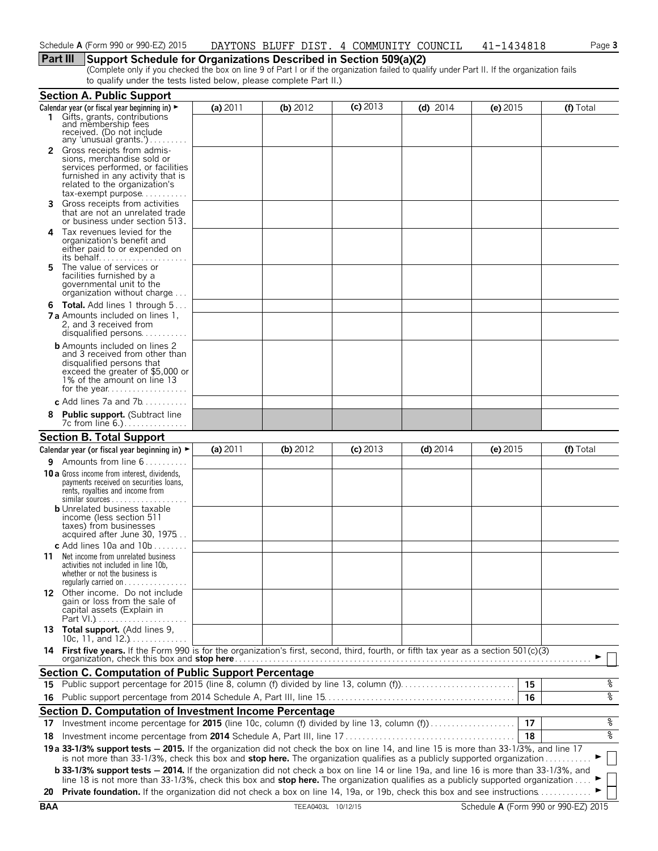### **Part III Support Schedule for Organizations Described in Section 509(a)(2)**

(Complete only if you checked the box on line 9 of Part I or if the organization failed to qualify under Part II. If the organization fails to qualify under the tests listed below, please complete Part II.)

|     | <b>Section A. Public Support</b>                                                                                                                                                                                                                                                                                                                                                                                  |            |            |            |            |            |           |  |
|-----|-------------------------------------------------------------------------------------------------------------------------------------------------------------------------------------------------------------------------------------------------------------------------------------------------------------------------------------------------------------------------------------------------------------------|------------|------------|------------|------------|------------|-----------|--|
|     | Calendar year (or fiscal year beginning in) $\blacktriangleright$                                                                                                                                                                                                                                                                                                                                                 | (a) 2011   | (b) $2012$ | $(c)$ 2013 | $(d)$ 2014 | (e) $2015$ | (f) Total |  |
| 1.  | Gifts, grants, contributions<br>and membership fees<br>received. (Do not include                                                                                                                                                                                                                                                                                                                                  |            |            |            |            |            |           |  |
|     | any 'unusual grants.')                                                                                                                                                                                                                                                                                                                                                                                            |            |            |            |            |            |           |  |
|     | 2 Gross receipts from admis-<br>sions, merchandise sold or<br>services performed, or facilities<br>furnished in any activity that is<br>related to the organization's<br>$tax\text{-}exempt$ purpose                                                                                                                                                                                                              |            |            |            |            |            |           |  |
| 3.  | Gross receipts from activities<br>that are not an unrelated trade<br>or business under section 513.                                                                                                                                                                                                                                                                                                               |            |            |            |            |            |           |  |
|     | 4 Tax revenues levied for the<br>organization's benefit and<br>either paid to or expended on<br>its behalf                                                                                                                                                                                                                                                                                                        |            |            |            |            |            |           |  |
| 5   | The value of services or<br>facilities furnished by a<br>governmental unit to the<br>organization without charge                                                                                                                                                                                                                                                                                                  |            |            |            |            |            |           |  |
|     | <b>6 Total.</b> Add lines 1 through 5<br><b>7 a</b> Amounts included on lines 1.<br>2, and 3 received from<br>disqualified persons                                                                                                                                                                                                                                                                                |            |            |            |            |            |           |  |
|     | <b>b</b> Amounts included on lines 2<br>and 3 received from other than<br>disqualified persons that<br>exceed the greater of \$5,000 or<br>1% of the amount on line 13<br>for the year                                                                                                                                                                                                                            |            |            |            |            |            |           |  |
|     | c Add lines 7a and $7b$                                                                                                                                                                                                                                                                                                                                                                                           |            |            |            |            |            |           |  |
| 8   | <b>Public support.</b> (Subtract line<br>7c from line 6.).                                                                                                                                                                                                                                                                                                                                                        |            |            |            |            |            |           |  |
|     | <b>Section B. Total Support</b>                                                                                                                                                                                                                                                                                                                                                                                   |            |            |            |            |            |           |  |
|     | Calendar year (or fiscal year beginning in) ►                                                                                                                                                                                                                                                                                                                                                                     | (a) $2011$ | $(b)$ 2012 | $(c)$ 2013 | $(d)$ 2014 | (e) 2015   | (f) Total |  |
|     | <b>9</b> Amounts from line $6$                                                                                                                                                                                                                                                                                                                                                                                    |            |            |            |            |            |           |  |
|     | 10 a Gross income from interest, dividends,<br>payments received on securities loans,<br>rents, royalties and income from                                                                                                                                                                                                                                                                                         |            |            |            |            |            |           |  |
|     | <b>b</b> Unrelated business taxable<br>income (less section 511<br>taxes) from businesses<br>acquired after June 30, 1975                                                                                                                                                                                                                                                                                         |            |            |            |            |            |           |  |
| 11. | c Add lines 10a and 10b $\dots$<br>Net income from unrelated business<br>activities not included in line 10b,<br>whether or not the business is<br>regularly carried on $\dots\dots\dots\dots\dots$                                                                                                                                                                                                               |            |            |            |            |            |           |  |
|     | 12 Other income. Do not include<br>gain or loss from the sale of<br>capital assets (Explain in                                                                                                                                                                                                                                                                                                                    |            |            |            |            |            |           |  |
|     | 13 Total support. (Add lines 9,<br>10c, 11, and $12.$                                                                                                                                                                                                                                                                                                                                                             |            |            |            |            |            |           |  |
|     | 14 First five years. If the Form 990 is for the organization's first, second, third, fourth, or fifth tax year as a section 501(c)(3)                                                                                                                                                                                                                                                                             |            |            |            |            |            |           |  |
|     | <b>Section C. Computation of Public Support Percentage</b>                                                                                                                                                                                                                                                                                                                                                        |            |            |            |            |            |           |  |
| 15. | Public support percentage for 2015 (line 8, column (f) divided by line 13, column (f)                                                                                                                                                                                                                                                                                                                             |            |            |            |            |            | ್ಠಿ<br>15 |  |
| 16  |                                                                                                                                                                                                                                                                                                                                                                                                                   |            |            |            |            |            | ०१०<br>16 |  |
|     | Section D. Computation of Investment Income Percentage                                                                                                                                                                                                                                                                                                                                                            |            |            |            |            |            |           |  |
| 17  | Investment income percentage for 2015 (line 10c, column (f) divided by line 13, column (f)                                                                                                                                                                                                                                                                                                                        |            |            |            |            |            | %<br>17   |  |
| 18  |                                                                                                                                                                                                                                                                                                                                                                                                                   |            |            |            |            |            | နွ<br>18  |  |
|     | 19 a 33-1/3% support tests - 2015. If the organization did not check the box on line 14, and line 15 is more than 33-1/3%, and line 17<br>is not more than 33-1/3%, check this box and stop here. The organization qualifies as a publicly supported organization<br><b>b 33-1/3% support tests - 2014.</b> If the organization did not check a box on line 14 or line 19a, and line 16 is more than 33-1/3%, and |            |            |            |            |            |           |  |
|     | line 18 is not more than 33-1/3%, check this box and stop here. The organization qualifies as a publicly supported organization<br>20 Private foundation. If the organization did not check a box on line 14, 19a, or 19b, check this box and see instructions                                                                                                                                                    |            |            |            |            |            |           |  |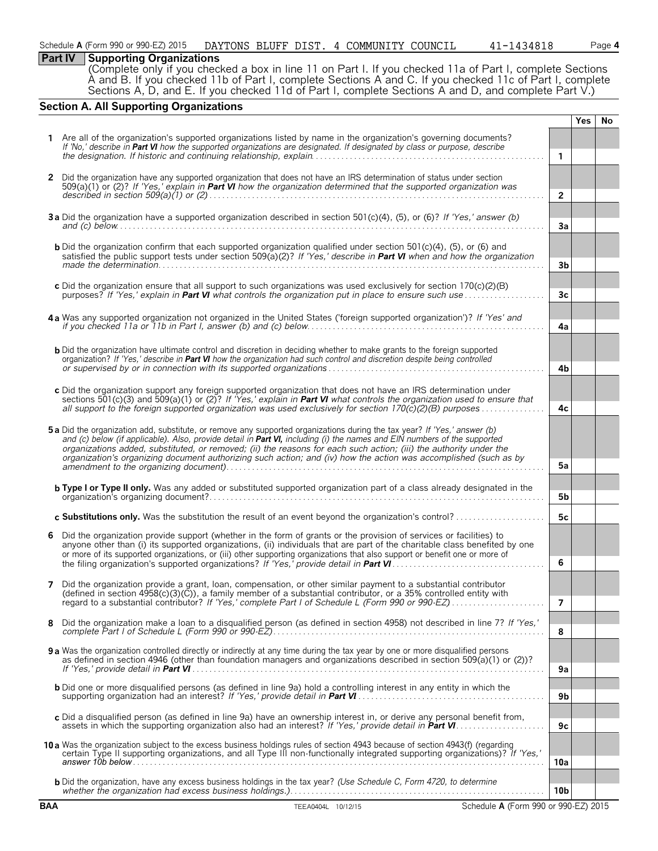| Schedule A (Form 990 or 990-EZ) 2015 | DAYTONS BLUFF DIST. 4 COMMUNITY COUNCIL |  |  |  |  | 41-1434818 | Page <b>4</b> |
|--------------------------------------|-----------------------------------------|--|--|--|--|------------|---------------|
|--------------------------------------|-----------------------------------------|--|--|--|--|------------|---------------|

### **Part IV | Supporting Organizations**

(Complete only if you checked a box in line 11 on Part I. If you checked 11a of Part I, complete Sections A and B. If you checked 11b of Part I, complete Sections A and C. If you checked 11c of Part I, complete Sections A, D, and E. If you checked 11d of Part I, complete Sections A and D, and complete Part V.)

### **Section A. All Supporting Organizations**

|            |                                                                                                                                                                                                                                                             |                 | <b>Yes</b> | No. |
|------------|-------------------------------------------------------------------------------------------------------------------------------------------------------------------------------------------------------------------------------------------------------------|-----------------|------------|-----|
|            | Are all of the organization's supported organizations listed by name in the organization's governing documents?                                                                                                                                             |                 |            |     |
|            | If 'No,' describe in Part VI how the supported organizations are designated. If designated by class or purpose, describe                                                                                                                                    |                 |            |     |
|            |                                                                                                                                                                                                                                                             | $\mathbf{1}$    |            |     |
| 2          | Did the organization have any supported organization that does not have an IRS determination of status under section                                                                                                                                        |                 |            |     |
|            | $509(a)(1)$ or (2)? If 'Yes,' explain in Part VI how the organization determined that the supported organization was                                                                                                                                        |                 |            |     |
|            |                                                                                                                                                                                                                                                             | $\overline{2}$  |            |     |
|            |                                                                                                                                                                                                                                                             |                 |            |     |
|            | 3a Did the organization have a supported organization described in section 501(c)(4), (5), or (6)? If 'Yes,' answer (b)                                                                                                                                     | 3a              |            |     |
|            |                                                                                                                                                                                                                                                             |                 |            |     |
|            | <b>b</b> Did the organization confirm that each supported organization qualified under section 501 $(c)(4)$ , (5), or (6) and                                                                                                                               |                 |            |     |
|            | satisfied the public support tests under section 509(a)(2)? If 'Yes,' describe in Part VI when and how the organization                                                                                                                                     |                 |            |     |
|            |                                                                                                                                                                                                                                                             | 3b              |            |     |
|            | c Did the organization ensure that all support to such organizations was used exclusively for section 170(c)(2)(B)                                                                                                                                          |                 |            |     |
|            | purposes? If 'Yes,' explain in <b>Part VI</b> what controls the organization put in place to ensure such use                                                                                                                                                | 3 <sub>c</sub>  |            |     |
|            |                                                                                                                                                                                                                                                             |                 |            |     |
|            | 4a Was any supported organization not organized in the United States ('foreign supported organization')? If 'Yes' and                                                                                                                                       |                 |            |     |
|            |                                                                                                                                                                                                                                                             | 4a              |            |     |
|            |                                                                                                                                                                                                                                                             |                 |            |     |
|            | <b>b</b> Did the organization have ultimate control and discretion in deciding whether to make grants to the foreign supported<br>organization? If 'Yes,' describe in Part VI how the organization had such control and discretion despite being controlled |                 |            |     |
|            |                                                                                                                                                                                                                                                             | 4b              |            |     |
|            |                                                                                                                                                                                                                                                             |                 |            |     |
|            | c Did the organization support any foreign supported organization that does not have an IRS determination under<br>sections 501(c)(3) and 509(a)(1) or (2)? If 'Yes,' explain in <b>Part VI</b> what controls the organization used to ensure that          |                 |            |     |
|            | all support to the foreign supported organization was used exclusively for section 170(c)(2)(B) purposes                                                                                                                                                    | 4c              |            |     |
|            |                                                                                                                                                                                                                                                             |                 |            |     |
|            | 5a Did the organization add, substitute, or remove any supported organizations during the tax year? If 'Yes,' answer (b)                                                                                                                                    |                 |            |     |
|            | and (c) below (if applicable). Also, provide detail in Part VI, including (i) the names and EIN numbers of the supported<br>organizations added, substituted, or removed; (ii) the reasons for each such action; (iii) the authority under the              |                 |            |     |
|            | organization's organizing document authorizing such action; and (iv) how the action was accomplished (such as by                                                                                                                                            |                 |            |     |
|            |                                                                                                                                                                                                                                                             | 5a              |            |     |
|            |                                                                                                                                                                                                                                                             |                 |            |     |
|            | <b>b Type I or Type II only.</b> Was any added or substituted supported organization part of a class already designated in the                                                                                                                              | 5b              |            |     |
|            |                                                                                                                                                                                                                                                             |                 |            |     |
|            | c Substitutions only. Was the substitution the result of an event beyond the organization's control?                                                                                                                                                        | 5c              |            |     |
| 6          | Did the organization provide support (whether in the form of grants or the provision of services or facilities) to                                                                                                                                          |                 |            |     |
|            | anyone other than (i) its supported organizations, (ii) individuals that are part of the charitable class benefited by one                                                                                                                                  |                 |            |     |
|            | or more of its supported organizations, or (iii) other supporting organizations that also support or benefit one or more of                                                                                                                                 |                 |            |     |
|            |                                                                                                                                                                                                                                                             | 6               |            |     |
| 7          | Did the organization provide a grant, loan, compensation, or other similar payment to a substantial contributor                                                                                                                                             |                 |            |     |
|            | (defined in section $4958(c)(3)(\bar{C})$ ), a family member of a substantial contributor, or a 35% controlled entity with                                                                                                                                  |                 |            |     |
|            | regard to a substantial contributor? If 'Yes,' complete Part I of Schedule L (Form 990 or 990-EZ)                                                                                                                                                           | 7               |            |     |
|            |                                                                                                                                                                                                                                                             |                 |            |     |
| 8          | Did the organization make a loan to a disqualified person (as defined in section 4958) not described in line 7? If 'Yes,'                                                                                                                                   | 8               |            |     |
|            |                                                                                                                                                                                                                                                             |                 |            |     |
|            | 9 a Was the organization controlled directly or indirectly at any time during the tax year by one or more disqualified persons                                                                                                                              |                 |            |     |
|            | as defined in section 4946 (other than foundation managers and organizations described in section 509(a)(1) or (2))?                                                                                                                                        | 9a              |            |     |
|            |                                                                                                                                                                                                                                                             |                 |            |     |
|            | <b>b</b> Did one or more disqualified persons (as defined in line 9a) hold a controlling interest in any entity in which the                                                                                                                                | 9b              |            |     |
|            |                                                                                                                                                                                                                                                             |                 |            |     |
|            | c Did a disqualified person (as defined in line 9a) have an ownership interest in, or derive any personal benefit from,                                                                                                                                     |                 |            |     |
|            | assets in which the supporting organization also had an interest? If 'Yes,' provide detail in <b>Part VI</b>                                                                                                                                                | 9c              |            |     |
|            | 10 a Was the organization subject to the excess business holdings rules of section 4943 because of section 4943(f) (regarding                                                                                                                               |                 |            |     |
|            | certain Type II supporting organizations, and all Type III non-functionally integrated supporting organizations)? If 'Yes,'                                                                                                                                 |                 |            |     |
|            |                                                                                                                                                                                                                                                             | 10a             |            |     |
|            | b Did the organization, have any excess business holdings in the tax year? (Use Schedule C, Form 4720, to determine                                                                                                                                         |                 |            |     |
|            |                                                                                                                                                                                                                                                             | 10 <sub>b</sub> |            |     |
| <b>BAA</b> | TEEA0404L 10/12/15<br>Schedule A (Form 990 or 990-EZ) 2015                                                                                                                                                                                                  |                 |            |     |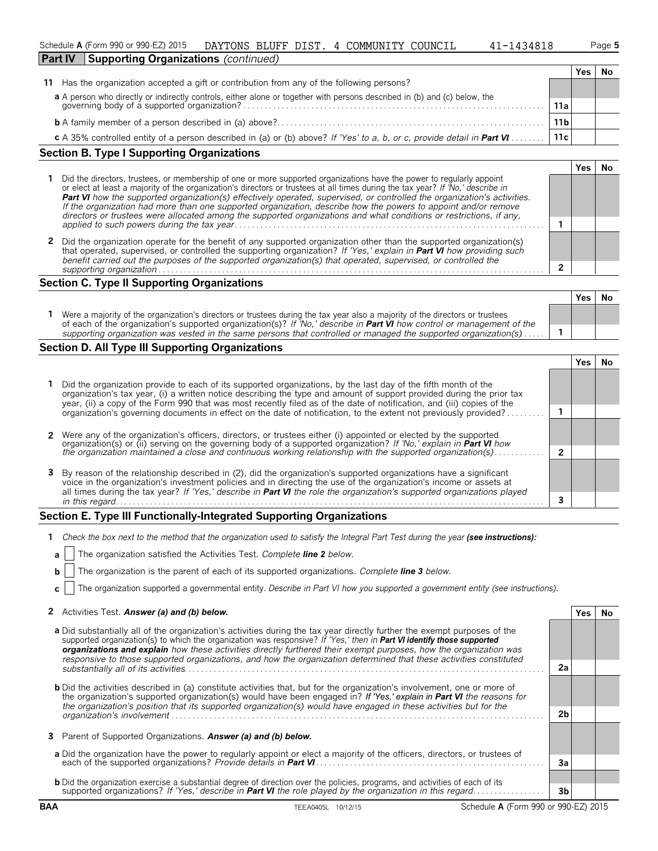|                | Schedule A (Form 990 or 990-EZ) 2015        | DAYTONS BLUFF DIST. | $\mathbf{A}$ | COMMUNITY COUNCIL | 1434818<br>$\Delta$ 1 – $\overline{z}$ | Page 5 |
|----------------|---------------------------------------------|---------------------|--------------|-------------------|----------------------------------------|--------|
| <b>Part IV</b> | <b>Supporting Organizations (continued)</b> |                     |              |                   |                                        |        |

|                                                                                                                                                                       |                 | res |  |
|-----------------------------------------------------------------------------------------------------------------------------------------------------------------------|-----------------|-----|--|
| 11 Has the organization accepted a gift or contribution from any of the following persons?                                                                            |                 |     |  |
|                                                                                                                                                                       |                 |     |  |
| a A person who directly or indirectly controls, either alone or together with persons described in (b) and (c) below, the governing body of a supported organization? | 11a             |     |  |
|                                                                                                                                                                       | 11 <sub>b</sub> |     |  |
| c A 35% controlled entity of a person described in (a) or (b) above? If 'Yes' to a, b, or c, provide detail in Part VI                                                | 11c             |     |  |

### **Section B. Type I Supporting Organizations**

| Did the directors, trustees, or membership of one or more supported organizations have the power to regularly appoint<br>or elect at least a majority of the organization's directors or trustees at all times during the tax year? If 'No,' describe in<br><b>Part VI</b> how the supported organization(s) effectively operated, supervised, or controlled the organization's activities.<br>If the organization had more than one supported organization, describe how the powers to appoint and/or remove<br>directors or trustees were allocated among the supported organizations and what conditions or restrictions, if any, |  |  |  |
|--------------------------------------------------------------------------------------------------------------------------------------------------------------------------------------------------------------------------------------------------------------------------------------------------------------------------------------------------------------------------------------------------------------------------------------------------------------------------------------------------------------------------------------------------------------------------------------------------------------------------------------|--|--|--|
|                                                                                                                                                                                                                                                                                                                                                                                                                                                                                                                                                                                                                                      |  |  |  |
| 2 Did the organization operate for the benefit of any supported organization other than the supported organization(s)<br>that operated, supervised, or controlled the supporting organization? If 'Yes,' explain in <b>Part VI</b> how providing such<br>benefit carried out the purposes of the supported organization(s) that operated, supervised, or controlled the                                                                                                                                                                                                                                                              |  |  |  |
| supporting organization                                                                                                                                                                                                                                                                                                                                                                                                                                                                                                                                                                                                              |  |  |  |

### **Section C. Type II Supporting Organizations**

|                                                                                                                                                                                                                                                               | Yes. | No |
|---------------------------------------------------------------------------------------------------------------------------------------------------------------------------------------------------------------------------------------------------------------|------|----|
| Were a majority of the organization's directors or trustees during the tax year also a majority of the directors or trustees<br>of each of the organization's supported organization(s)? If 'No,' describe in <b>Part VI</b> how control or management of the |      |    |
| supporting organization was vested in the same persons that controlled or managed the supported organization(s) $\ldots$ .                                                                                                                                    |      |    |
|                                                                                                                                                                                                                                                               |      |    |

### **Section D. All Type III Supporting Organizations**

| 1 Did the organization provide to each of its supported organizations, by the last day of the fifth month of the<br>organization's tax year, (i) a written notice describing the type and amount of support provided during the prior tax<br>year, (ii) a copy of the Form 990 that was most recently filed as of the date of notification, and (iii) copies of the  |  |  |  |  |  |
|----------------------------------------------------------------------------------------------------------------------------------------------------------------------------------------------------------------------------------------------------------------------------------------------------------------------------------------------------------------------|--|--|--|--|--|
| organization's governing documents in effect on the date of notification, to the extent not previously provided?                                                                                                                                                                                                                                                     |  |  |  |  |  |
|                                                                                                                                                                                                                                                                                                                                                                      |  |  |  |  |  |
| 2 Were any of the organization's officers, directors, or trustees either (i) appointed or elected by the supported organization(s) or (ii) serving on the governing body of a supported organization? If 'No,' explain in Part                                                                                                                                       |  |  |  |  |  |
| the organization maintained a close and continuous working relationship with the supported organization(s)                                                                                                                                                                                                                                                           |  |  |  |  |  |
| 3 By reason of the relationship described in (2), did the organization's supported organizations have a significant<br>voice in the organization's investment policies and in directing the use of the organization's income or assets at<br>all times during the tax year? If 'Yes,' describe in Part VI the role the organization's supported organizations played |  |  |  |  |  |
| in this regard.                                                                                                                                                                                                                                                                                                                                                      |  |  |  |  |  |

### **Section E. Type III Functionally-Integrated Supporting Organizations**

|  | <b>a</b>   The organization satisfied the Activities Test. Complete line 2 below. |  |  |
|--|-----------------------------------------------------------------------------------|--|--|
|  |                                                                                   |  |  |

|  | <b>b</b> $ $ The organization is the parent of each of its supported organizations. Complete line 3 below. |  |  |  |
|--|------------------------------------------------------------------------------------------------------------|--|--|--|
|  |                                                                                                            |  |  |  |

**c** The organization supported a governmental entity. *Describe in Part VI how you supported a government entity (see instructions).*

| 2 Activities Test. Answer (a) and (b) below. | Yes   No |  |
|----------------------------------------------|----------|--|
|----------------------------------------------|----------|--|

| <b>a</b> Did substantially all of the organization's activities during the tax year directly further the exempt purposes of the<br>supported organization(s) to which the organization was responsive? If 'Yes,' then in <b>Part VI identify those supported</b><br>organizations and explain how these activities directly furthered their exempt purposes, how the organization was<br>responsive to those supported organizations, and how the organization determined that these activities constituted |                |  |
|-------------------------------------------------------------------------------------------------------------------------------------------------------------------------------------------------------------------------------------------------------------------------------------------------------------------------------------------------------------------------------------------------------------------------------------------------------------------------------------------------------------|----------------|--|
| substantially all of its activities                                                                                                                                                                                                                                                                                                                                                                                                                                                                         | 2a             |  |
| <b>b</b> Did the activities described in (a) constitute activities that, but for the organization's involvement, one or more of<br>the organization's supported organization(s) would have been engaged in? If 'Yes,' explain in Part VI the reasons for<br>the organization's position that its supported organization(s) would have engaged in these activities but for the                                                                                                                               |                |  |
|                                                                                                                                                                                                                                                                                                                                                                                                                                                                                                             | 2 <sub>b</sub> |  |
| 3 Parent of Supported Organizations. Answer (a) and (b) below.                                                                                                                                                                                                                                                                                                                                                                                                                                              |                |  |
| a Did the organization have the power to regularly appoint or elect a majority of the officers, directors, or trustees of                                                                                                                                                                                                                                                                                                                                                                                   | Зa             |  |
| <b>b</b> Did the organization exercise a substantial degree of direction over the policies, programs, and activities of each of its                                                                                                                                                                                                                                                                                                                                                                         |                |  |
|                                                                                                                                                                                                                                                                                                                                                                                                                                                                                                             | 3b             |  |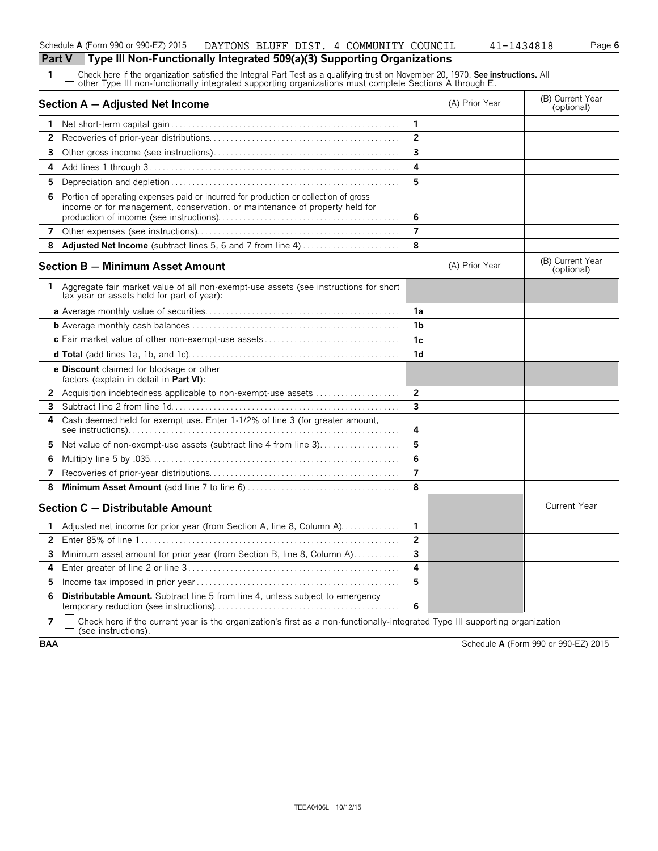|  | Check here if the organization satisfied the Integral Part Test as a qualifying trust on November 20, 1970. See instructions. All |
|--|-----------------------------------------------------------------------------------------------------------------------------------|
|  | other Type III non-functionally integrated supporting organizations must complete Sections A through E.                           |

|                | odior Typo in hon ranodonally integrated supporting organizations must complete ecodemic A uncugn<br>Section A - Adjusted Net Income                                |                         | (A) Prior Year | (B) Current Year<br>(optional) |
|----------------|---------------------------------------------------------------------------------------------------------------------------------------------------------------------|-------------------------|----------------|--------------------------------|
| 1.             |                                                                                                                                                                     | $\mathbf{1}$            |                |                                |
| 2              |                                                                                                                                                                     | $\overline{2}$          |                |                                |
| 3              |                                                                                                                                                                     | $\overline{\mathbf{3}}$ |                |                                |
| 4              |                                                                                                                                                                     | 4                       |                |                                |
| 5              |                                                                                                                                                                     | 5                       |                |                                |
| 6              | Portion of operating expenses paid or incurred for production or collection of gross<br>income or for management, conservation, or maintenance of property held for | 6                       |                |                                |
| $\overline{7}$ |                                                                                                                                                                     | $\overline{7}$          |                |                                |
| 8              | Adjusted Net Income (subtract lines 5, 6 and 7 from line 4)                                                                                                         | 8                       |                |                                |
|                | Section B - Minimum Asset Amount                                                                                                                                    |                         | (A) Prior Year | (B) Current Year<br>(optional) |
| 1              | Aggregate fair market value of all non-exempt-use assets (see instructions for short<br>tax year or assets held for part of year):                                  |                         |                |                                |
|                |                                                                                                                                                                     | 1a                      |                |                                |
|                |                                                                                                                                                                     | 1 <sub>b</sub>          |                |                                |
|                |                                                                                                                                                                     | 1 <sub>c</sub>          |                |                                |
|                |                                                                                                                                                                     | 1 <sub>d</sub>          |                |                                |
|                | e Discount claimed for blockage or other<br>factors (explain in detail in <b>Part VI</b> ):                                                                         |                         |                |                                |
| 2              | Acquisition indebtedness applicable to non-exempt-use assets                                                                                                        | $\overline{2}$          |                |                                |
| 3              |                                                                                                                                                                     | $\overline{\mathbf{3}}$ |                |                                |
| 4              | Cash deemed held for exempt use. Enter 1-1/2% of line 3 (for greater amount,                                                                                        | 4                       |                |                                |
| 5              | Net value of non-exempt-use assets (subtract line 4 from line 3)                                                                                                    | 5                       |                |                                |
| 6              |                                                                                                                                                                     | 6                       |                |                                |
| 7              |                                                                                                                                                                     | $\overline{\mathbf{z}}$ |                |                                |
| 8              |                                                                                                                                                                     | 8                       |                |                                |
|                | Section C - Distributable Amount                                                                                                                                    |                         |                | <b>Current Year</b>            |
| 1              | Adjusted net income for prior year (from Section A, line 8, Column A)                                                                                               | $\mathbf{1}$            |                |                                |
| $\mathbf{2}$   |                                                                                                                                                                     | $\overline{2}$          |                |                                |
| 3              | Minimum asset amount for prior year (from Section B, line 8, Column A)                                                                                              | $\overline{\mathbf{3}}$ |                |                                |
| 4              |                                                                                                                                                                     | 4                       |                |                                |
| 5              |                                                                                                                                                                     | 5                       |                |                                |
| 6              | <b>Distributable Amount.</b> Subtract line 5 from line 4, unless subject to emergency                                                                               | 6                       |                |                                |

**7**  $\mid$  Check here if the current year is the organization's first as a non-functionally-integrated Type III supporting organization (see instructions).

**BAA** Schedule **A** (Form 990 or 990-EZ) 2015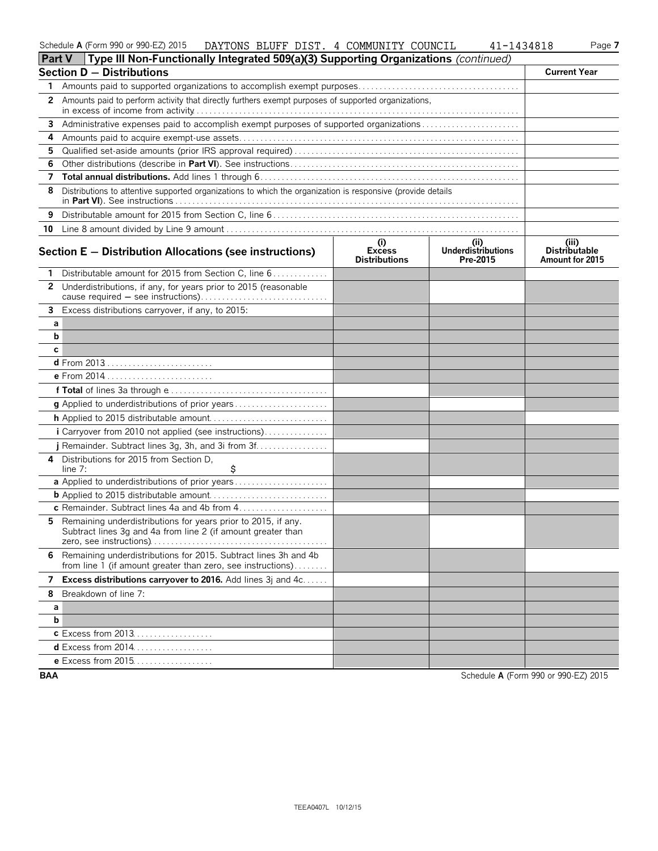| Schedule A (Form 990 or 990-EZ) 2015 | <b>DAYTONS</b><br>BLUFF | DIST | COMMUNITY<br>COUNCIL | !434818<br>$\overline{\phantom{0}}$ | $P$ age. |
|--------------------------------------|-------------------------|------|----------------------|-------------------------------------|----------|
|                                      |                         |      |                      |                                     |          |

| <b>Section D - Distributions</b>                                                                         |                                                                                                                                                                                                                                                                                                                                                                                                                                                                                                                                                                                                                                      |                                              |                                                                                                                                                                                                                                                                                             |  |  |
|----------------------------------------------------------------------------------------------------------|--------------------------------------------------------------------------------------------------------------------------------------------------------------------------------------------------------------------------------------------------------------------------------------------------------------------------------------------------------------------------------------------------------------------------------------------------------------------------------------------------------------------------------------------------------------------------------------------------------------------------------------|----------------------------------------------|---------------------------------------------------------------------------------------------------------------------------------------------------------------------------------------------------------------------------------------------------------------------------------------------|--|--|
|                                                                                                          |                                                                                                                                                                                                                                                                                                                                                                                                                                                                                                                                                                                                                                      |                                              |                                                                                                                                                                                                                                                                                             |  |  |
| Amounts paid to perform activity that directly furthers exempt purposes of supported organizations,<br>2 |                                                                                                                                                                                                                                                                                                                                                                                                                                                                                                                                                                                                                                      |                                              |                                                                                                                                                                                                                                                                                             |  |  |
| 3.                                                                                                       |                                                                                                                                                                                                                                                                                                                                                                                                                                                                                                                                                                                                                                      |                                              |                                                                                                                                                                                                                                                                                             |  |  |
|                                                                                                          |                                                                                                                                                                                                                                                                                                                                                                                                                                                                                                                                                                                                                                      |                                              |                                                                                                                                                                                                                                                                                             |  |  |
|                                                                                                          |                                                                                                                                                                                                                                                                                                                                                                                                                                                                                                                                                                                                                                      |                                              |                                                                                                                                                                                                                                                                                             |  |  |
|                                                                                                          |                                                                                                                                                                                                                                                                                                                                                                                                                                                                                                                                                                                                                                      |                                              |                                                                                                                                                                                                                                                                                             |  |  |
|                                                                                                          |                                                                                                                                                                                                                                                                                                                                                                                                                                                                                                                                                                                                                                      |                                              |                                                                                                                                                                                                                                                                                             |  |  |
|                                                                                                          |                                                                                                                                                                                                                                                                                                                                                                                                                                                                                                                                                                                                                                      |                                              |                                                                                                                                                                                                                                                                                             |  |  |
|                                                                                                          |                                                                                                                                                                                                                                                                                                                                                                                                                                                                                                                                                                                                                                      |                                              |                                                                                                                                                                                                                                                                                             |  |  |
|                                                                                                          |                                                                                                                                                                                                                                                                                                                                                                                                                                                                                                                                                                                                                                      |                                              |                                                                                                                                                                                                                                                                                             |  |  |
|                                                                                                          | (i)<br><b>Excess</b><br><b>Distributions</b>                                                                                                                                                                                                                                                                                                                                                                                                                                                                                                                                                                                         | (i)<br><b>Underdistributions</b><br>Pre-2015 | (iii)<br><b>Distributable</b><br>Amount for 2015                                                                                                                                                                                                                                            |  |  |
| Distributable amount for 2015 from Section C, line 6                                                     |                                                                                                                                                                                                                                                                                                                                                                                                                                                                                                                                                                                                                                      |                                              |                                                                                                                                                                                                                                                                                             |  |  |
| Underdistributions, if any, for years prior to 2015 (reasonable                                          |                                                                                                                                                                                                                                                                                                                                                                                                                                                                                                                                                                                                                                      |                                              |                                                                                                                                                                                                                                                                                             |  |  |
|                                                                                                          |                                                                                                                                                                                                                                                                                                                                                                                                                                                                                                                                                                                                                                      |                                              |                                                                                                                                                                                                                                                                                             |  |  |
|                                                                                                          |                                                                                                                                                                                                                                                                                                                                                                                                                                                                                                                                                                                                                                      |                                              |                                                                                                                                                                                                                                                                                             |  |  |
|                                                                                                          |                                                                                                                                                                                                                                                                                                                                                                                                                                                                                                                                                                                                                                      |                                              |                                                                                                                                                                                                                                                                                             |  |  |
|                                                                                                          |                                                                                                                                                                                                                                                                                                                                                                                                                                                                                                                                                                                                                                      |                                              |                                                                                                                                                                                                                                                                                             |  |  |
|                                                                                                          |                                                                                                                                                                                                                                                                                                                                                                                                                                                                                                                                                                                                                                      |                                              |                                                                                                                                                                                                                                                                                             |  |  |
|                                                                                                          |                                                                                                                                                                                                                                                                                                                                                                                                                                                                                                                                                                                                                                      |                                              |                                                                                                                                                                                                                                                                                             |  |  |
|                                                                                                          |                                                                                                                                                                                                                                                                                                                                                                                                                                                                                                                                                                                                                                      |                                              |                                                                                                                                                                                                                                                                                             |  |  |
|                                                                                                          |                                                                                                                                                                                                                                                                                                                                                                                                                                                                                                                                                                                                                                      |                                              |                                                                                                                                                                                                                                                                                             |  |  |
|                                                                                                          |                                                                                                                                                                                                                                                                                                                                                                                                                                                                                                                                                                                                                                      |                                              |                                                                                                                                                                                                                                                                                             |  |  |
|                                                                                                          |                                                                                                                                                                                                                                                                                                                                                                                                                                                                                                                                                                                                                                      |                                              |                                                                                                                                                                                                                                                                                             |  |  |
|                                                                                                          |                                                                                                                                                                                                                                                                                                                                                                                                                                                                                                                                                                                                                                      |                                              |                                                                                                                                                                                                                                                                                             |  |  |
|                                                                                                          |                                                                                                                                                                                                                                                                                                                                                                                                                                                                                                                                                                                                                                      |                                              |                                                                                                                                                                                                                                                                                             |  |  |
| \$<br>line 7:                                                                                            |                                                                                                                                                                                                                                                                                                                                                                                                                                                                                                                                                                                                                                      |                                              |                                                                                                                                                                                                                                                                                             |  |  |
|                                                                                                          |                                                                                                                                                                                                                                                                                                                                                                                                                                                                                                                                                                                                                                      |                                              |                                                                                                                                                                                                                                                                                             |  |  |
|                                                                                                          |                                                                                                                                                                                                                                                                                                                                                                                                                                                                                                                                                                                                                                      |                                              |                                                                                                                                                                                                                                                                                             |  |  |
|                                                                                                          |                                                                                                                                                                                                                                                                                                                                                                                                                                                                                                                                                                                                                                      |                                              |                                                                                                                                                                                                                                                                                             |  |  |
| Subtract lines 3g and 4a from line 2 (if amount greater than                                             |                                                                                                                                                                                                                                                                                                                                                                                                                                                                                                                                                                                                                                      |                                              |                                                                                                                                                                                                                                                                                             |  |  |
| from line 1 (if amount greater than zero, see instructions)                                              |                                                                                                                                                                                                                                                                                                                                                                                                                                                                                                                                                                                                                                      |                                              |                                                                                                                                                                                                                                                                                             |  |  |
|                                                                                                          |                                                                                                                                                                                                                                                                                                                                                                                                                                                                                                                                                                                                                                      |                                              |                                                                                                                                                                                                                                                                                             |  |  |
| Breakdown of line 7:                                                                                     |                                                                                                                                                                                                                                                                                                                                                                                                                                                                                                                                                                                                                                      |                                              |                                                                                                                                                                                                                                                                                             |  |  |
|                                                                                                          |                                                                                                                                                                                                                                                                                                                                                                                                                                                                                                                                                                                                                                      |                                              |                                                                                                                                                                                                                                                                                             |  |  |
|                                                                                                          |                                                                                                                                                                                                                                                                                                                                                                                                                                                                                                                                                                                                                                      |                                              |                                                                                                                                                                                                                                                                                             |  |  |
|                                                                                                          |                                                                                                                                                                                                                                                                                                                                                                                                                                                                                                                                                                                                                                      |                                              |                                                                                                                                                                                                                                                                                             |  |  |
|                                                                                                          |                                                                                                                                                                                                                                                                                                                                                                                                                                                                                                                                                                                                                                      |                                              |                                                                                                                                                                                                                                                                                             |  |  |
|                                                                                                          |                                                                                                                                                                                                                                                                                                                                                                                                                                                                                                                                                                                                                                      |                                              |                                                                                                                                                                                                                                                                                             |  |  |
|                                                                                                          | Part V<br>Section $E -$ Distribution Allocations (see instructions)<br>3 Excess distributions carryover, if any, to 2015:<br>а<br>b<br>c<br>d From 2013<br>e From 2014<br>i Carryover from 2010 not applied (see instructions)<br>j Remainder. Subtract lines 3g, 3h, and 3i from 3f<br>Distributions for 2015 from Section D,<br>4<br>Remaining underdistributions for years prior to 2015, if any.<br>6 Remaining underdistributions for 2015. Subtract lines 3h and 4b<br>7 Excess distributions carryover to 2016. Add lines 3j and 4c<br>а<br>b<br><b>c</b> Excess from 2013<br><b>d</b> Excess from 2014<br>e Excess from 2015 |                                              | Type III Non-Functionally Integrated 509(a)(3) Supporting Organizations (continued)<br>Administrative expenses paid to accomplish exempt purposes of supported organizations<br>Distributions to attentive supported organizations to which the organization is responsive (provide details |  |  |

**BAA** Schedule **A** (Form 990 or 990-EZ) 2015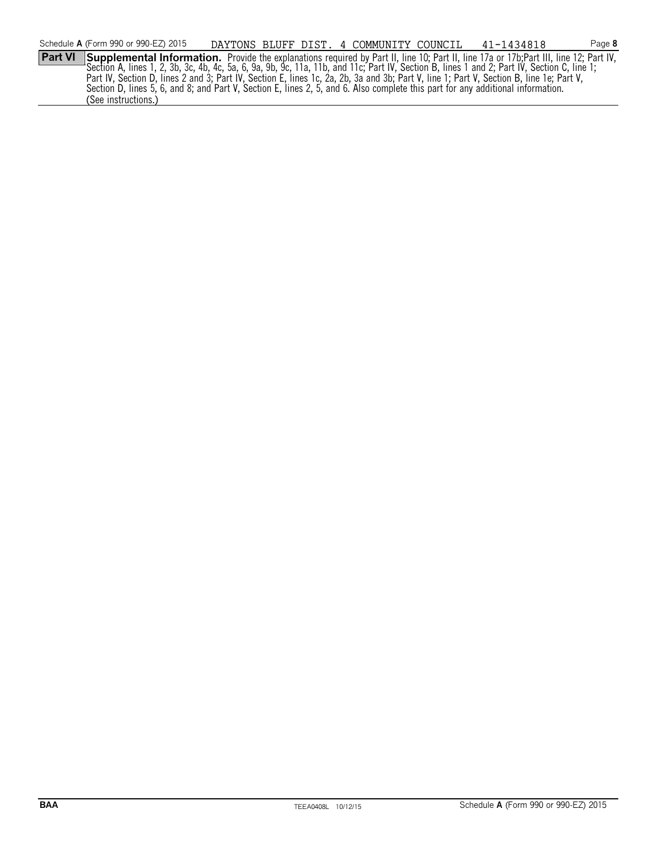**Part VI** Supplemental Information. Provide the explanations required by Part II, line 10; Part II, line 17a or 17b; Part III, line 12; Part IV, Section A, lines 1, 2, 3b, 3c, 4b, 4c, 5a, 6, 9a, 9b, 9c, 11a, 11b, and 11c; Part IV, Section B, lines 1 and 2; Part IV, Section C, line 1; Part IV, Section D, lines 2 and 3; Part IV, Section E, lines 1c, 2a, 2b, 3a and 3b; Part V, line 1; Part V, Section B, line 1e; Part V, Section D, lines 5, 6, and 8; and Part V, Section E, lines 2, 5, and 6. Also complete this part for any additional information. (See instructions.)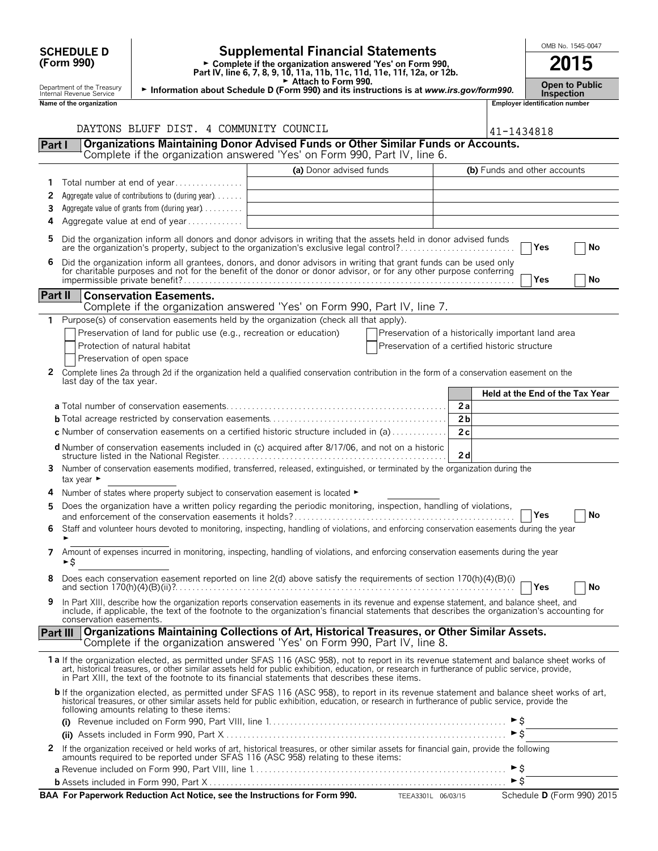|                | <b>Supplemental Financial Statements</b><br><b>SCHEDULE D</b>                                                                                                        |                                                                                                                |                                                                                                                                                                                                                                                                                                                                                                                                |                                                    | OMB No. 1545-0047 |                                            |                                 |  |    |
|----------------|----------------------------------------------------------------------------------------------------------------------------------------------------------------------|----------------------------------------------------------------------------------------------------------------|------------------------------------------------------------------------------------------------------------------------------------------------------------------------------------------------------------------------------------------------------------------------------------------------------------------------------------------------------------------------------------------------|----------------------------------------------------|-------------------|--------------------------------------------|---------------------------------|--|----|
|                | (Form 990)<br>► Complete if the organization answered 'Yes' on Form 990,<br>Part IV, line 6, 7, 8, 9, 10, 11a, 11b, 11c, 11d, 11e, 11f, 12a, or 12b.                 |                                                                                                                |                                                                                                                                                                                                                                                                                                                                                                                                |                                                    | 2015              |                                            |                                 |  |    |
|                | Department of the Treasury                                                                                                                                           | Attach to Form 990.<br>Information about Schedule D (Form 990) and its instructions is at www.irs.gov/form990. |                                                                                                                                                                                                                                                                                                                                                                                                |                                                    |                   | <b>Open to Public</b><br><b>Inspection</b> |                                 |  |    |
|                | Internal Revenue Service<br>Name of the organization                                                                                                                 |                                                                                                                |                                                                                                                                                                                                                                                                                                                                                                                                |                                                    |                   | <b>Employer identification number</b>      |                                 |  |    |
|                |                                                                                                                                                                      |                                                                                                                |                                                                                                                                                                                                                                                                                                                                                                                                |                                                    |                   |                                            |                                 |  |    |
|                |                                                                                                                                                                      | DAYTONS BLUFF DIST. 4 COMMUNITY COUNCIL                                                                        |                                                                                                                                                                                                                                                                                                                                                                                                |                                                    |                   | 41-1434818                                 |                                 |  |    |
| Part I         |                                                                                                                                                                      |                                                                                                                | Organizations Maintaining Donor Advised Funds or Other Similar Funds or Accounts.<br>Complete if the organization answered 'Yes' on Form 990, Part IV, line 6.                                                                                                                                                                                                                                 |                                                    |                   |                                            |                                 |  |    |
|                |                                                                                                                                                                      |                                                                                                                | (a) Donor advised funds                                                                                                                                                                                                                                                                                                                                                                        |                                                    |                   |                                            | (b) Funds and other accounts    |  |    |
| 1              |                                                                                                                                                                      | Total number at end of year                                                                                    |                                                                                                                                                                                                                                                                                                                                                                                                |                                                    |                   |                                            |                                 |  |    |
| 2              |                                                                                                                                                                      | Aggregate value of contributions to (during year).                                                             |                                                                                                                                                                                                                                                                                                                                                                                                |                                                    |                   |                                            |                                 |  |    |
| 3              |                                                                                                                                                                      | Aggregate value of grants from (during year)                                                                   |                                                                                                                                                                                                                                                                                                                                                                                                |                                                    |                   |                                            |                                 |  |    |
| 4              |                                                                                                                                                                      | Aggregate value at end of year                                                                                 |                                                                                                                                                                                                                                                                                                                                                                                                |                                                    |                   |                                            |                                 |  |    |
| 5              |                                                                                                                                                                      |                                                                                                                | Did the organization inform all donors and donor advisors in writing that the assets held in donor advised funds<br>are the organization's property, subject to the organization's exclusive legal control?                                                                                                                                                                                    |                                                    |                   |                                            | Yes                             |  | No |
| 6              |                                                                                                                                                                      |                                                                                                                | Did the organization inform all grantees, donors, and donor advisors in writing that grant funds can be used only for charitable purposes and not for the benefit of the donor or donor advisor, or for any other purpose conf                                                                                                                                                                 |                                                    |                   |                                            |                                 |  |    |
|                |                                                                                                                                                                      |                                                                                                                |                                                                                                                                                                                                                                                                                                                                                                                                |                                                    |                   |                                            | Yes                             |  | No |
| <b>Part II</b> |                                                                                                                                                                      | <b>Conservation Easements.</b>                                                                                 |                                                                                                                                                                                                                                                                                                                                                                                                |                                                    |                   |                                            |                                 |  |    |
|                |                                                                                                                                                                      |                                                                                                                | Complete if the organization answered 'Yes' on Form 990, Part IV, line 7.<br>Purpose(s) of conservation easements held by the organization (check all that apply).                                                                                                                                                                                                                             |                                                    |                   |                                            |                                 |  |    |
| 1              |                                                                                                                                                                      | Preservation of land for public use (e.g., recreation or education)                                            |                                                                                                                                                                                                                                                                                                                                                                                                | Preservation of a historically important land area |                   |                                            |                                 |  |    |
|                |                                                                                                                                                                      | Protection of natural habitat                                                                                  |                                                                                                                                                                                                                                                                                                                                                                                                | Preservation of a certified historic structure     |                   |                                            |                                 |  |    |
|                |                                                                                                                                                                      | Preservation of open space                                                                                     |                                                                                                                                                                                                                                                                                                                                                                                                |                                                    |                   |                                            |                                 |  |    |
| 2              | last day of the tax year.                                                                                                                                            |                                                                                                                | Complete lines 2a through 2d if the organization held a qualified conservation contribution in the form of a conservation easement on the                                                                                                                                                                                                                                                      |                                                    |                   |                                            |                                 |  |    |
|                |                                                                                                                                                                      |                                                                                                                |                                                                                                                                                                                                                                                                                                                                                                                                |                                                    |                   |                                            | Held at the End of the Tax Year |  |    |
|                |                                                                                                                                                                      |                                                                                                                |                                                                                                                                                                                                                                                                                                                                                                                                |                                                    | 2a                |                                            |                                 |  |    |
|                |                                                                                                                                                                      |                                                                                                                |                                                                                                                                                                                                                                                                                                                                                                                                |                                                    | 2 <sub>b</sub>    |                                            |                                 |  |    |
|                |                                                                                                                                                                      |                                                                                                                | <b>c</b> Number of conservation easements on a certified historic structure included in (a) $\dots \dots \dots$                                                                                                                                                                                                                                                                                |                                                    | 2c                |                                            |                                 |  |    |
|                |                                                                                                                                                                      |                                                                                                                | d Number of conservation easements included in (c) acquired after 8/17/06, and not on a historic                                                                                                                                                                                                                                                                                               |                                                    | 2d                |                                            |                                 |  |    |
|                | Number of conservation easements modified, transferred, released, extinguished, or terminated by the organization during the<br>3.<br>tax year $\blacktriangleright$ |                                                                                                                |                                                                                                                                                                                                                                                                                                                                                                                                |                                                    |                   |                                            |                                 |  |    |
|                |                                                                                                                                                                      | Number of states where property subject to conservation easement is located $\blacktriangleright$              |                                                                                                                                                                                                                                                                                                                                                                                                |                                                    |                   |                                            |                                 |  |    |
| 5              |                                                                                                                                                                      |                                                                                                                | Does the organization have a written policy regarding the periodic monitoring, inspection, handling of violations,                                                                                                                                                                                                                                                                             |                                                    |                   |                                            | Yes                             |  | No |
| 6              | Staff and volunteer hours devoted to monitoring, inspecting, handling of violations, and enforcing conservation easements during the year                            |                                                                                                                |                                                                                                                                                                                                                                                                                                                                                                                                |                                                    |                   |                                            |                                 |  |    |
|                | Amount of expenses incurred in monitoring, inspecting, handling of violations, and enforcing conservation easements during the year<br>7<br>►\$                      |                                                                                                                |                                                                                                                                                                                                                                                                                                                                                                                                |                                                    |                   |                                            |                                 |  |    |
| 8              |                                                                                                                                                                      |                                                                                                                | Does each conservation easement reported on line 2(d) above satisfy the requirements of section 170(h)(4)(B)(i)                                                                                                                                                                                                                                                                                |                                                    |                   |                                            | Yes                             |  | No |
| 9              | conservation easements.                                                                                                                                              |                                                                                                                | In Part XIII, describe how the organization reports conservation easements in its revenue and expense statement, and balance sheet, and<br>include, if applicable, the text of the footnote to the organization's financial statements that describes the organization's accounting for                                                                                                        |                                                    |                   |                                            |                                 |  |    |
|                | <b>Part III</b>                                                                                                                                                      |                                                                                                                | Organizations Maintaining Collections of Art, Historical Treasures, or Other Similar Assets.<br>Complete if the organization answered 'Yes' on Form 990, Part IV, line 8.                                                                                                                                                                                                                      |                                                    |                   |                                            |                                 |  |    |
|                |                                                                                                                                                                      |                                                                                                                | 1a If the organization elected, as permitted under SFAS 116 (ASC 958), not to report in its revenue statement and balance sheet works of<br>art, historical treasures, or other similar assets held for public exhibition, education, or research in furtherance of public service, provide,<br>in Part XIII, the text of the footnote to its financial statements that describes these items. |                                                    |                   |                                            |                                 |  |    |
|                |                                                                                                                                                                      | following amounts relating to these items:                                                                     | b If the organization elected, as permitted under SFAS 116 (ASC 958), to report in its revenue statement and balance sheet works of art,<br>historical treasures, or other similar assets held for public exhibition, education, or research in furtherance of public service, provide the                                                                                                     |                                                    |                   |                                            |                                 |  |    |
|                |                                                                                                                                                                      |                                                                                                                |                                                                                                                                                                                                                                                                                                                                                                                                |                                                    |                   | $\triangleright$ \$                        |                                 |  |    |
| 2              |                                                                                                                                                                      |                                                                                                                |                                                                                                                                                                                                                                                                                                                                                                                                |                                                    |                   |                                            |                                 |  |    |
|                |                                                                                                                                                                      |                                                                                                                | If the organization received or held works of art, historical treasures, or other similar assets for financial gain, provide the following<br>amounts required to be reported under SFAS 116 (ASC 958) relating to these items:                                                                                                                                                                |                                                    |                   | ►\$                                        |                                 |  |    |
|                |                                                                                                                                                                      |                                                                                                                |                                                                                                                                                                                                                                                                                                                                                                                                |                                                    |                   | $\triangleright$ \$                        |                                 |  |    |
|                |                                                                                                                                                                      |                                                                                                                | BAA For Paperwork Reduction Act Notice, see the Instructions for Form 990. TEEA3301L 06/03/15                                                                                                                                                                                                                                                                                                  |                                                    |                   |                                            | Schedule D (Form 990) 2015      |  |    |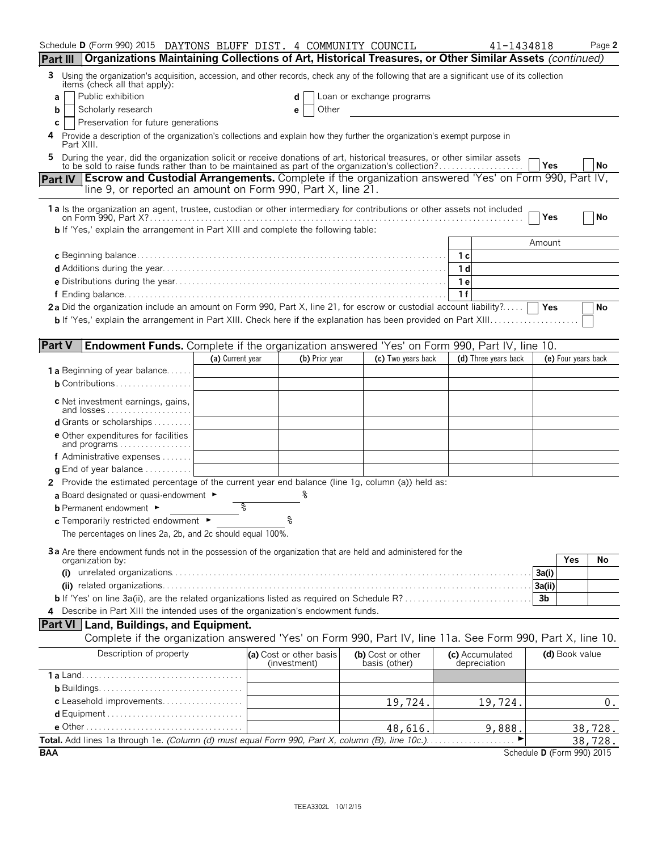| Schedule D (Form 990) 2015 DAYTONS BLUFF DIST. 4 COMMUNITY COUNCIL                                                                                                                                                        |                  |                                         |                                    |     | 41-1434818                      |                            |                     | Page 2  |
|---------------------------------------------------------------------------------------------------------------------------------------------------------------------------------------------------------------------------|------------------|-----------------------------------------|------------------------------------|-----|---------------------------------|----------------------------|---------------------|---------|
| Organizations Maintaining Collections of Art, Historical Treasures, or Other Similar Assets (continued)<br><b>Part III</b>                                                                                                |                  |                                         |                                    |     |                                 |                            |                     |         |
| Using the organization's acquisition, accession, and other records, check any of the following that are a significant use of its collection<br>3.<br>items (check all that apply):                                        |                  |                                         |                                    |     |                                 |                            |                     |         |
| Public exhibition<br>a                                                                                                                                                                                                    |                  |                                         | Loan or exchange programs          |     |                                 |                            |                     |         |
| Scholarly research<br>b                                                                                                                                                                                                   |                  | Other<br>е                              |                                    |     |                                 |                            |                     |         |
| Preservation for future generations<br>С<br>Provide a description of the organization's collections and explain how they further the organization's exempt purpose in                                                     |                  |                                         |                                    |     |                                 |                            |                     |         |
| Part XIII.                                                                                                                                                                                                                |                  |                                         |                                    |     |                                 |                            |                     |         |
| During the year, did the organization solicit or receive donations of art, historical treasures, or other similar assets to be sold to raise funds rather than to be maintained as part of the organization's collection? |                  |                                         |                                    |     |                                 | Yes                        |                     | No      |
| Escrow and Custodial Arrangements. Complete if the organization answered 'Yes' on Form 990, Part IV,<br><b>Part IV</b>                                                                                                    |                  |                                         |                                    |     |                                 |                            |                     |         |
| line 9, or reported an amount on Form 990, Part X, line 21.                                                                                                                                                               |                  |                                         |                                    |     |                                 |                            |                     |         |
| 1 a Is the organization an agent, trustee, custodian or other intermediary for contributions or other assets not included                                                                                                 |                  |                                         |                                    |     |                                 |                            |                     |         |
| <b>b</b> If 'Yes,' explain the arrangement in Part XIII and complete the following table:                                                                                                                                 |                  |                                         |                                    |     |                                 | Yes                        |                     | No      |
|                                                                                                                                                                                                                           |                  |                                         |                                    |     |                                 | Amount                     |                     |         |
|                                                                                                                                                                                                                           |                  |                                         |                                    | 1 с |                                 |                            |                     |         |
|                                                                                                                                                                                                                           |                  |                                         |                                    | 1 d |                                 |                            |                     |         |
|                                                                                                                                                                                                                           |                  |                                         |                                    | 1 e |                                 |                            |                     |         |
|                                                                                                                                                                                                                           |                  |                                         |                                    | 1f  |                                 |                            |                     |         |
| 2a Did the organization include an amount on Form 990, Part X, line 21, for escrow or custodial account liability?                                                                                                        |                  |                                         |                                    |     |                                 |                            |                     | No      |
|                                                                                                                                                                                                                           |                  |                                         |                                    |     |                                 |                            |                     |         |
|                                                                                                                                                                                                                           |                  |                                         |                                    |     |                                 |                            |                     |         |
| <b>Part V</b><br><b>Endowment Funds.</b> Complete if the organization answered 'Yes' on Form 990, Part IV, line 10.                                                                                                       | (a) Current year | (b) Prior year                          | (c) Two years back                 |     | (d) Three years back            |                            | (e) Four years back |         |
| <b>1 a</b> Beginning of year balance                                                                                                                                                                                      |                  |                                         |                                    |     |                                 |                            |                     |         |
| <b>b</b> Contributions                                                                                                                                                                                                    |                  |                                         |                                    |     |                                 |                            |                     |         |
| c Net investment earnings, gains,                                                                                                                                                                                         |                  |                                         |                                    |     |                                 |                            |                     |         |
| and losses                                                                                                                                                                                                                |                  |                                         |                                    |     |                                 |                            |                     |         |
| d Grants or scholarships                                                                                                                                                                                                  |                  |                                         |                                    |     |                                 |                            |                     |         |
| <b>e</b> Other expenditures for facilities<br>and programs                                                                                                                                                                |                  |                                         |                                    |     |                                 |                            |                     |         |
| f Administrative expenses                                                                                                                                                                                                 |                  |                                         |                                    |     |                                 |                            |                     |         |
| <b>q</b> End of year balance $\ldots \ldots \ldots$                                                                                                                                                                       |                  |                                         |                                    |     |                                 |                            |                     |         |
| 2 Provide the estimated percentage of the current year end balance (line 1g, column (a)) held as:                                                                                                                         |                  |                                         |                                    |     |                                 |                            |                     |         |
| a Board designated or quasi-endowment $\blacktriangleright$                                                                                                                                                               |                  |                                         |                                    |     |                                 |                            |                     |         |
| <b>b</b> Permanent endowment ►                                                                                                                                                                                            | နွ               |                                         |                                    |     |                                 |                            |                     |         |
| c Temporarily restricted endowment ►                                                                                                                                                                                      |                  | ٥                                       |                                    |     |                                 |                            |                     |         |
| The percentages on lines 2a, 2b, and 2c should equal 100%.                                                                                                                                                                |                  |                                         |                                    |     |                                 |                            |                     |         |
| 3a Are there endowment funds not in the possession of the organization that are held and administered for the                                                                                                             |                  |                                         |                                    |     |                                 |                            |                     |         |
| organization by:                                                                                                                                                                                                          |                  |                                         |                                    |     |                                 |                            | Yes                 | No      |
|                                                                                                                                                                                                                           |                  |                                         |                                    |     |                                 | 3a(i)<br>3a(ii)            |                     |         |
|                                                                                                                                                                                                                           |                  |                                         |                                    |     |                                 | 3b                         |                     |         |
| 4 Describe in Part XIII the intended uses of the organization's endowment funds.                                                                                                                                          |                  |                                         |                                    |     |                                 |                            |                     |         |
| <b>Part VI</b> Land, Buildings, and Equipment.                                                                                                                                                                            |                  |                                         |                                    |     |                                 |                            |                     |         |
| Complete if the organization answered 'Yes' on Form 990, Part IV, line 11a. See Form 990, Part X, line 10.                                                                                                                |                  |                                         |                                    |     |                                 |                            |                     |         |
| Description of property                                                                                                                                                                                                   |                  | (a) Cost or other basis<br>(investment) | (b) Cost or other<br>basis (other) |     | (c) Accumulated<br>depreciation |                            | (d) Book value      |         |
|                                                                                                                                                                                                                           |                  |                                         |                                    |     |                                 |                            |                     |         |
|                                                                                                                                                                                                                           |                  |                                         |                                    |     |                                 |                            |                     |         |
| c Leasehold improvements                                                                                                                                                                                                  |                  |                                         | 19,724.                            |     | 19,724.                         |                            |                     | 0.      |
|                                                                                                                                                                                                                           |                  |                                         |                                    |     |                                 |                            |                     |         |
|                                                                                                                                                                                                                           |                  |                                         | 48,616.                            |     | 9,888.                          |                            |                     | 38,728. |
|                                                                                                                                                                                                                           |                  |                                         |                                    |     |                                 |                            |                     | 38,728. |
| <b>BAA</b>                                                                                                                                                                                                                |                  |                                         |                                    |     |                                 | Schedule D (Form 990) 2015 |                     |         |

TEEA3302L 10/12/15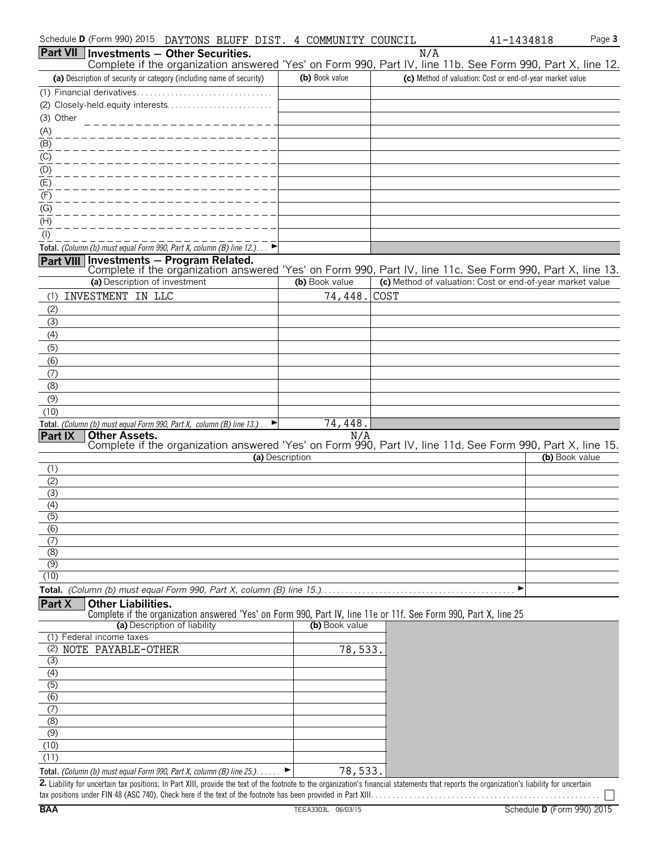| Schedule D (Form 990) 2015<br>DAYTONS BLUFF DIST. 4 COMMUNITY COUNCIL                                                                                                                       |                 |     | Page 3<br>41-1434818                                      |
|---------------------------------------------------------------------------------------------------------------------------------------------------------------------------------------------|-----------------|-----|-----------------------------------------------------------|
| <b>Part VII Investments - Other Securities.</b>                                                                                                                                             |                 | N/A |                                                           |
| Complete if the organization answered 'Yes' on Form 990, Part IV, line 11b. See Form 990, Part X, line 12.                                                                                  |                 |     |                                                           |
| (a) Description of security or category (including name of security)                                                                                                                        | (b) Book value  |     | (c) Method of valuation: Cost or end-of-year market value |
|                                                                                                                                                                                             |                 |     |                                                           |
| (3) Other                                                                                                                                                                                   |                 |     |                                                           |
| $\frac{(A)}{A}$                                                                                                                                                                             |                 |     |                                                           |
| $\overline{(\mathsf{B})}$                                                                                                                                                                   |                 |     |                                                           |
| $\frac{(C)}{C}$                                                                                                                                                                             |                 |     |                                                           |
| (D)                                                                                                                                                                                         |                 |     |                                                           |
| (E)                                                                                                                                                                                         |                 |     |                                                           |
| (F)                                                                                                                                                                                         |                 |     |                                                           |
| (G)                                                                                                                                                                                         |                 |     |                                                           |
| (H)                                                                                                                                                                                         |                 |     |                                                           |
| (1)<br>Total. (Column (b) must equal Form 990, Part X, column (B) line 12.). $\Box$                                                                                                         |                 |     |                                                           |
| Investments - Program Related.<br><b>Part VIII</b>                                                                                                                                          |                 |     |                                                           |
| Complete if the organization answered 'Yes' on Form 990, Part IV, line 11c. See Form 990, Part X, line 13.                                                                                  |                 |     |                                                           |
| (a) Description of investment                                                                                                                                                               | (b) Book value  |     | (c) Method of valuation: Cost or end-of-year market value |
| INVESTMENT IN LLC<br>(1)                                                                                                                                                                    | 74,448. COST    |     |                                                           |
| (2)                                                                                                                                                                                         |                 |     |                                                           |
| (3)<br>(4)                                                                                                                                                                                  |                 |     |                                                           |
| (5)                                                                                                                                                                                         |                 |     |                                                           |
| (6)                                                                                                                                                                                         |                 |     |                                                           |
| (7)                                                                                                                                                                                         |                 |     |                                                           |
| (8)                                                                                                                                                                                         |                 |     |                                                           |
| (9)                                                                                                                                                                                         |                 |     |                                                           |
| (10)<br>Total. (Column (b) must equal Form 990, Part X, column (B) line $13.$ )                                                                                                             | 74,448.         |     |                                                           |
| <b>Part IX</b><br><b>Other Assets.</b>                                                                                                                                                      | N/A             |     |                                                           |
| Complete if the organization answered 'Yes' on Form 990, Part IV, line 11d. See Form 990, Part X, line 15.                                                                                  |                 |     |                                                           |
| (1)                                                                                                                                                                                         | (a) Description |     | (b) Book value                                            |
| (2)                                                                                                                                                                                         |                 |     |                                                           |
| (3)                                                                                                                                                                                         |                 |     |                                                           |
| (4)                                                                                                                                                                                         |                 |     |                                                           |
| (5)                                                                                                                                                                                         |                 |     |                                                           |
| (6)<br>(7)                                                                                                                                                                                  |                 |     |                                                           |
| (8)                                                                                                                                                                                         |                 |     |                                                           |
| (9)                                                                                                                                                                                         |                 |     |                                                           |
| (10)                                                                                                                                                                                        |                 |     |                                                           |
|                                                                                                                                                                                             |                 |     | ▶                                                         |
| Part X<br><b>Other Liabilities.</b><br>Complete if the organization answered 'Yes' on Form 990, Part IV, line 11e or 11f. See Form 990, Part X, line 25                                     |                 |     |                                                           |
| (a) Description of liability                                                                                                                                                                | (b) Book value  |     |                                                           |
| (1) Federal income taxes                                                                                                                                                                    |                 |     |                                                           |
| NOTE PAYABLE-OTHER<br>(2)                                                                                                                                                                   | 78,533.         |     |                                                           |
| (3)<br>(4)                                                                                                                                                                                  |                 |     |                                                           |
| $\overline{(5)}$                                                                                                                                                                            |                 |     |                                                           |
| (6)                                                                                                                                                                                         |                 |     |                                                           |
| (7)                                                                                                                                                                                         |                 |     |                                                           |
| (8)                                                                                                                                                                                         |                 |     |                                                           |
| $\overline{(9)}$<br>(10)                                                                                                                                                                    |                 |     |                                                           |
| (11)                                                                                                                                                                                        |                 |     |                                                           |
| Total. (Column (b) must equal Form 990, Part X, column (B) line 25.).                                                                                                                       | 78,533.         |     |                                                           |
| 2. Liability for uncertain tax positions. In Part XIII, provide the text of the footnote to the organization's financial statements that reports the organization's liability for uncertain |                 |     |                                                           |

tax positions under FIN 48 (ASC 740). Check here if the text of the footnote has been provided in Part XIII. . . . . . . . . . . . . . . . . . . . . . . . . . . . . . . . . . . . . . . . . . . . . . . . . . . . . .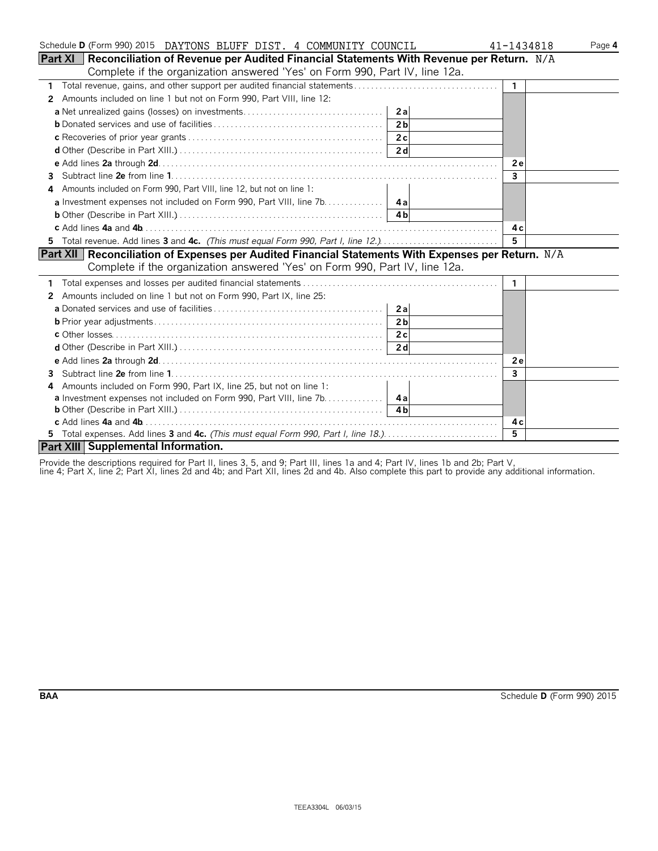| Schedule D (Form 990) 2015 DAYTONS BLUFF DIST. 4 COMMUNITY COUNCIL                                   | 41-1434818<br>Page 4 |
|------------------------------------------------------------------------------------------------------|----------------------|
| Part $XI$<br>Reconciliation of Revenue per Audited Financial Statements With Revenue per Return. N/A |                      |
| Complete if the organization answered 'Yes' on Form 990, Part IV, line 12a.                          |                      |
| 1                                                                                                    | 1                    |
| Amounts included on line 1 but not on Form 990, Part VIII, line 12:<br>2                             |                      |
| 2al                                                                                                  |                      |
| 2 <sub>h</sub>                                                                                       |                      |
| 2c                                                                                                   |                      |
| 2d                                                                                                   |                      |
|                                                                                                      | 2e                   |
| 3                                                                                                    | 3                    |
| Amounts included on Form 990, Part VIII, line 12, but not on line 1:<br>4                            |                      |
|                                                                                                      |                      |
|                                                                                                      |                      |
|                                                                                                      | 4 c                  |
| 5 Total revenue. Add lines 3 and 4c. (This must equal Form 990, Part I, line 12.)                    | 5                    |
| Part XII Reconciliation of Expenses per Audited Financial Statements With Expenses per Return. N/A   |                      |
| Complete if the organization answered 'Yes' on Form 990, Part IV, line 12a.                          |                      |
|                                                                                                      | 1.                   |
| Amounts included on line 1 but not on Form 990, Part IX, line 25:<br>$\mathbf{2}$                    |                      |
| 2a                                                                                                   |                      |
| 2 <sub>b</sub>                                                                                       |                      |
|                                                                                                      |                      |
|                                                                                                      |                      |
|                                                                                                      | 2e                   |
| 3                                                                                                    | 3                    |
| Amounts included on Form 990, Part IX, line 25, but not on line 1:<br>4                              |                      |
| <b>a</b> Investment expenses not included on Form 990, Part VIII, line 7b. 4a                        |                      |
|                                                                                                      |                      |
|                                                                                                      | 4 c                  |
|                                                                                                      | 5                    |
| Part XIII Supplemental Information.                                                                  |                      |

Provide the descriptions required for Part II, lines 3, 5, and 9; Part III, lines 1a and 4; Part IV, lines 1b and 2b; Part V,

line 4; Part X, line 2; Part XI, lines 2d and 4b; and Part XII, lines 2d and 4b. Also complete this part to provide any additional information.